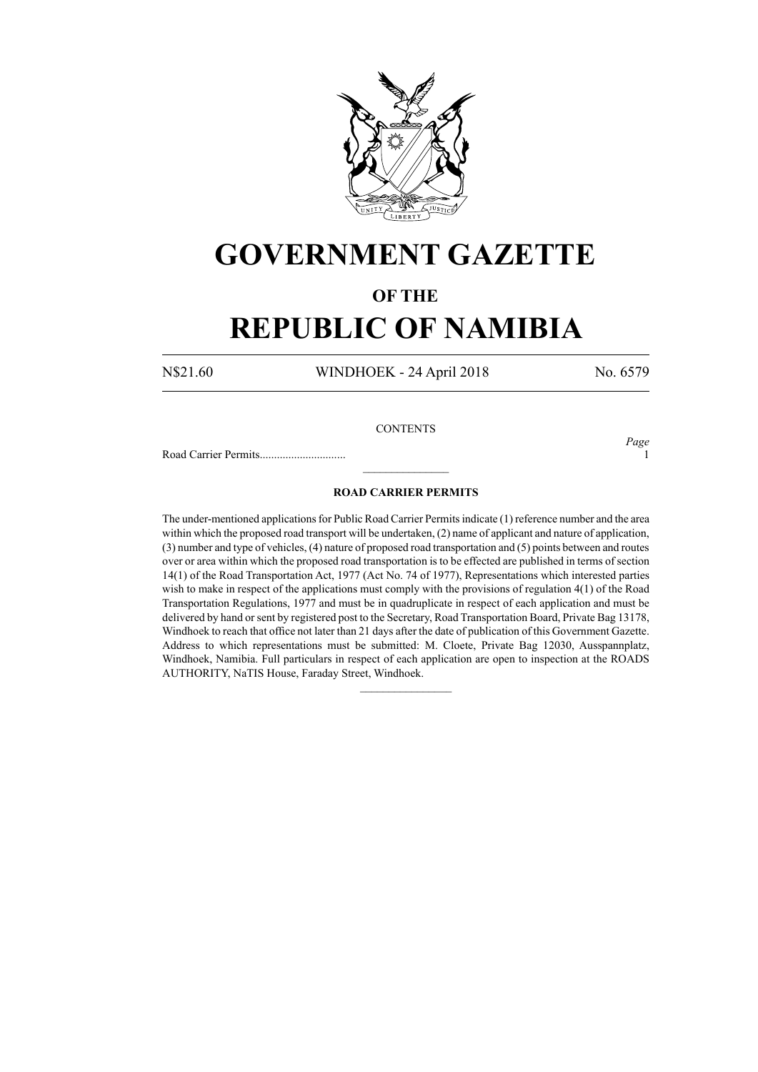

# **GOVERNMENT GAZETTE**

### **OF THE**

# **REPUBLIC OF NAMIBIA**

N\$21.60 WINDHOEK - 24 April 2018 No. 6579

*Page*

### **CONTENTS**

Road Carrier Permits.............................. 1

### **ROAD CARRIER PERMITS**

 $\frac{1}{2}$ 

The under-mentioned applications for Public Road Carrier Permits indicate (1) reference number and the area within which the proposed road transport will be undertaken, (2) name of applicant and nature of application, (3) number and type of vehicles, (4) nature of proposed road transportation and (5) points between and routes over or area within which the proposed road transportation is to be effected are published in terms of section 14(1) of the Road Transportation Act, 1977 (Act No. 74 of 1977), Representations which interested parties wish to make in respect of the applications must comply with the provisions of regulation 4(1) of the Road Transportation Regulations, 1977 and must be in quadruplicate in respect of each application and must be delivered by hand or sent by registered post to the Secretary, Road Transportation Board, Private Bag 13178, Windhoek to reach that office not later than 21 days after the date of publication of this Government Gazette. Address to which representations must be submitted: M. Cloete, Private Bag 12030, Ausspannplatz, Windhoek, Namibia. Full particulars in respect of each application are open to inspection at the ROADS AUTHORITY, NaTIS House, Faraday Street, Windhoek.

 $\overline{\phantom{a}}$  ,  $\overline{\phantom{a}}$  ,  $\overline{\phantom{a}}$  ,  $\overline{\phantom{a}}$  ,  $\overline{\phantom{a}}$  ,  $\overline{\phantom{a}}$  ,  $\overline{\phantom{a}}$  ,  $\overline{\phantom{a}}$  ,  $\overline{\phantom{a}}$  ,  $\overline{\phantom{a}}$  ,  $\overline{\phantom{a}}$  ,  $\overline{\phantom{a}}$  ,  $\overline{\phantom{a}}$  ,  $\overline{\phantom{a}}$  ,  $\overline{\phantom{a}}$  ,  $\overline{\phantom{a}}$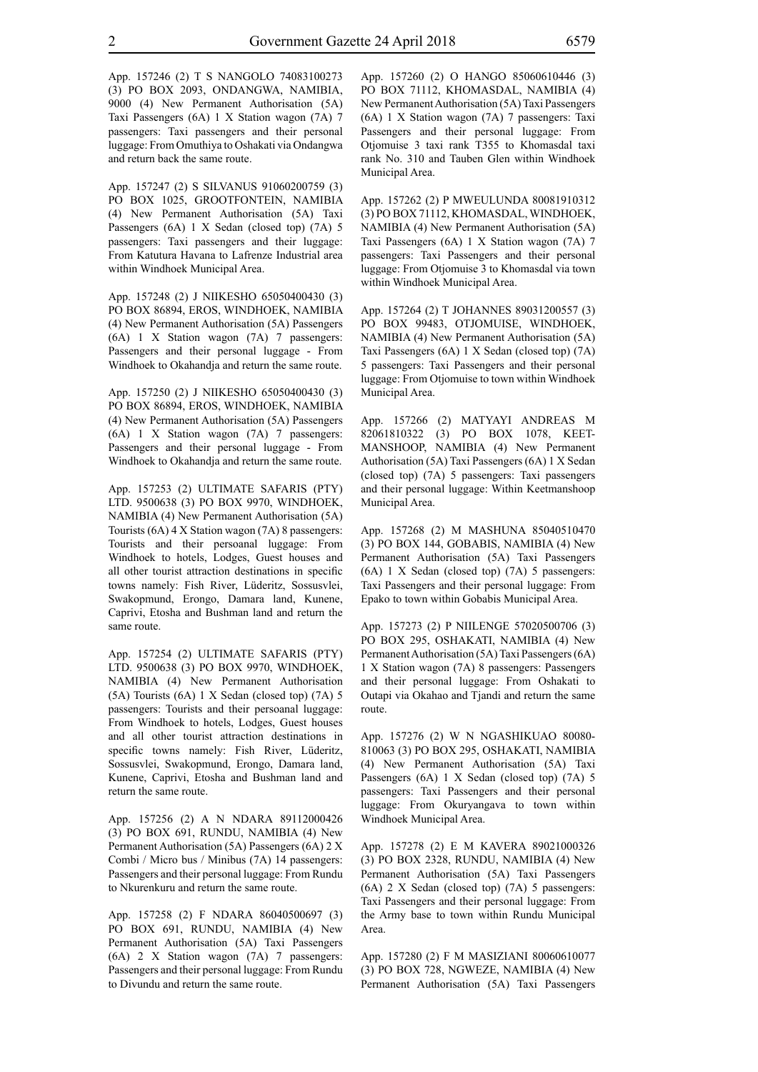App. 157246 (2) T S NANGOLO 74083100273 (3) PO BOX 2093, ONDANGWA, NAMIBIA, 9000 (4) New Permanent Authorisation (5A) Taxi Passengers (6A) 1 X Station wagon (7A) 7 passengers: Taxi passengers and their personal luggage: From Omuthiya to Oshakati via Ondangwa and return back the same route.

App. 157247 (2) S SILVANUS 91060200759 (3) PO BOX 1025, GROOTFONTEIN, NAMIBIA (4) New Permanent Authorisation (5A) Taxi Passengers (6A) 1 X Sedan (closed top) (7A) 5 passengers: Taxi passengers and their luggage: From Katutura Havana to Lafrenze Industrial area within Windhoek Municipal Area.

App. 157248 (2) J NIIKESHO 65050400430 (3) PO BOX 86894, EROS, WINDHOEK, NAMIBIA (4) New Permanent Authorisation (5A) Passengers (6A) 1 X Station wagon (7A) 7 passengers: Passengers and their personal luggage - From Windhoek to Okahandja and return the same route.

App. 157250 (2) J NIIKESHO 65050400430 (3) PO BOX 86894, EROS, WINDHOEK, NAMIBIA (4) New Permanent Authorisation (5A) Passengers (6A) 1 X Station wagon (7A) 7 passengers: Passengers and their personal luggage - From Windhoek to Okahandja and return the same route.

App. 157253 (2) ULTIMATE SAFARIS (PTY) LTD. 9500638 (3) PO BOX 9970, WINDHOEK, NAMIBIA (4) New Permanent Authorisation (5A) Tourists (6A) 4 X Station wagon (7A) 8 passengers: Tourists and their persoanal luggage: From Windhoek to hotels, Lodges, Guest houses and all other tourist attraction destinations in specific towns namely: Fish River, Lüderitz, Sossusvlei, Swakopmund, Erongo, Damara land, Kunene, Caprivi, Etosha and Bushman land and return the same route.

App. 157254 (2) ULTIMATE SAFARIS (PTY) LTD. 9500638 (3) PO BOX 9970, WINDHOEK, NAMIBIA (4) New Permanent Authorisation (5A) Tourists (6A) 1 X Sedan (closed top) (7A) 5 passengers: Tourists and their persoanal luggage: From Windhoek to hotels, Lodges, Guest houses and all other tourist attraction destinations in specific towns namely: Fish River, Lüderitz, Sossusvlei, Swakopmund, Erongo, Damara land, Kunene, Caprivi, Etosha and Bushman land and return the same route.

App. 157256 (2) A N NDARA 89112000426 (3) PO BOX 691, RUNDU, NAMIBIA (4) New Permanent Authorisation (5A) Passengers (6A) 2 X Combi / Micro bus / Minibus (7A) 14 passengers: Passengers and their personal luggage: From Rundu to Nkurenkuru and return the same route.

App. 157258 (2) F NDARA 86040500697 (3) PO BOX 691, RUNDU, NAMIBIA (4) New Permanent Authorisation (5A) Taxi Passengers (6A) 2 X Station wagon (7A) 7 passengers: Passengers and their personal luggage: From Rundu to Divundu and return the same route.

App. 157260 (2) O HANGO 85060610446 (3) PO BOX 71112, KHOMASDAL, NAMIBIA (4) New Permanent Authorisation (5A) Taxi Passengers (6A) 1 X Station wagon (7A) 7 passengers: Taxi Passengers and their personal luggage: From Otjomuise 3 taxi rank T355 to Khomasdal taxi rank No. 310 and Tauben Glen within Windhoek Municipal Area.

App. 157262 (2) P MWEULUNDA 80081910312 (3) PO BOX 71112, KHOMASDAL, WINDHOEK, NAMIBIA (4) New Permanent Authorisation (5A) Taxi Passengers (6A) 1 X Station wagon (7A) 7 passengers: Taxi Passengers and their personal luggage: From Otjomuise 3 to Khomasdal via town within Windhoek Municipal Area.

App. 157264 (2) T JOHANNES 89031200557 (3) PO BOX 99483, OTJOMUISE, WINDHOEK, NAMIBIA (4) New Permanent Authorisation (5A) Taxi Passengers (6A) 1 X Sedan (closed top) (7A) 5 passengers: Taxi Passengers and their personal luggage: From Otjomuise to town within Windhoek Municipal Area.

App. 157266 (2) MATYAYI ANDREAS M 82061810322 (3) PO BOX 1078, KEET-MANSHOOP, NAMIBIA (4) New Permanent Authorisation (5A) Taxi Passengers (6A) 1 X Sedan (closed top) (7A) 5 passengers: Taxi passengers and their personal luggage: Within Keetmanshoop Municipal Area.

App. 157268 (2) M MASHUNA 85040510470 (3) PO BOX 144, GOBABIS, NAMIBIA (4) New Permanent Authorisation (5A) Taxi Passengers (6A) 1 X Sedan (closed top) (7A) 5 passengers: Taxi Passengers and their personal luggage: From Epako to town within Gobabis Municipal Area.

App. 157273 (2) P NIILENGE 57020500706 (3) PO BOX 295, OSHAKATI, NAMIBIA (4) New Permanent Authorisation (5A) Taxi Passengers (6A) 1 X Station wagon (7A) 8 passengers: Passengers and their personal luggage: From Oshakati to Outapi via Okahao and Tjandi and return the same route.

App. 157276 (2) W N NGASHIKUAO 80080- 810063 (3) PO BOX 295, OSHAKATI, NAMIBIA (4) New Permanent Authorisation (5A) Taxi Passengers (6A) 1 X Sedan (closed top) (7A) 5 passengers: Taxi Passengers and their personal luggage: From Okuryangava to town within Windhoek Municipal Area.

App. 157278 (2) E M KAVERA 89021000326 (3) PO BOX 2328, RUNDU, NAMIBIA (4) New Permanent Authorisation (5A) Taxi Passengers (6A) 2 X Sedan (closed top) (7A) 5 passengers: Taxi Passengers and their personal luggage: From the Army base to town within Rundu Municipal Area.

App. 157280 (2) F M MASIZIANI 80060610077 (3) PO BOX 728, NGWEZE, NAMIBIA (4) New Permanent Authorisation (5A) Taxi Passengers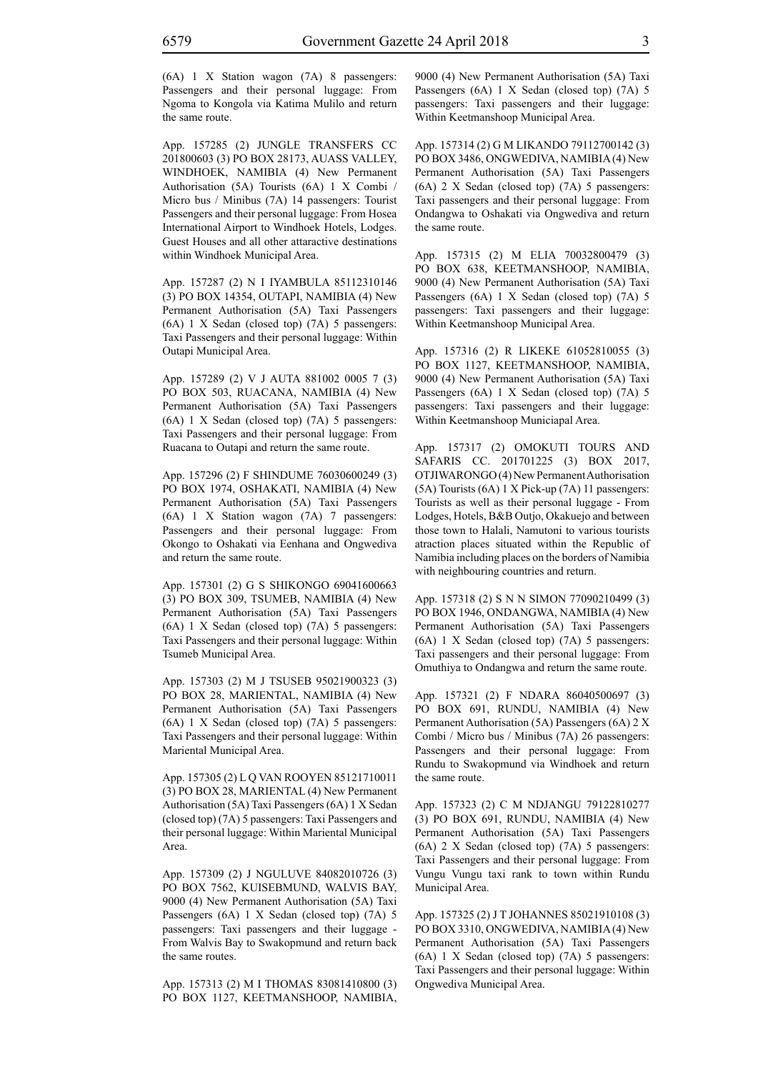(6A) 1 X Station wagon (7A) 8 passengers: Passengers and their personal luggage: From Ngoma to Kongola via Katima Mulilo and return the same route.

App. 157285 (2) JUNGLE TRANSFERS CC 201800603 (3) PO BOX 28173, AUASS VALLEY, WINDHOEK, NAMIBIA (4) New Permanent Authorisation (5A) Tourists (6A) 1 X Combi / Micro bus / Minibus (7A) 14 passengers: Tourist Passengers and their personal luggage: From Hosea International Airport to Windhoek Hotels, Lodges. Guest Houses and all other attaractive destinations within Windhoek Municipal Area.

App. 157287 (2) N I IYAMBULA 85112310146 (3) PO BOX 14354, OUTAPI, NAMIBIA (4) New Permanent Authorisation (5A) Taxi Passengers (6A) 1 X Sedan (closed top) (7A) 5 passengers: Taxi Passengers and their personal luggage: Within Outapi Municipal Area.

App. 157289 (2) V J AUTA 881002 0005 7 (3) PO BOX 503, RUACANA, NAMIBIA (4) New Permanent Authorisation (5A) Taxi Passengers (6A) 1 X Sedan (closed top) (7A) 5 passengers: Taxi Passengers and their personal luggage: From Ruacana to Outapi and return the same route.

App. 157296 (2) F SHINDUME 76030600249 (3) PO BOX 1974, OSHAKATI, NAMIBIA (4) New Permanent Authorisation (5A) Taxi Passengers (6A) 1 X Station wagon (7A) 7 passengers: Passengers and their personal luggage: From Okongo to Oshakati via Eenhana and Ongwediva and return the same route.

App. 157301 (2) G S SHIKONGO 69041600663 (3) PO BOX 309, TSUMEB, NAMIBIA (4) New Permanent Authorisation (5A) Taxi Passengers (6A) 1 X Sedan (closed top) (7A) 5 passengers: Taxi Passengers and their personal luggage: Within Tsumeb Municipal Area.

App. 157303 (2) M J TSUSEB 95021900323 (3) PO BOX 28, MARIENTAL, NAMIBIA (4) New Permanent Authorisation (5A) Taxi Passengers (6A) 1 X Sedan (closed top) (7A) 5 passengers: Taxi Passengers and their personal luggage: Within Mariental Municipal Area.

App. 157305 (2) L Q VAN ROOYEN 85121710011 (3) PO BOX 28, MARIENTAL (4) New Permanent Authorisation (5A) Taxi Passengers (6A) 1 X Sedan (closed top) (7A) 5 passengers: Taxi Passengers and their personal luggage: Within Mariental Municipal Area.

App. 157309 (2) J NGULUVE 84082010726 (3) PO BOX 7562, KUISEBMUND, WALVIS BAY, 9000 (4) New Permanent Authorisation (5A) Taxi Passengers (6A) 1 X Sedan (closed top) (7A) 5 passengers: Taxi passengers and their luggage - From Walvis Bay to Swakopmund and return back the same routes.

App. 157313 (2) M I THOMAS 83081410800 (3) PO BOX 1127, KEETMANSHOOP, NAMIBIA, 9000 (4) New Permanent Authorisation (5A) Taxi Passengers (6A) 1 X Sedan (closed top) (7A) 5 passengers: Taxi passengers and their luggage: Within Keetmanshoop Municipal Area.

App. 157314 (2) G M LIKANDO 79112700142 (3) PO BOX 3486, ONGWEDIVA, NAMIBIA (4) New Permanent Authorisation (5A) Taxi Passengers (6A) 2 X Sedan (closed top) (7A) 5 passengers: Taxi passengers and their personal luggage: From Ondangwa to Oshakati via Ongwediva and return the same route.

App. 157315 (2) M ELIA 70032800479 (3) PO BOX 638, KEETMANSHOOP, NAMIBIA, 9000 (4) New Permanent Authorisation (5A) Taxi Passengers (6A) 1 X Sedan (closed top) (7A) 5 passengers: Taxi passengers and their luggage: Within Keetmanshoop Municipal Area.

App. 157316 (2) R LIKEKE 61052810055 (3) PO BOX 1127, KEETMANSHOOP, NAMIBIA, 9000 (4) New Permanent Authorisation (5A) Taxi Passengers (6A) 1 X Sedan (closed top) (7A) 5 passengers: Taxi passengers and their luggage: Within Keetmanshoop Municiapal Area.

App. 157317 (2) OMOKUTI TOURS AND SAFARIS CC. 201701225 (3) BOX 2017, OTJIWARONGO (4) New Permanent Authorisation (5A) Tourists (6A) 1 X Pick-up (7A) 11 passengers: Tourists as well as their personal luggage - From Lodges, Hotels, B&B Outjo, Okakuejo and between those town to Halali, Namutoni to various tourists atraction places situated within the Republic of Namibia including places on the borders of Namibia with neighbouring countries and return.

App. 157318 (2) S N N SIMON 77090210499 (3) PO BOX 1946, ONDANGWA, NAMIBIA (4) New Permanent Authorisation (5A) Taxi Passengers (6A) 1 X Sedan (closed top) (7A) 5 passengers: Taxi passengers and their personal luggage: From Omuthiya to Ondangwa and return the same route.

App. 157321 (2) F NDARA 86040500697 (3) PO BOX 691, RUNDU, NAMIBIA (4) New Permanent Authorisation (5A) Passengers (6A) 2 X Combi / Micro bus / Minibus (7A) 26 passengers: Passengers and their personal luggage: From Rundu to Swakopmund via Windhoek and return the same route.

App. 157323 (2) C M NDJANGU 79122810277 (3) PO BOX 691, RUNDU, NAMIBIA (4) New Permanent Authorisation (5A) Taxi Passengers (6A) 2 X Sedan (closed top) (7A) 5 passengers: Taxi Passengers and their personal luggage: From Vungu Vungu taxi rank to town within Rundu Municipal Area.

App. 157325 (2) J T JOHANNES 85021910108 (3) PO BOX 3310, ONGWEDIVA, NAMIBIA (4) New Permanent Authorisation (5A) Taxi Passengers (6A) 1 X Sedan (closed top) (7A) 5 passengers: Taxi Passengers and their personal luggage: Within Ongwediva Municipal Area.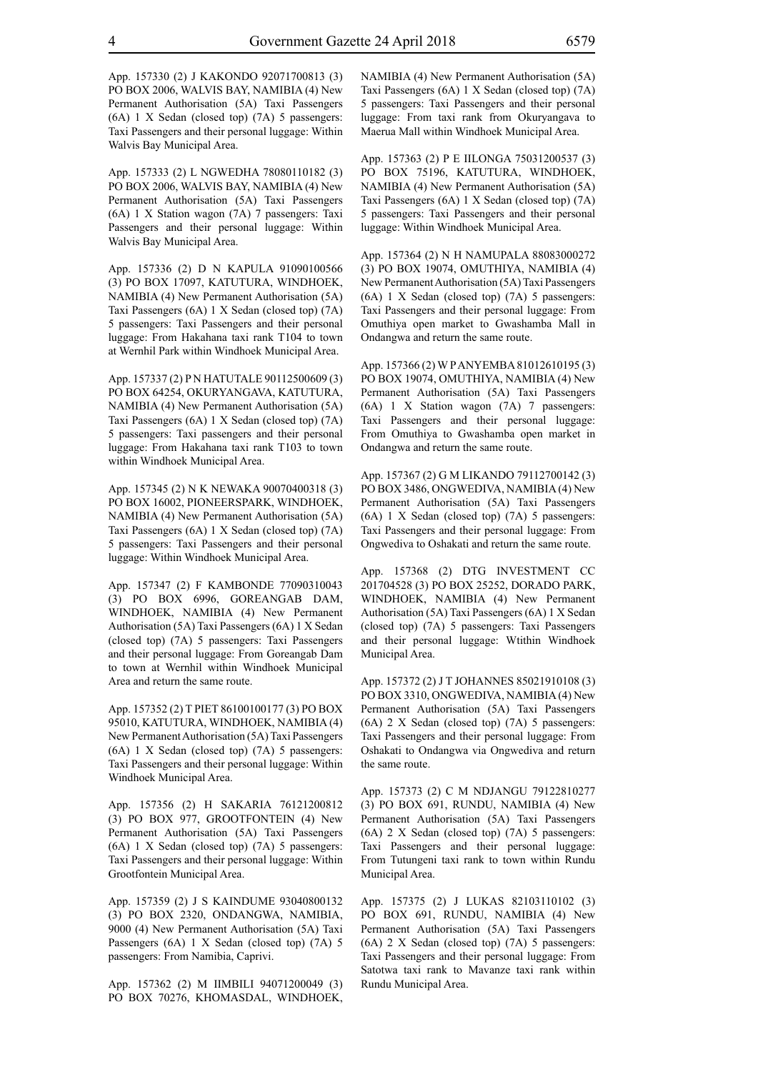App. 157330 (2) J KAKONDO 92071700813 (3) PO BOX 2006, WALVIS BAY, NAMIBIA (4) New Permanent Authorisation (5A) Taxi Passengers (6A) 1 X Sedan (closed top) (7A) 5 passengers: Taxi Passengers and their personal luggage: Within Walvis Bay Municipal Area.

App. 157333 (2) L NGWEDHA 78080110182 (3) PO BOX 2006, WALVIS BAY, NAMIBIA (4) New Permanent Authorisation (5A) Taxi Passengers (6A) 1 X Station wagon (7A) 7 passengers: Taxi Passengers and their personal luggage: Within Walvis Bay Municipal Area.

App. 157336 (2) D N KAPULA 91090100566 (3) PO BOX 17097, KATUTURA, WINDHOEK, NAMIBIA (4) New Permanent Authorisation (5A) Taxi Passengers (6A) 1 X Sedan (closed top) (7A) 5 passengers: Taxi Passengers and their personal luggage: From Hakahana taxi rank T104 to town at Wernhil Park within Windhoek Municipal Area.

App. 157337 (2) P N HATUTALE 90112500609 (3) PO BOX 64254, OKURYANGAVA, KATUTURA, NAMIBIA (4) New Permanent Authorisation (5A) Taxi Passengers (6A) 1 X Sedan (closed top) (7A) 5 passengers: Taxi passengers and their personal luggage: From Hakahana taxi rank T103 to town within Windhoek Municipal Area.

App. 157345 (2) N K NEWAKA 90070400318 (3) PO BOX 16002, PIONEERSPARK, WINDHOEK, NAMIBIA (4) New Permanent Authorisation (5A) Taxi Passengers (6A) 1 X Sedan (closed top) (7A) 5 passengers: Taxi Passengers and their personal luggage: Within Windhoek Municipal Area.

App. 157347 (2) F KAMBONDE 77090310043 (3) PO BOX 6996, GOREANGAB DAM, WINDHOEK, NAMIBIA (4) New Permanent Authorisation (5A) Taxi Passengers (6A) 1 X Sedan (closed top) (7A) 5 passengers: Taxi Passengers and their personal luggage: From Goreangab Dam to town at Wernhil within Windhoek Municipal Area and return the same route.

App. 157352 (2) T PIET 86100100177 (3) PO BOX 95010, KATUTURA, WINDHOEK, NAMIBIA (4) New Permanent Authorisation (5A) Taxi Passengers (6A) 1 X Sedan (closed top) (7A) 5 passengers: Taxi Passengers and their personal luggage: Within Windhoek Municipal Area.

App. 157356 (2) H SAKARIA 76121200812 (3) PO BOX 977, GROOTFONTEIN (4) New Permanent Authorisation (5A) Taxi Passengers (6A) 1 X Sedan (closed top) (7A) 5 passengers: Taxi Passengers and their personal luggage: Within Grootfontein Municipal Area.

App. 157359 (2) J S KAINDUME 93040800132 (3) PO BOX 2320, ONDANGWA, NAMIBIA, 9000 (4) New Permanent Authorisation (5A) Taxi Passengers (6A) 1 X Sedan (closed top) (7A) 5 passengers: From Namibia, Caprivi.

App. 157362 (2) M IIMBILI 94071200049 (3) PO BOX 70276, KHOMASDAL, WINDHOEK, NAMIBIA (4) New Permanent Authorisation (5A) Taxi Passengers (6A) 1 X Sedan (closed top) (7A) 5 passengers: Taxi Passengers and their personal luggage: From taxi rank from Okuryangava to Maerua Mall within Windhoek Municipal Area.

App. 157363 (2) P E IILONGA 75031200537 (3) PO BOX 75196, KATUTURA, WINDHOEK, NAMIBIA (4) New Permanent Authorisation (5A) Taxi Passengers (6A) 1 X Sedan (closed top) (7A) 5 passengers: Taxi Passengers and their personal luggage: Within Windhoek Municipal Area.

App. 157364 (2) N H NAMUPALA 88083000272 (3) PO BOX 19074, OMUTHIYA, NAMIBIA (4) New Permanent Authorisation (5A) Taxi Passengers (6A) 1 X Sedan (closed top) (7A) 5 passengers: Taxi Passengers and their personal luggage: From Omuthiya open market to Gwashamba Mall in Ondangwa and return the same route.

App. 157366 (2) W P ANYEMBA 81012610195 (3) PO BOX 19074, OMUTHIYA, NAMIBIA (4) New Permanent Authorisation (5A) Taxi Passengers (6A) 1 X Station wagon (7A) 7 passengers: Taxi Passengers and their personal luggage: From Omuthiya to Gwashamba open market in Ondangwa and return the same route.

App. 157367 (2) G M LIKANDO 79112700142 (3) PO BOX 3486, ONGWEDIVA, NAMIBIA (4) New Permanent Authorisation (5A) Taxi Passengers (6A) 1 X Sedan (closed top) (7A) 5 passengers: Taxi Passengers and their personal luggage: From Ongwediva to Oshakati and return the same route.

App. 157368 (2) DTG INVESTMENT CC 201704528 (3) PO BOX 25252, DORADO PARK, WINDHOEK, NAMIBIA (4) New Permanent Authorisation (5A) Taxi Passengers (6A) 1 X Sedan (closed top) (7A) 5 passengers: Taxi Passengers and their personal luggage: Wtithin Windhoek Municipal Area.

App. 157372 (2) J T JOHANNES 85021910108 (3) PO BOX 3310, ONGWEDIVA, NAMIBIA (4) New Permanent Authorisation (5A) Taxi Passengers (6A) 2 X Sedan (closed top) (7A) 5 passengers: Taxi Passengers and their personal luggage: From Oshakati to Ondangwa via Ongwediva and return the same route.

App. 157373 (2) C M NDJANGU 79122810277 (3) PO BOX 691, RUNDU, NAMIBIA (4) New Permanent Authorisation (5A) Taxi Passengers (6A) 2 X Sedan (closed top) (7A) 5 passengers: Taxi Passengers and their personal luggage: From Tutungeni taxi rank to town within Rundu Municipal Area.

App. 157375 (2) J LUKAS 82103110102 (3) PO BOX 691, RUNDU, NAMIBIA (4) New Permanent Authorisation (5A) Taxi Passengers (6A) 2 X Sedan (closed top) (7A) 5 passengers: Taxi Passengers and their personal luggage: From Satotwa taxi rank to Mavanze taxi rank within Rundu Municipal Area.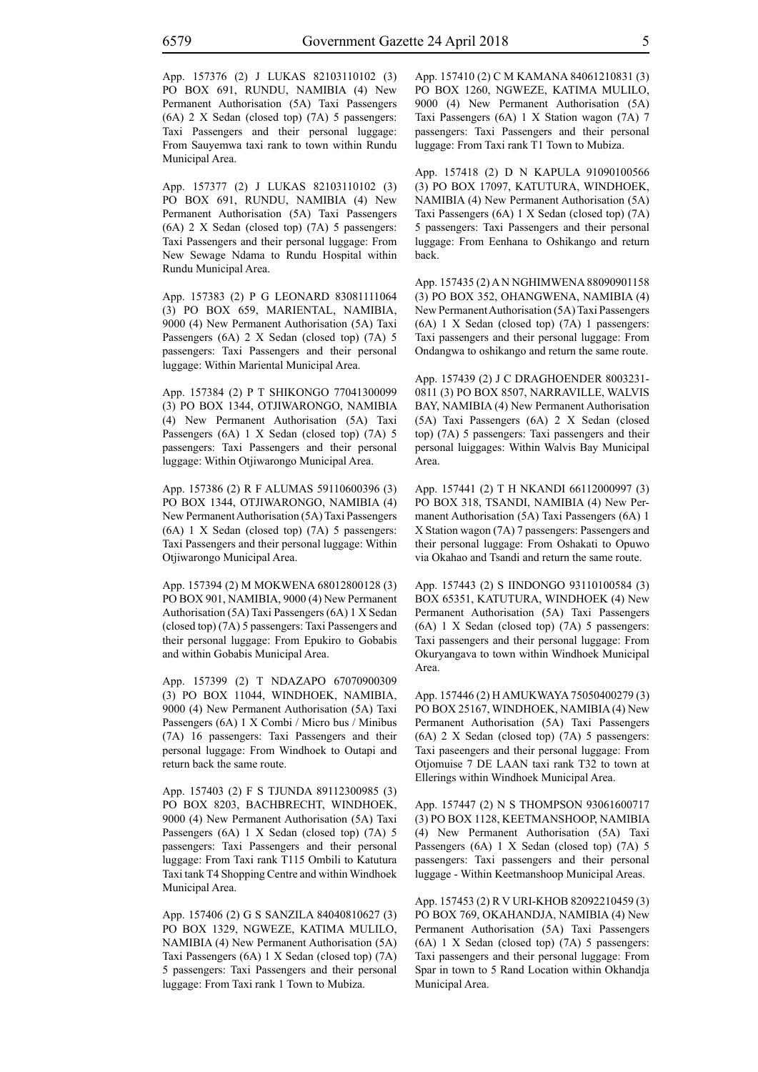App. 157376 (2) J LUKAS 82103110102 (3) PO BOX 691, RUNDU, NAMIBIA (4) New Permanent Authorisation (5A) Taxi Passengers (6A) 2 X Sedan (closed top) (7A) 5 passengers: Taxi Passengers and their personal luggage: From Sauyemwa taxi rank to town within Rundu Municipal Area.

App. 157377 (2) J LUKAS 82103110102 (3) PO BOX 691, RUNDU, NAMIBIA (4) New Permanent Authorisation (5A) Taxi Passengers (6A) 2 X Sedan (closed top) (7A) 5 passengers: Taxi Passengers and their personal luggage: From New Sewage Ndama to Rundu Hospital within Rundu Municipal Area.

App. 157383 (2) P G LEONARD 83081111064 (3) PO BOX 659, MARIENTAL, NAMIBIA, 9000 (4) New Permanent Authorisation (5A) Taxi Passengers (6A) 2 X Sedan (closed top) (7A) 5 passengers: Taxi Passengers and their personal luggage: Within Mariental Municipal Area.

App. 157384 (2) P T SHIKONGO 77041300099 (3) PO BOX 1344, OTJIWARONGO, NAMIBIA (4) New Permanent Authorisation (5A) Taxi Passengers (6A) 1 X Sedan (closed top) (7A) 5 passengers: Taxi Passengers and their personal luggage: Within Otjiwarongo Municipal Area.

App. 157386 (2) R F ALUMAS 59110600396 (3) PO BOX 1344, OTJIWARONGO, NAMIBIA (4) New Permanent Authorisation (5A) Taxi Passengers (6A) 1 X Sedan (closed top) (7A) 5 passengers: Taxi Passengers and their personal luggage: Within Otjiwarongo Municipal Area.

App. 157394 (2) M MOKWENA 68012800128 (3) PO BOX 901, NAMIBIA, 9000 (4) New Permanent Authorisation (5A) Taxi Passengers (6A) 1 X Sedan (closed top) (7A) 5 passengers: Taxi Passengers and their personal luggage: From Epukiro to Gobabis and within Gobabis Municipal Area.

App. 157399 (2) T NDAZAPO 67070900309 (3) PO BOX 11044, WINDHOEK, NAMIBIA, 9000 (4) New Permanent Authorisation (5A) Taxi Passengers (6A) 1 X Combi / Micro bus / Minibus (7A) 16 passengers: Taxi Passengers and their personal luggage: From Windhoek to Outapi and return back the same route.

App. 157403 (2) F S TJUNDA 89112300985 (3) PO BOX 8203, BACHBRECHT, WINDHOEK, 9000 (4) New Permanent Authorisation (5A) Taxi Passengers (6A) 1 X Sedan (closed top) (7A) 5 passengers: Taxi Passengers and their personal luggage: From Taxi rank T115 Ombili to Katutura Taxi tank T4 Shopping Centre and within Windhoek Municipal Area.

App. 157406 (2) G S SANZILA 84040810627 (3) PO BOX 1329, NGWEZE, KATIMA MULILO, NAMIBIA (4) New Permanent Authorisation (5A) Taxi Passengers (6A) 1 X Sedan (closed top) (7A) 5 passengers: Taxi Passengers and their personal luggage: From Taxi rank 1 Town to Mubiza.

App. 157410 (2) C M KAMANA 84061210831 (3) PO BOX 1260, NGWEZE, KATIMA MULILO, 9000 (4) New Permanent Authorisation (5A) Taxi Passengers (6A) 1 X Station wagon (7A) 7 passengers: Taxi Passengers and their personal luggage: From Taxi rank T1 Town to Mubiza.

App. 157418 (2) D N KAPULA 91090100566 (3) PO BOX 17097, KATUTURA, WINDHOEK, NAMIBIA (4) New Permanent Authorisation (5A) Taxi Passengers (6A) 1 X Sedan (closed top) (7A) 5 passengers: Taxi Passengers and their personal luggage: From Eenhana to Oshikango and return back.

App. 157435 (2) A N NGHIMWENA 88090901158 (3) PO BOX 352, OHANGWENA, NAMIBIA (4) New Permanent Authorisation (5A) Taxi Passengers (6A) 1 X Sedan (closed top) (7A) 1 passengers: Taxi passengers and their personal luggage: From Ondangwa to oshikango and return the same route.

App. 157439 (2) J C DRAGHOENDER 8003231- 0811 (3) PO BOX 8507, NARRAVILLE, WALVIS BAY, NAMIBIA (4) New Permanent Authorisation (5A) Taxi Passengers (6A) 2 X Sedan (closed top) (7A) 5 passengers: Taxi passengers and their personal luiggages: Within Walvis Bay Municipal Area.

App. 157441 (2) T H NKANDI 66112000997 (3) PO BOX 318, TSANDI, NAMIBIA (4) New Permanent Authorisation (5A) Taxi Passengers (6A) 1 X Station wagon (7A) 7 passengers: Passengers and their personal luggage: From Oshakati to Opuwo via Okahao and Tsandi and return the same route.

App. 157443 (2) S IINDONGO 93110100584 (3) BOX 65351, KATUTURA, WINDHOEK (4) New Permanent Authorisation (5A) Taxi Passengers (6A) 1 X Sedan (closed top) (7A) 5 passengers: Taxi passengers and their personal luggage: From Okuryangava to town within Windhoek Municipal Area.

App. 157446 (2) H AMUKWAYA 75050400279 (3) PO BOX 25167, WINDHOEK, NAMIBIA (4) New Permanent Authorisation (5A) Taxi Passengers (6A) 2 X Sedan (closed top) (7A) 5 passengers: Taxi paseengers and their personal luggage: From Otjomuise 7 DE LAAN taxi rank T32 to town at Ellerings within Windhoek Municipal Area.

App. 157447 (2) N S THOMPSON 93061600717 (3) PO BOX 1128, KEETMANSHOOP, NAMIBIA (4) New Permanent Authorisation (5A) Taxi Passengers (6A) 1 X Sedan (closed top) (7A) 5 passengers: Taxi passengers and their personal luggage - Within Keetmanshoop Municipal Areas.

App. 157453 (2) R V URI-KHOB 82092210459 (3) PO BOX 769, OKAHANDJA, NAMIBIA (4) New Permanent Authorisation (5A) Taxi Passengers (6A) 1 X Sedan (closed top) (7A) 5 passengers: Taxi passengers and their personal luggage: From Spar in town to 5 Rand Location within Okhandja Municipal Area.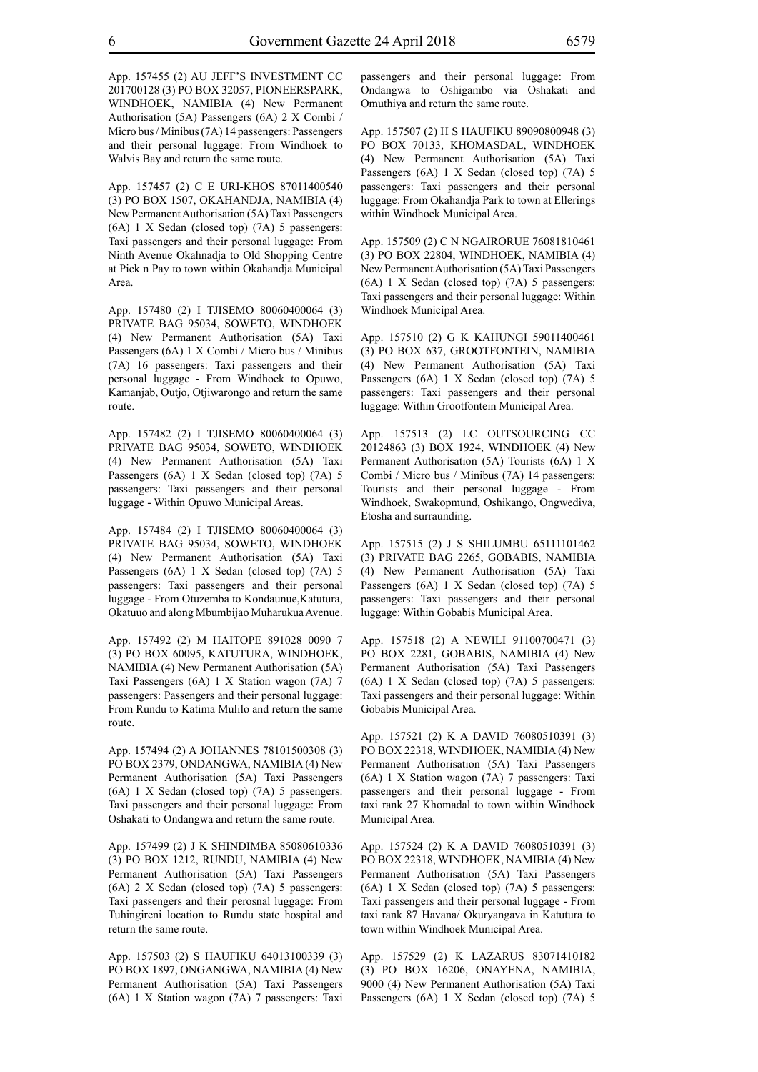App. 157455 (2) AU JEFF'S INVESTMENT CC 201700128 (3) PO BOX 32057, PIONEERSPARK, WINDHOEK, NAMIBIA (4) New Permanent Authorisation (5A) Passengers (6A) 2 X Combi / Micro bus / Minibus (7A) 14 passengers: Passengers and their personal luggage: From Windhoek to Walvis Bay and return the same route.

App. 157457 (2) C E URI-KHOS 87011400540 (3) PO BOX 1507, OKAHANDJA, NAMIBIA (4) New Permanent Authorisation (5A) Taxi Passengers (6A) 1 X Sedan (closed top) (7A) 5 passengers: Taxi passengers and their personal luggage: From Ninth Avenue Okahnadja to Old Shopping Centre at Pick n Pay to town within Okahandja Municipal Area.

App. 157480 (2) I TJISEMO 80060400064 (3) PRIVATE BAG 95034, SOWETO, WINDHOEK (4) New Permanent Authorisation (5A) Taxi Passengers (6A) 1 X Combi / Micro bus / Minibus (7A) 16 passengers: Taxi passengers and their personal luggage - From Windhoek to Opuwo, Kamanjab, Outjo, Otjiwarongo and return the same route.

App. 157482 (2) I TJISEMO 80060400064 (3) PRIVATE BAG 95034, SOWETO, WINDHOEK (4) New Permanent Authorisation (5A) Taxi Passengers (6A) 1 X Sedan (closed top) (7A) 5 passengers: Taxi passengers and their personal luggage - Within Opuwo Municipal Areas.

App. 157484 (2) I TJISEMO 80060400064 (3) PRIVATE BAG 95034, SOWETO, WINDHOEK (4) New Permanent Authorisation (5A) Taxi Passengers (6A) 1 X Sedan (closed top) (7A) 5 passengers: Taxi passengers and their personal luggage - From Otuzemba to Kondaunue,Katutura, Okatuuo and along Mbumbijao Muharukua Avenue.

App. 157492 (2) M HAITOPE 891028 0090 7 (3) PO BOX 60095, KATUTURA, WINDHOEK, NAMIBIA (4) New Permanent Authorisation (5A) Taxi Passengers (6A) 1 X Station wagon (7A) 7 passengers: Passengers and their personal luggage: From Rundu to Katima Mulilo and return the same route.

App. 157494 (2) A JOHANNES 78101500308 (3) PO BOX 2379, ONDANGWA, NAMIBIA (4) New Permanent Authorisation (5A) Taxi Passengers (6A) 1 X Sedan (closed top) (7A) 5 passengers: Taxi passengers and their personal luggage: From Oshakati to Ondangwa and return the same route.

App. 157499 (2) J K SHINDIMBA 85080610336 (3) PO BOX 1212, RUNDU, NAMIBIA (4) New Permanent Authorisation (5A) Taxi Passengers (6A) 2 X Sedan (closed top) (7A) 5 passengers: Taxi passengers and their perosnal luggage: From Tuhingireni location to Rundu state hospital and return the same route.

App. 157503 (2) S HAUFIKU 64013100339 (3) PO BOX 1897, ONGANGWA, NAMIBIA (4) New Permanent Authorisation (5A) Taxi Passengers (6A) 1 X Station wagon (7A) 7 passengers: Taxi passengers and their personal luggage: From Ondangwa to Oshigambo via Oshakati and Omuthiya and return the same route.

App. 157507 (2) H S HAUFIKU 89090800948 (3) PO BOX 70133, KHOMASDAL, WINDHOEK (4) New Permanent Authorisation (5A) Taxi Passengers (6A) 1 X Sedan (closed top) (7A) 5 passengers: Taxi passengers and their personal luggage: From Okahandja Park to town at Ellerings within Windhoek Municipal Area.

App. 157509 (2) C N NGAIRORUE 76081810461 (3) PO BOX 22804, WINDHOEK, NAMIBIA (4) New Permanent Authorisation (5A) Taxi Passengers (6A) 1 X Sedan (closed top) (7A) 5 passengers: Taxi passengers and their personal luggage: Within Windhoek Municipal Area.

App. 157510 (2) G K KAHUNGI 59011400461 (3) PO BOX 637, GROOTFONTEIN, NAMIBIA (4) New Permanent Authorisation (5A) Taxi Passengers (6A) 1 X Sedan (closed top) (7A) 5 passengers: Taxi passengers and their personal luggage: Within Grootfontein Municipal Area.

App. 157513 (2) LC OUTSOURCING CC 20124863 (3) BOX 1924, WINDHOEK (4) New Permanent Authorisation (5A) Tourists (6A) 1 X Combi / Micro bus / Minibus (7A) 14 passengers: Tourists and their personal luggage - From Windhoek, Swakopmund, Oshikango, Ongwediva, Etosha and surraunding.

App. 157515 (2) J S SHILUMBU 65111101462 (3) PRIVATE BAG 2265, GOBABIS, NAMIBIA (4) New Permanent Authorisation (5A) Taxi Passengers (6A) 1 X Sedan (closed top) (7A) 5 passengers: Taxi passengers and their personal luggage: Within Gobabis Municipal Area.

App. 157518 (2) A NEWILI 91100700471 (3) PO BOX 2281, GOBABIS, NAMIBIA (4) New Permanent Authorisation (5A) Taxi Passengers (6A) 1 X Sedan (closed top) (7A) 5 passengers: Taxi passengers and their personal luggage: Within Gobabis Municipal Area.

App. 157521 (2) K A DAVID 76080510391 (3) PO BOX 22318, WINDHOEK, NAMIBIA (4) New Permanent Authorisation (5A) Taxi Passengers (6A) 1 X Station wagon (7A) 7 passengers: Taxi passengers and their personal luggage - From taxi rank 27 Khomadal to town within Windhoek Municipal Area.

App. 157524 (2) K A DAVID 76080510391 (3) PO BOX 22318, WINDHOEK, NAMIBIA (4) New Permanent Authorisation (5A) Taxi Passengers (6A) 1 X Sedan (closed top) (7A) 5 passengers: Taxi passengers and their personal luggage - From taxi rank 87 Havana/ Okuryangava in Katutura to town within Windhoek Municipal Area.

App. 157529 (2) K LAZARUS 83071410182 (3) PO BOX 16206, ONAYENA, NAMIBIA, 9000 (4) New Permanent Authorisation (5A) Taxi Passengers (6A) 1 X Sedan (closed top) (7A) 5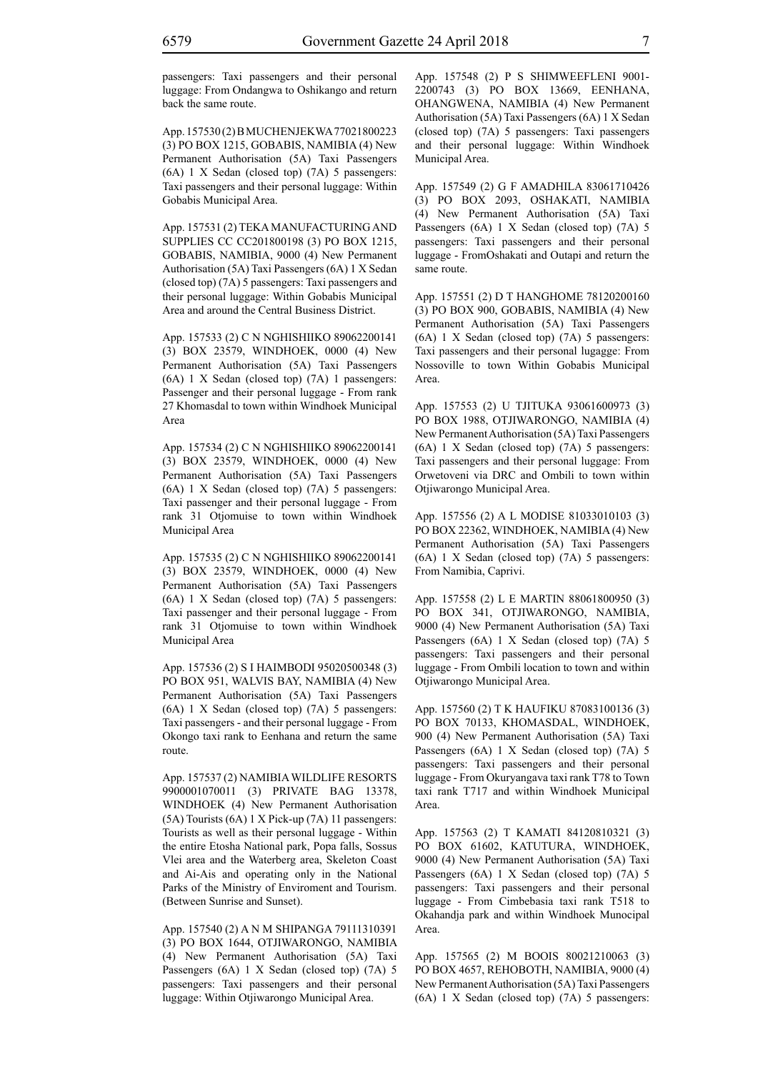passengers: Taxi passengers and their personal luggage: From Ondangwa to Oshikango and return back the same route.

App. 157530 (2) B MUCHENJEKWA 77021800223 (3) PO BOX 1215, GOBABIS, NAMIBIA (4) New Permanent Authorisation (5A) Taxi Passengers (6A) 1 X Sedan (closed top) (7A) 5 passengers: Taxi passengers and their personal luggage: Within Gobabis Municipal Area.

App. 157531 (2) TEKA MANUFACTURING AND SUPPLIES CC CC201800198 (3) PO BOX 1215, GOBABIS, NAMIBIA, 9000 (4) New Permanent Authorisation (5A) Taxi Passengers (6A) 1 X Sedan (closed top) (7A) 5 passengers: Taxi passengers and their personal luggage: Within Gobabis Municipal Area and around the Central Business District.

App. 157533 (2) C N NGHISHIIKO 89062200141 (3) BOX 23579, WINDHOEK, 0000 (4) New Permanent Authorisation (5A) Taxi Passengers (6A) 1 X Sedan (closed top) (7A) 1 passengers: Passenger and their personal luggage - From rank 27 Khomasdal to town within Windhoek Municipal Area

App. 157534 (2) C N NGHISHIIKO 89062200141 (3) BOX 23579, WINDHOEK, 0000 (4) New Permanent Authorisation (5A) Taxi Passengers (6A) 1 X Sedan (closed top) (7A) 5 passengers: Taxi passenger and their personal luggage - From rank 31 Otjomuise to town within Windhoek Municipal Area

App. 157535 (2) C N NGHISHIIKO 89062200141 (3) BOX 23579, WINDHOEK, 0000 (4) New Permanent Authorisation (5A) Taxi Passengers (6A) 1 X Sedan (closed top) (7A) 5 passengers: Taxi passenger and their personal luggage - From rank 31 Otjomuise to town within Windhoek Municipal Area

App. 157536 (2) S I HAIMBODI 95020500348 (3) PO BOX 951, WALVIS BAY, NAMIBIA (4) New Permanent Authorisation (5A) Taxi Passengers (6A) 1 X Sedan (closed top) (7A) 5 passengers: Taxi passengers - and their personal luggage - From Okongo taxi rank to Eenhana and return the same route.

App. 157537 (2) NAMIBIA WILDLIFE RESORTS 9900001070011 (3) PRIVATE BAG 13378, WINDHOEK (4) New Permanent Authorisation (5A) Tourists (6A) 1 X Pick-up (7A) 11 passengers: Tourists as well as their personal luggage - Within the entire Etosha National park, Popa falls, Sossus Vlei area and the Waterberg area, Skeleton Coast and Ai-Ais and operating only in the National Parks of the Ministry of Enviroment and Tourism. (Between Sunrise and Sunset).

App. 157540 (2) A N M SHIPANGA 79111310391 (3) PO BOX 1644, OTJIWARONGO, NAMIBIA (4) New Permanent Authorisation (5A) Taxi Passengers (6A) 1 X Sedan (closed top) (7A) 5 passengers: Taxi passengers and their personal luggage: Within Otjiwarongo Municipal Area.

App. 157548 (2) P S SHIMWEEFLENI 9001- 2200743 (3) PO BOX 13669, EENHANA, OHANGWENA, NAMIBIA (4) New Permanent Authorisation (5A) Taxi Passengers (6A) 1 X Sedan (closed top) (7A) 5 passengers: Taxi passengers and their personal luggage: Within Windhoek Municipal Area.

App. 157549 (2) G F AMADHILA 83061710426 (3) PO BOX 2093, OSHAKATI, NAMIBIA (4) New Permanent Authorisation (5A) Taxi Passengers (6A) 1 X Sedan (closed top) (7A) 5 passengers: Taxi passengers and their personal luggage - FromOshakati and Outapi and return the same route.

App. 157551 (2) D T HANGHOME 78120200160 (3) PO BOX 900, GOBABIS, NAMIBIA (4) New Permanent Authorisation (5A) Taxi Passengers (6A) 1 X Sedan (closed top) (7A) 5 passengers: Taxi passengers and their personal lugagge: From Nossoville to town Within Gobabis Municipal Area.

App. 157553 (2) U TJITUKA 93061600973 (3) PO BOX 1988, OTJIWARONGO, NAMIBIA (4) New Permanent Authorisation (5A) Taxi Passengers (6A) 1 X Sedan (closed top) (7A) 5 passengers: Taxi passengers and their personal luggage: From Orwetoveni via DRC and Ombili to town within Otjiwarongo Municipal Area.

App. 157556 (2) A L MODISE 81033010103 (3) PO BOX 22362, WINDHOEK, NAMIBIA (4) New Permanent Authorisation (5A) Taxi Passengers (6A) 1 X Sedan (closed top) (7A) 5 passengers: From Namibia, Caprivi.

App. 157558 (2) L E MARTIN 88061800950 (3) PO BOX 341, OTJIWARONGO, NAMIBIA, 9000 (4) New Permanent Authorisation (5A) Taxi Passengers (6A) 1 X Sedan (closed top) (7A) 5 passengers: Taxi passengers and their personal luggage - From Ombili location to town and within Otjiwarongo Municipal Area.

App. 157560 (2) T K HAUFIKU 87083100136 (3) PO BOX 70133, KHOMASDAL, WINDHOEK, 900 (4) New Permanent Authorisation (5A) Taxi Passengers (6A) 1 X Sedan (closed top) (7A) 5 passengers: Taxi passengers and their personal luggage - From Okuryangava taxi rank T78 to Town taxi rank T717 and within Windhoek Municipal Area.

App. 157563 (2) T KAMATI 84120810321 (3) PO BOX 61602, KATUTURA, WINDHOEK, 9000 (4) New Permanent Authorisation (5A) Taxi Passengers (6A) 1 X Sedan (closed top) (7A) 5 passengers: Taxi passengers and their personal luggage - From Cimbebasia taxi rank T518 to Okahandja park and within Windhoek Munocipal Area.

App. 157565 (2) M BOOIS 80021210063 (3) PO BOX 4657, REHOBOTH, NAMIBIA, 9000 (4) New Permanent Authorisation (5A) Taxi Passengers (6A) 1 X Sedan (closed top) (7A) 5 passengers: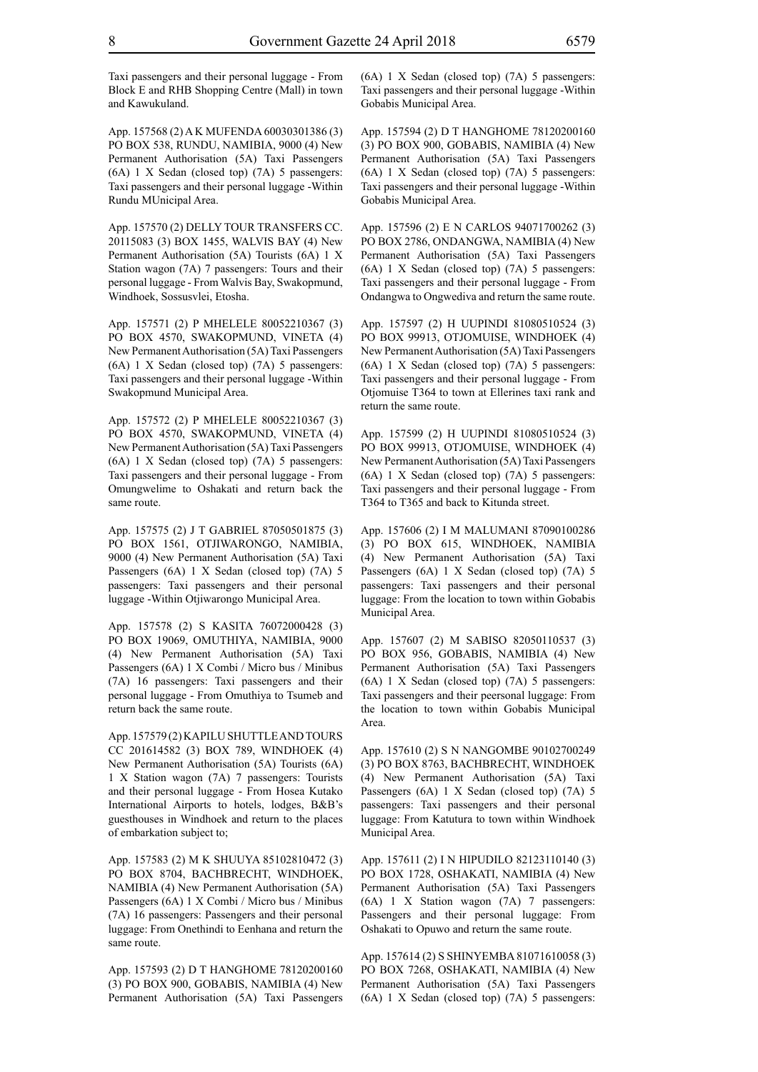Taxi passengers and their personal luggage - From Block E and RHB Shopping Centre (Mall) in town and Kawukuland.

App. 157568 (2) A K MUFENDA 60030301386 (3) PO BOX 538, RUNDU, NAMIBIA, 9000 (4) New Permanent Authorisation (5A) Taxi Passengers (6A) 1 X Sedan (closed top) (7A) 5 passengers: Taxi passengers and their personal luggage -Within Rundu MUnicipal Area.

App. 157570 (2) DELLY TOUR TRANSFERS CC. 20115083 (3) BOX 1455, WALVIS BAY (4) New Permanent Authorisation (5A) Tourists (6A) 1 X Station wagon (7A) 7 passengers: Tours and their personal luggage - From Walvis Bay, Swakopmund, Windhoek, Sossusvlei, Etosha.

App. 157571 (2) P MHELELE 80052210367 (3) PO BOX 4570, SWAKOPMUND, VINETA (4) New Permanent Authorisation (5A) Taxi Passengers (6A) 1 X Sedan (closed top) (7A) 5 passengers: Taxi passengers and their personal luggage -Within Swakopmund Municipal Area.

App. 157572 (2) P MHELELE 80052210367 (3) PO BOX 4570, SWAKOPMUND, VINETA (4) New Permanent Authorisation (5A) Taxi Passengers (6A) 1 X Sedan (closed top) (7A) 5 passengers: Taxi passengers and their personal luggage - From Omungwelime to Oshakati and return back the same route.

App. 157575 (2) J T GABRIEL 87050501875 (3) PO BOX 1561, OTJIWARONGO, NAMIBIA, 9000 (4) New Permanent Authorisation (5A) Taxi Passengers (6A) 1 X Sedan (closed top) (7A) 5 passengers: Taxi passengers and their personal luggage -Within Otjiwarongo Municipal Area.

App. 157578 (2) S KASITA 76072000428 (3) PO BOX 19069, OMUTHIYA, NAMIBIA, 9000 (4) New Permanent Authorisation (5A) Taxi Passengers (6A) 1 X Combi / Micro bus / Minibus (7A) 16 passengers: Taxi passengers and their personal luggage - From Omuthiya to Tsumeb and return back the same route.

App. 157579 (2) KAPILU SHUTTLE AND TOURS CC 201614582 (3) BOX 789, WINDHOEK (4) New Permanent Authorisation (5A) Tourists (6A) 1 X Station wagon (7A) 7 passengers: Tourists and their personal luggage - From Hosea Kutako International Airports to hotels, lodges, B&B's guesthouses in Windhoek and return to the places of embarkation subject to;

App. 157583 (2) M K SHUUYA 85102810472 (3) PO BOX 8704, BACHBRECHT, WINDHOEK, NAMIBIA (4) New Permanent Authorisation (5A) Passengers (6A) 1 X Combi / Micro bus / Minibus (7A) 16 passengers: Passengers and their personal luggage: From Onethindi to Eenhana and return the same route.

App. 157593 (2) D T HANGHOME 78120200160 (3) PO BOX 900, GOBABIS, NAMIBIA (4) New Permanent Authorisation (5A) Taxi Passengers (6A) 1 X Sedan (closed top) (7A) 5 passengers: Taxi passengers and their personal luggage -Within Gobabis Municipal Area.

App. 157594 (2) D T HANGHOME 78120200160 (3) PO BOX 900, GOBABIS, NAMIBIA (4) New Permanent Authorisation (5A) Taxi Passengers (6A) 1 X Sedan (closed top) (7A) 5 passengers: Taxi passengers and their personal luggage -Within Gobabis Municipal Area.

App. 157596 (2) E N CARLOS 94071700262 (3) PO BOX 2786, ONDANGWA, NAMIBIA (4) New Permanent Authorisation (5A) Taxi Passengers (6A) 1 X Sedan (closed top) (7A) 5 passengers: Taxi passengers and their personal luggage - From Ondangwa to Ongwediva and return the same route.

App. 157597 (2) H UUPINDI 81080510524 (3) PO BOX 99913, OTJOMUISE, WINDHOEK (4) New Permanent Authorisation (5A) Taxi Passengers (6A) 1 X Sedan (closed top) (7A) 5 passengers: Taxi passengers and their personal luggage - From Otjomuise T364 to town at Ellerines taxi rank and return the same route.

App. 157599 (2) H UUPINDI 81080510524 (3) PO BOX 99913, OTJOMUISE, WINDHOEK (4) New Permanent Authorisation (5A) Taxi Passengers (6A) 1 X Sedan (closed top) (7A) 5 passengers: Taxi passengers and their personal luggage - From T364 to T365 and back to Kitunda street.

App. 157606 (2) I M MALUMANI 87090100286 (3) PO BOX 615, WINDHOEK, NAMIBIA (4) New Permanent Authorisation (5A) Taxi Passengers (6A) 1 X Sedan (closed top) (7A) 5 passengers: Taxi passengers and their personal luggage: From the location to town within Gobabis Municipal Area.

App. 157607 (2) M SABISO 82050110537 (3) PO BOX 956, GOBABIS, NAMIBIA (4) New Permanent Authorisation (5A) Taxi Passengers (6A) 1 X Sedan (closed top) (7A) 5 passengers: Taxi passengers and their peersonal luggage: From the location to town within Gobabis Municipal Area.

App. 157610 (2) S N NANGOMBE 90102700249 (3) PO BOX 8763, BACHBRECHT, WINDHOEK (4) New Permanent Authorisation (5A) Taxi Passengers (6A) 1 X Sedan (closed top) (7A) 5 passengers: Taxi passengers and their personal luggage: From Katutura to town within Windhoek Municipal Area.

App. 157611 (2) I N HIPUDILO 82123110140 (3) PO BOX 1728, OSHAKATI, NAMIBIA (4) New Permanent Authorisation (5A) Taxi Passengers (6A) 1 X Station wagon (7A) 7 passengers: Passengers and their personal luggage: From Oshakati to Opuwo and return the same route.

App. 157614 (2) S SHINYEMBA 81071610058 (3) PO BOX 7268, OSHAKATI, NAMIBIA (4) New Permanent Authorisation (5A) Taxi Passengers (6A) 1 X Sedan (closed top) (7A) 5 passengers: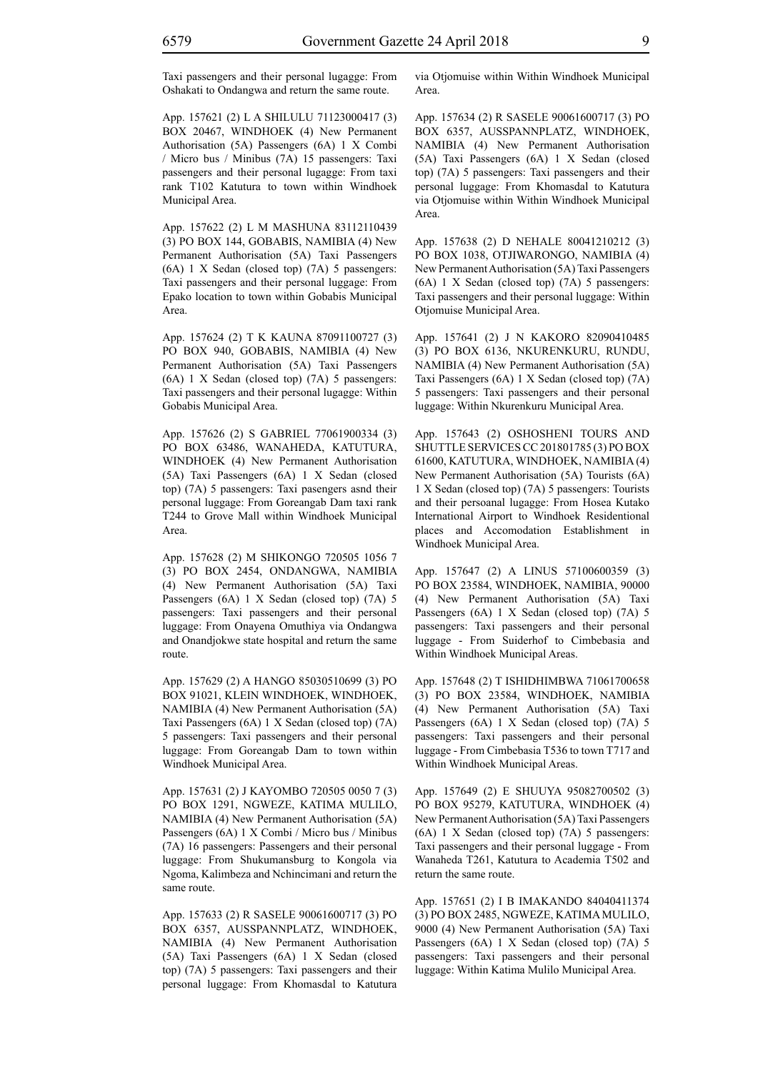Taxi passengers and their personal lugagge: From Oshakati to Ondangwa and return the same route.

App. 157621 (2) L A SHILULU 71123000417 (3) BOX 20467, WINDHOEK (4) New Permanent Authorisation (5A) Passengers (6A) 1 X Combi / Micro bus / Minibus (7A) 15 passengers: Taxi passengers and their personal lugagge: From taxi rank T102 Katutura to town within Windhoek Municipal Area.

App. 157622 (2) L M MASHUNA 83112110439 (3) PO BOX 144, GOBABIS, NAMIBIA (4) New Permanent Authorisation (5A) Taxi Passengers (6A) 1 X Sedan (closed top) (7A) 5 passengers: Taxi passengers and their personal luggage: From Epako location to town within Gobabis Municipal Area.

App. 157624 (2) T K KAUNA 87091100727 (3) PO BOX 940, GOBABIS, NAMIBIA (4) New Permanent Authorisation (5A) Taxi Passengers (6A) 1 X Sedan (closed top) (7A) 5 passengers: Taxi passengers and their personal lugagge: Within Gobabis Municipal Area.

App. 157626 (2) S GABRIEL 77061900334 (3) PO BOX 63486, WANAHEDA, KATUTURA, WINDHOEK (4) New Permanent Authorisation (5A) Taxi Passengers (6A) 1 X Sedan (closed top) (7A) 5 passengers: Taxi pasengers asnd their personal luggage: From Goreangab Dam taxi rank T244 to Grove Mall within Windhoek Municipal Area.

App. 157628 (2) M SHIKONGO 720505 1056 7 (3) PO BOX 2454, ONDANGWA, NAMIBIA (4) New Permanent Authorisation (5A) Taxi Passengers (6A) 1 X Sedan (closed top) (7A) 5 passengers: Taxi passengers and their personal luggage: From Onayena Omuthiya via Ondangwa and Onandjokwe state hospital and return the same route.

App. 157629 (2) A HANGO 85030510699 (3) PO BOX 91021, KLEIN WINDHOEK, WINDHOEK, NAMIBIA (4) New Permanent Authorisation (5A) Taxi Passengers (6A) 1 X Sedan (closed top) (7A) 5 passengers: Taxi passengers and their personal luggage: From Goreangab Dam to town within Windhoek Municipal Area.

App. 157631 (2) J KAYOMBO 720505 0050 7 (3) PO BOX 1291, NGWEZE, KATIMA MULILO, NAMIBIA (4) New Permanent Authorisation (5A) Passengers (6A) 1 X Combi / Micro bus / Minibus (7A) 16 passengers: Passengers and their personal luggage: From Shukumansburg to Kongola via Ngoma, Kalimbeza and Nchincimani and return the same route.

App. 157633 (2) R SASELE 90061600717 (3) PO BOX 6357, AUSSPANNPLATZ, WINDHOEK, NAMIBIA (4) New Permanent Authorisation (5A) Taxi Passengers (6A) 1 X Sedan (closed top) (7A) 5 passengers: Taxi passengers and their personal luggage: From Khomasdal to Katutura via Otjomuise within Within Windhoek Municipal Area.

App. 157634 (2) R SASELE 90061600717 (3) PO BOX 6357, AUSSPANNPLATZ, WINDHOEK, NAMIBIA (4) New Permanent Authorisation (5A) Taxi Passengers (6A) 1 X Sedan (closed top) (7A) 5 passengers: Taxi passengers and their personal luggage: From Khomasdal to Katutura via Otjomuise within Within Windhoek Municipal Area.

App. 157638 (2) D NEHALE 80041210212 (3) PO BOX 1038, OTJIWARONGO, NAMIBIA (4) New Permanent Authorisation (5A) Taxi Passengers (6A) 1 X Sedan (closed top) (7A) 5 passengers: Taxi passengers and their personal luggage: Within Otjomuise Municipal Area.

App. 157641 (2) J N KAKORO 82090410485 (3) PO BOX 6136, NKURENKURU, RUNDU, NAMIBIA (4) New Permanent Authorisation (5A) Taxi Passengers (6A) 1 X Sedan (closed top) (7A) 5 passengers: Taxi passengers and their personal luggage: Within Nkurenkuru Municipal Area.

App. 157643 (2) OSHOSHENI TOURS AND SHUTTLE SERVICES CC 201801785 (3) PO BOX 61600, KATUTURA, WINDHOEK, NAMIBIA (4) New Permanent Authorisation (5A) Tourists (6A) 1 X Sedan (closed top) (7A) 5 passengers: Tourists and their persoanal lugagge: From Hosea Kutako International Airport to Windhoek Residentional places and Accomodation Establishment in Windhoek Municipal Area.

App. 157647 (2) A LINUS 57100600359 (3) PO BOX 23584, WINDHOEK, NAMIBIA, 90000 (4) New Permanent Authorisation (5A) Taxi Passengers (6A) 1 X Sedan (closed top) (7A) 5 passengers: Taxi passengers and their personal luggage - From Suiderhof to Cimbebasia and Within Windhoek Municipal Areas.

App. 157648 (2) T ISHIDHIMBWA 71061700658 (3) PO BOX 23584, WINDHOEK, NAMIBIA (4) New Permanent Authorisation (5A) Taxi Passengers (6A) 1 X Sedan (closed top) (7A) 5 passengers: Taxi passengers and their personal luggage - From Cimbebasia T536 to town T717 and Within Windhoek Municipal Areas.

App. 157649 (2) E SHUUYA 95082700502 (3) PO BOX 95279, KATUTURA, WINDHOEK (4) New Permanent Authorisation (5A) Taxi Passengers (6A) 1 X Sedan (closed top) (7A) 5 passengers: Taxi passengers and their personal luggage - From Wanaheda T261, Katutura to Academia T502 and return the same route.

App. 157651 (2) I B IMAKANDO 84040411374 (3) PO BOX 2485, NGWEZE, KATIMA MULILO, 9000 (4) New Permanent Authorisation (5A) Taxi Passengers (6A) 1 X Sedan (closed top) (7A) 5 passengers: Taxi passengers and their personal luggage: Within Katima Mulilo Municipal Area.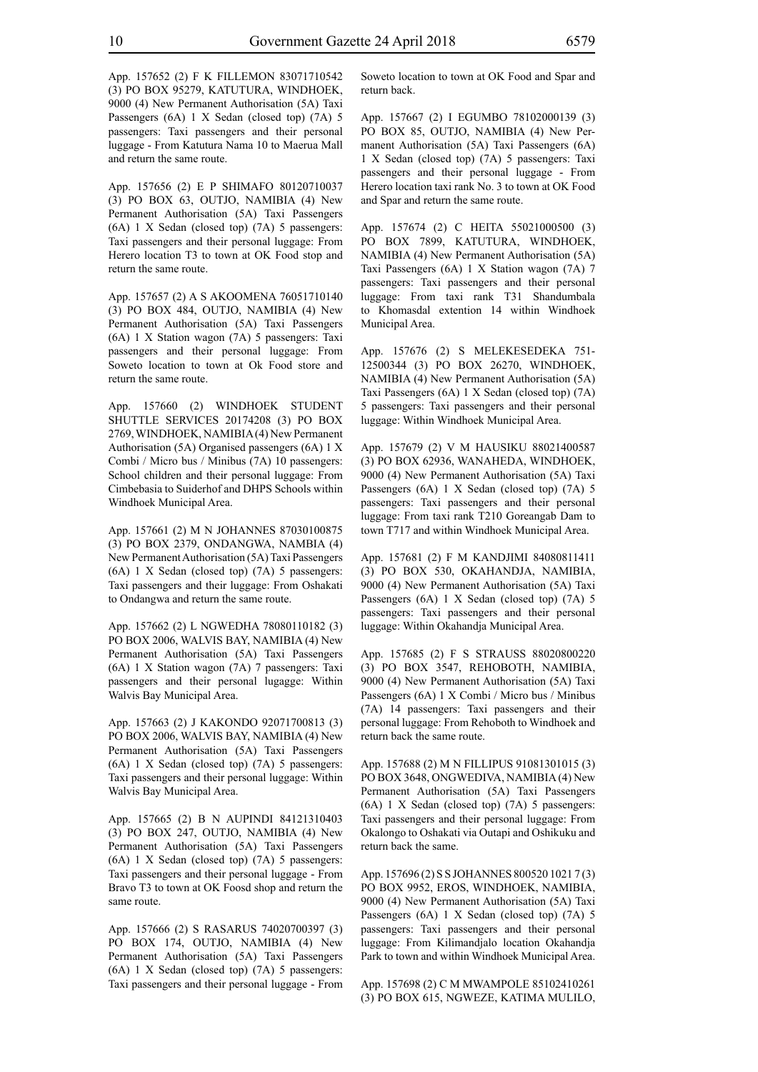App. 157652 (2) F K FILLEMON 83071710542 (3) PO BOX 95279, KATUTURA, WINDHOEK, 9000 (4) New Permanent Authorisation (5A) Taxi Passengers (6A) 1 X Sedan (closed top) (7A) 5 passengers: Taxi passengers and their personal luggage - From Katutura Nama 10 to Maerua Mall and return the same route.

App. 157656 (2) E P SHIMAFO 80120710037 (3) PO BOX 63, OUTJO, NAMIBIA (4) New Permanent Authorisation (5A) Taxi Passengers (6A) 1 X Sedan (closed top) (7A) 5 passengers: Taxi passengers and their personal luggage: From Herero location T3 to town at OK Food stop and return the same route.

App. 157657 (2) A S AKOOMENA 76051710140 (3) PO BOX 484, OUTJO, NAMIBIA (4) New Permanent Authorisation (5A) Taxi Passengers (6A) 1 X Station wagon (7A) 5 passengers: Taxi passengers and their personal luggage: From Soweto location to town at Ok Food store and return the same route.

App. 157660 (2) WINDHOEK STUDENT SHUTTLE SERVICES 20174208 (3) PO BOX 2769, WINDHOEK, NAMIBIA (4) New Permanent Authorisation (5A) Organised passengers (6A) 1 X Combi / Micro bus / Minibus (7A) 10 passengers: School children and their personal luggage: From Cimbebasia to Suiderhof and DHPS Schools within Windhoek Municipal Area.

App. 157661 (2) M N JOHANNES 87030100875 (3) PO BOX 2379, ONDANGWA, NAMBIA (4) New Permanent Authorisation (5A) Taxi Passengers (6A) 1 X Sedan (closed top) (7A) 5 passengers: Taxi passengers and their luggage: From Oshakati to Ondangwa and return the same route.

App. 157662 (2) L NGWEDHA 78080110182 (3) PO BOX 2006, WALVIS BAY, NAMIBIA (4) New Permanent Authorisation (5A) Taxi Passengers (6A) 1 X Station wagon (7A) 7 passengers: Taxi passengers and their personal lugagge: Within Walvis Bay Municipal Area.

App. 157663 (2) J KAKONDO 92071700813 (3) PO BOX 2006, WALVIS BAY, NAMIBIA (4) New Permanent Authorisation (5A) Taxi Passengers (6A) 1 X Sedan (closed top) (7A) 5 passengers: Taxi passengers and their personal luggage: Within Walvis Bay Municipal Area.

App. 157665 (2) B N AUPINDI 84121310403 (3) PO BOX 247, OUTJO, NAMIBIA (4) New Permanent Authorisation (5A) Taxi Passengers (6A) 1 X Sedan (closed top) (7A) 5 passengers: Taxi passengers and their personal luggage - From Bravo T3 to town at OK Foosd shop and return the same route.

App. 157666 (2) S RASARUS 74020700397 (3) PO BOX 174, OUTJO, NAMIBIA (4) New Permanent Authorisation (5A) Taxi Passengers (6A) 1 X Sedan (closed top) (7A) 5 passengers: Taxi passengers and their personal luggage - From Soweto location to town at OK Food and Spar and return back.

App. 157667 (2) I EGUMBO 78102000139 (3) PO BOX 85, OUTJO, NAMIBIA (4) New Permanent Authorisation (5A) Taxi Passengers (6A) 1 X Sedan (closed top) (7A) 5 passengers: Taxi passengers and their personal luggage - From Herero location taxi rank No. 3 to town at OK Food and Spar and return the same route.

App. 157674 (2) C HEITA 55021000500 (3) PO BOX 7899, KATUTURA, WINDHOEK, NAMIBIA (4) New Permanent Authorisation (5A) Taxi Passengers (6A) 1 X Station wagon (7A) 7 passengers: Taxi passengers and their personal luggage: From taxi rank T31 Shandumbala to Khomasdal extention 14 within Windhoek Municipal Area.

App. 157676 (2) S MELEKESEDEKA 751- 12500344 (3) PO BOX 26270, WINDHOEK, NAMIBIA (4) New Permanent Authorisation (5A) Taxi Passengers (6A) 1 X Sedan (closed top) (7A) 5 passengers: Taxi passengers and their personal luggage: Within Windhoek Municipal Area.

App. 157679 (2) V M HAUSIKU 88021400587 (3) PO BOX 62936, WANAHEDA, WINDHOEK, 9000 (4) New Permanent Authorisation (5A) Taxi Passengers (6A) 1 X Sedan (closed top) (7A) 5 passengers: Taxi passengers and their personal luggage: From taxi rank T210 Goreangab Dam to town T717 and within Windhoek Municipal Area.

App. 157681 (2) F M KANDJIMI 84080811411 (3) PO BOX 530, OKAHANDJA, NAMIBIA, 9000 (4) New Permanent Authorisation (5A) Taxi Passengers (6A) 1 X Sedan (closed top) (7A) 5 passengers: Taxi passengers and their personal luggage: Within Okahandja Municipal Area.

App. 157685 (2) F S STRAUSS 88020800220 (3) PO BOX 3547, REHOBOTH, NAMIBIA, 9000 (4) New Permanent Authorisation (5A) Taxi Passengers (6A) 1 X Combi / Micro bus / Minibus (7A) 14 passengers: Taxi passengers and their personal luggage: From Rehoboth to Windhoek and return back the same route.

App. 157688 (2) M N FILLIPUS 91081301015 (3) PO BOX 3648, ONGWEDIVA, NAMIBIA (4) New Permanent Authorisation (5A) Taxi Passengers (6A) 1 X Sedan (closed top) (7A) 5 passengers: Taxi passengers and their personal luggage: From Okalongo to Oshakati via Outapi and Oshikuku and return back the same.

App. 157696 (2) S S JOHANNES 800520 1021 7 (3) PO BOX 9952, EROS, WINDHOEK, NAMIBIA, 9000 (4) New Permanent Authorisation (5A) Taxi Passengers (6A) 1 X Sedan (closed top) (7A) 5 passengers: Taxi passengers and their personal luggage: From Kilimandjalo location Okahandja Park to town and within Windhoek Municipal Area.

App. 157698 (2) C M MWAMPOLE 85102410261 (3) PO BOX 615, NGWEZE, KATIMA MULILO,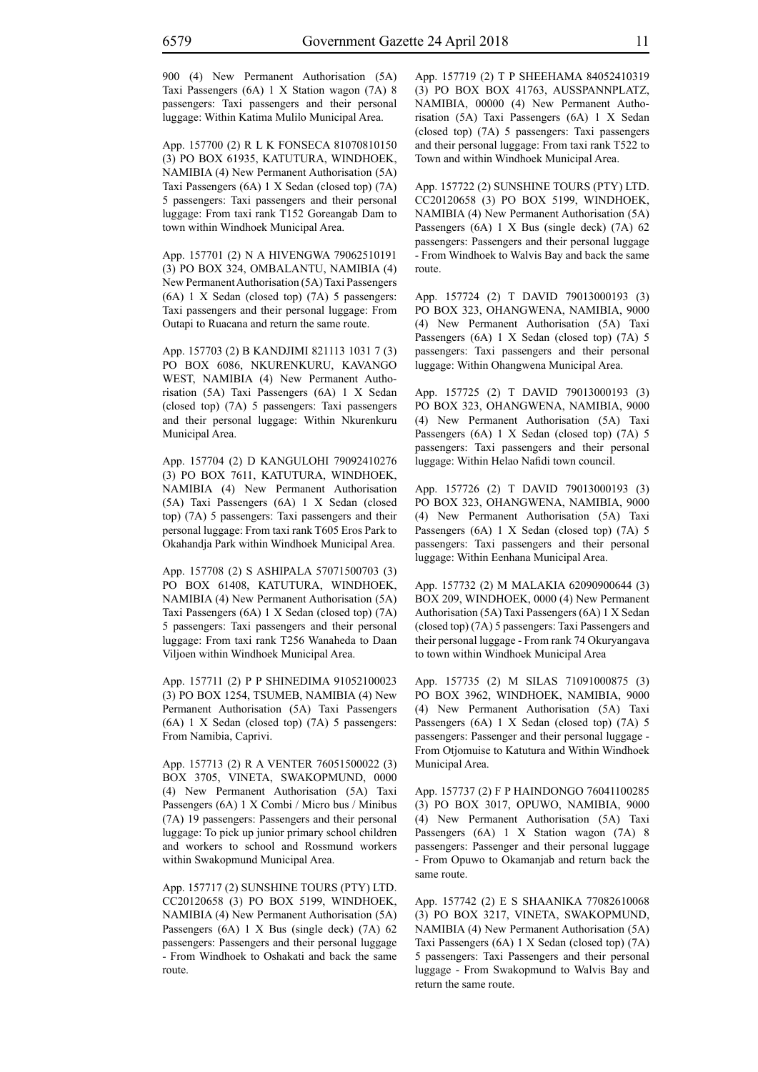900 (4) New Permanent Authorisation (5A) Taxi Passengers (6A) 1 X Station wagon (7A) 8 passengers: Taxi passengers and their personal luggage: Within Katima Mulilo Municipal Area.

App. 157700 (2) R L K FONSECA 81070810150 (3) PO BOX 61935, KATUTURA, WINDHOEK, NAMIBIA (4) New Permanent Authorisation (5A) Taxi Passengers (6A) 1 X Sedan (closed top) (7A) 5 passengers: Taxi passengers and their personal luggage: From taxi rank T152 Goreangab Dam to town within Windhoek Municipal Area.

App. 157701 (2) N A HIVENGWA 79062510191 (3) PO BOX 324, OMBALANTU, NAMIBIA (4) New Permanent Authorisation (5A) Taxi Passengers (6A) 1 X Sedan (closed top) (7A) 5 passengers: Taxi passengers and their personal luggage: From Outapi to Ruacana and return the same route.

App. 157703 (2) B KANDJIMI 821113 1031 7 (3) PO BOX 6086, NKURENKURU, KAVANGO WEST, NAMIBIA (4) New Permanent Authorisation (5A) Taxi Passengers (6A) 1 X Sedan (closed top) (7A) 5 passengers: Taxi passengers and their personal luggage: Within Nkurenkuru Municipal Area.

App. 157704 (2) D KANGULOHI 79092410276 (3) PO BOX 7611, KATUTURA, WINDHOEK, NAMIBIA (4) New Permanent Authorisation (5A) Taxi Passengers (6A) 1 X Sedan (closed top) (7A) 5 passengers: Taxi passengers and their personal luggage: From taxi rank T605 Eros Park to Okahandja Park within Windhoek Municipal Area.

App. 157708 (2) S ASHIPALA 57071500703 (3) PO BOX 61408, KATUTURA, WINDHOEK, NAMIBIA (4) New Permanent Authorisation (5A) Taxi Passengers (6A) 1 X Sedan (closed top) (7A) 5 passengers: Taxi passengers and their personal luggage: From taxi rank T256 Wanaheda to Daan Viljoen within Windhoek Municipal Area.

App. 157711 (2) P P SHINEDIMA 91052100023 (3) PO BOX 1254, TSUMEB, NAMIBIA (4) New Permanent Authorisation (5A) Taxi Passengers (6A) 1 X Sedan (closed top) (7A) 5 passengers: From Namibia, Caprivi.

App. 157713 (2) R A VENTER 76051500022 (3) BOX 3705, VINETA, SWAKOPMUND, 0000 (4) New Permanent Authorisation (5A) Taxi Passengers (6A) 1 X Combi / Micro bus / Minibus (7A) 19 passengers: Passengers and their personal luggage: To pick up junior primary school children and workers to school and Rossmund workers within Swakopmund Municipal Area.

App. 157717 (2) SUNSHINE TOURS (PTY) LTD. CC20120658 (3) PO BOX 5199, WINDHOEK, NAMIBIA (4) New Permanent Authorisation (5A) Passengers (6A) 1 X Bus (single deck) (7A) 62 passengers: Passengers and their personal luggage - From Windhoek to Oshakati and back the same route.

App. 157719 (2) T P SHEEHAMA 84052410319 (3) PO BOX BOX 41763, AUSSPANNPLATZ, NAMIBIA, 00000 (4) New Permanent Authorisation (5A) Taxi Passengers (6A) 1 X Sedan (closed top) (7A) 5 passengers: Taxi passengers and their personal luggage: From taxi rank T522 to Town and within Windhoek Municipal Area.

App. 157722 (2) SUNSHINE TOURS (PTY) LTD. CC20120658 (3) PO BOX 5199, WINDHOEK, NAMIBIA (4) New Permanent Authorisation (5A) Passengers (6A) 1 X Bus (single deck) (7A) 62 passengers: Passengers and their personal luggage - From Windhoek to Walvis Bay and back the same route.

App. 157724 (2) T DAVID 79013000193 (3) PO BOX 323, OHANGWENA, NAMIBIA, 9000 (4) New Permanent Authorisation (5A) Taxi Passengers (6A) 1 X Sedan (closed top) (7A) 5 passengers: Taxi passengers and their personal luggage: Within Ohangwena Municipal Area.

App. 157725 (2) T DAVID 79013000193 (3) PO BOX 323, OHANGWENA, NAMIBIA, 9000 (4) New Permanent Authorisation (5A) Taxi Passengers (6A) 1 X Sedan (closed top) (7A) 5 passengers: Taxi passengers and their personal luggage: Within Helao Nafidi town council.

App. 157726 (2) T DAVID 79013000193 (3) PO BOX 323, OHANGWENA, NAMIBIA, 9000 (4) New Permanent Authorisation (5A) Taxi Passengers (6A) 1 X Sedan (closed top) (7A) 5 passengers: Taxi passengers and their personal luggage: Within Eenhana Municipal Area.

App. 157732 (2) M MALAKIA 62090900644 (3) BOX 209, WINDHOEK, 0000 (4) New Permanent Authorisation (5A) Taxi Passengers (6A) 1 X Sedan (closed top) (7A) 5 passengers: Taxi Passengers and their personal luggage - From rank 74 Okuryangava to town within Windhoek Municipal Area

App. 157735 (2) M SILAS 71091000875 (3) PO BOX 3962, WINDHOEK, NAMIBIA, 9000 (4) New Permanent Authorisation (5A) Taxi Passengers (6A) 1 X Sedan (closed top) (7A) 5 passengers: Passenger and their personal luggage - From Otjomuise to Katutura and Within Windhoek Municipal Area.

App. 157737 (2) F P HAINDONGO 76041100285 (3) PO BOX 3017, OPUWO, NAMIBIA, 9000 (4) New Permanent Authorisation (5A) Taxi Passengers (6A) 1 X Station wagon (7A) 8 passengers: Passenger and their personal luggage - From Opuwo to Okamanjab and return back the same route.

App. 157742 (2) E S SHAANIKA 77082610068 (3) PO BOX 3217, VINETA, SWAKOPMUND, NAMIBIA (4) New Permanent Authorisation (5A) Taxi Passengers (6A) 1 X Sedan (closed top) (7A) 5 passengers: Taxi Passengers and their personal luggage - From Swakopmund to Walvis Bay and return the same route.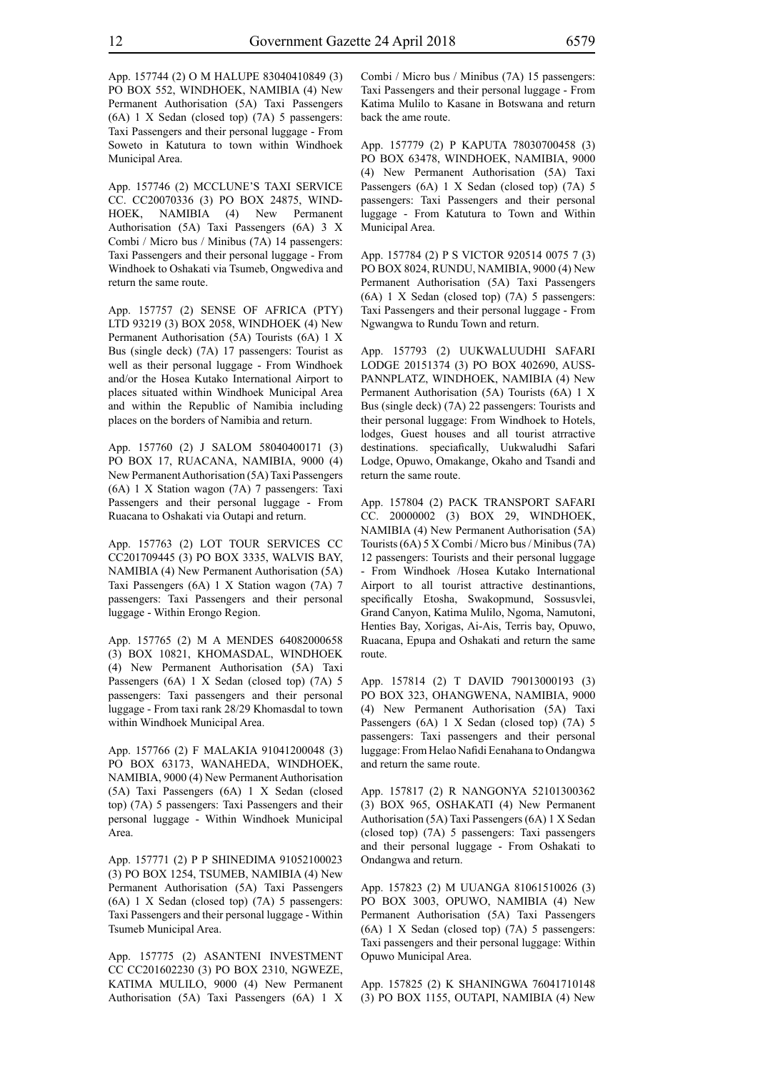App. 157744 (2) O M HALUPE 83040410849 (3) PO BOX 552, WINDHOEK, NAMIBIA (4) New Permanent Authorisation (5A) Taxi Passengers (6A) 1 X Sedan (closed top) (7A) 5 passengers: Taxi Passengers and their personal luggage - From Soweto in Katutura to town within Windhoek Municipal Area.

App. 157746 (2) MCCLUNE'S TAXI SERVICE CC. CC20070336 (3) PO BOX 24875, WIND-HOEK, NAMIBIA (4) New Permanent Authorisation (5A) Taxi Passengers (6A) 3 X Combi / Micro bus / Minibus (7A) 14 passengers: Taxi Passengers and their personal luggage - From Windhoek to Oshakati via Tsumeb, Ongwediva and return the same route.

App. 157757 (2) SENSE OF AFRICA (PTY) LTD 93219 (3) BOX 2058, WINDHOEK (4) New Permanent Authorisation (5A) Tourists (6A) 1 X Bus (single deck) (7A) 17 passengers: Tourist as well as their personal luggage - From Windhoek and/or the Hosea Kutako International Airport to places situated within Windhoek Municipal Area and within the Republic of Namibia including places on the borders of Namibia and return.

App. 157760 (2) J SALOM 58040400171 (3) PO BOX 17, RUACANA, NAMIBIA, 9000 (4) New Permanent Authorisation (5A) Taxi Passengers (6A) 1 X Station wagon (7A) 7 passengers: Taxi Passengers and their personal luggage - From Ruacana to Oshakati via Outapi and return.

App. 157763 (2) LOT TOUR SERVICES CC CC201709445 (3) PO BOX 3335, WALVIS BAY, NAMIBIA (4) New Permanent Authorisation (5A) Taxi Passengers (6A) 1 X Station wagon (7A) 7 passengers: Taxi Passengers and their personal luggage - Within Erongo Region.

App. 157765 (2) M A MENDES 64082000658 (3) BOX 10821, KHOMASDAL, WINDHOEK (4) New Permanent Authorisation (5A) Taxi Passengers (6A) 1 X Sedan (closed top) (7A) 5 passengers: Taxi passengers and their personal luggage - From taxi rank 28/29 Khomasdal to town within Windhoek Municipal Area.

App. 157766 (2) F MALAKIA 91041200048 (3) PO BOX 63173, WANAHEDA, WINDHOEK, NAMIBIA, 9000 (4) New Permanent Authorisation (5A) Taxi Passengers (6A) 1 X Sedan (closed top) (7A) 5 passengers: Taxi Passengers and their personal luggage - Within Windhoek Municipal Area.

App. 157771 (2) P P SHINEDIMA 91052100023 (3) PO BOX 1254, TSUMEB, NAMIBIA (4) New Permanent Authorisation (5A) Taxi Passengers (6A) 1 X Sedan (closed top) (7A) 5 passengers: Taxi Passengers and their personal luggage - Within Tsumeb Municipal Area.

App. 157775 (2) ASANTENI INVESTMENT CC CC201602230 (3) PO BOX 2310, NGWEZE, KATIMA MULILO, 9000 (4) New Permanent Authorisation (5A) Taxi Passengers (6A) 1 X Combi / Micro bus / Minibus (7A) 15 passengers: Taxi Passengers and their personal luggage - From Katima Mulilo to Kasane in Botswana and return back the ame route.

App. 157779 (2) P KAPUTA 78030700458 (3) PO BOX 63478, WINDHOEK, NAMIBIA, 9000 (4) New Permanent Authorisation (5A) Taxi Passengers (6A) 1 X Sedan (closed top) (7A) 5 passengers: Taxi Passengers and their personal luggage - From Katutura to Town and Within Municipal Area.

App. 157784 (2) P S VICTOR 920514 0075 7 (3) PO BOX 8024, RUNDU, NAMIBIA, 9000 (4) New Permanent Authorisation (5A) Taxi Passengers (6A) 1 X Sedan (closed top) (7A) 5 passengers: Taxi Passengers and their personal luggage - From Ngwangwa to Rundu Town and return.

App. 157793 (2) UUKWALUUDHI SAFARI LODGE 20151374 (3) PO BOX 402690, AUSS-PANNPLATZ, WINDHOEK, NAMIBIA (4) New Permanent Authorisation (5A) Tourists (6A) 1 X Bus (single deck) (7A) 22 passengers: Tourists and their personal luggage: From Windhoek to Hotels, lodges, Guest houses and all tourist atrractive destinations. speciafically, Uukwaludhi Safari Lodge, Opuwo, Omakange, Okaho and Tsandi and return the same route.

App. 157804 (2) PACK TRANSPORT SAFARI CC. 20000002 (3) BOX 29, WINDHOEK, NAMIBIA (4) New Permanent Authorisation (5A) Tourists (6A) 5 X Combi / Micro bus / Minibus (7A) 12 passengers: Tourists and their personal luggage - From Windhoek /Hosea Kutako International Airport to all tourist attractive destinantions, specifically Etosha, Swakopmund, Sossusvlei, Grand Canyon, Katima Mulilo, Ngoma, Namutoni, Henties Bay, Xorigas, Ai-Ais, Terris bay, Opuwo, Ruacana, Epupa and Oshakati and return the same route.

App. 157814 (2) T DAVID 79013000193 (3) PO BOX 323, OHANGWENA, NAMIBIA, 9000 (4) New Permanent Authorisation (5A) Taxi Passengers (6A) 1 X Sedan (closed top) (7A) 5 passengers: Taxi passengers and their personal luggage: From Helao Nafidi Eenahana to Ondangwa and return the same route.

App. 157817 (2) R NANGONYA 52101300362 (3) BOX 965, OSHAKATI (4) New Permanent Authorisation (5A) Taxi Passengers (6A) 1 X Sedan (closed top) (7A) 5 passengers: Taxi passengers and their personal luggage - From Oshakati to Ondangwa and return.

App. 157823 (2) M UUANGA 81061510026 (3) PO BOX 3003, OPUWO, NAMIBIA (4) New Permanent Authorisation (5A) Taxi Passengers (6A) 1 X Sedan (closed top) (7A) 5 passengers: Taxi passengers and their personal luggage: Within Opuwo Municipal Area.

App. 157825 (2) K SHANINGWA 76041710148 (3) PO BOX 1155, OUTAPI, NAMIBIA (4) New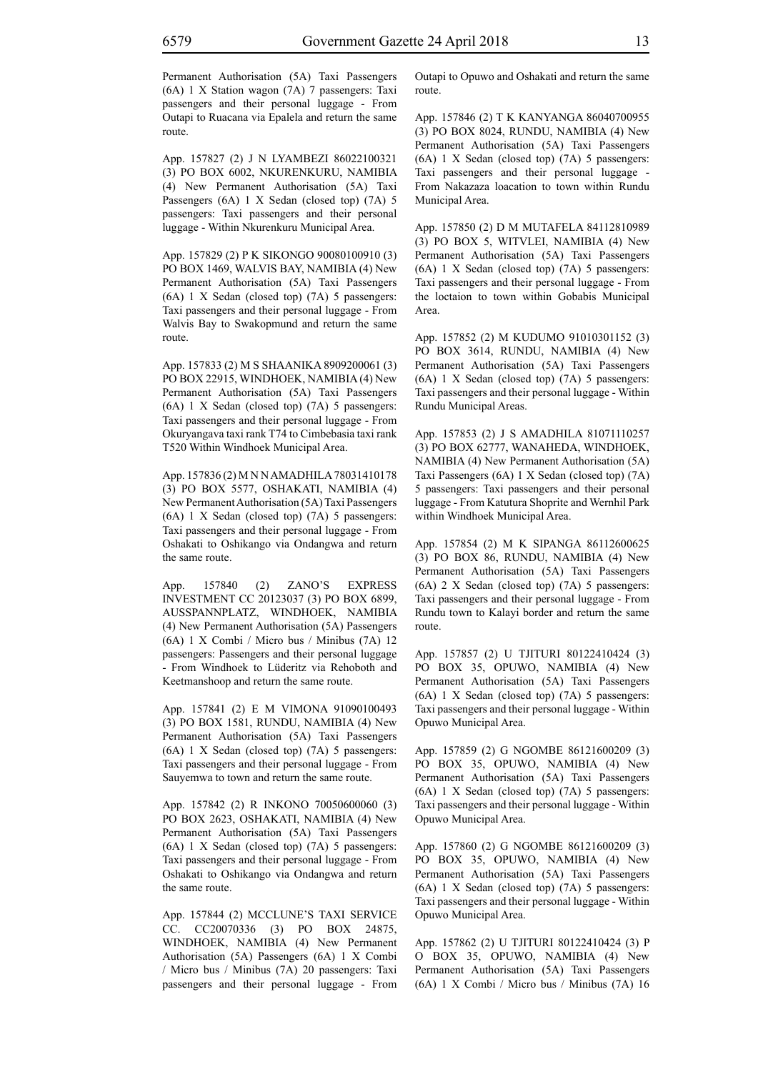Permanent Authorisation (5A) Taxi Passengers (6A) 1 X Station wagon (7A) 7 passengers: Taxi passengers and their personal luggage - From Outapi to Ruacana via Epalela and return the same route.

App. 157827 (2) J N LYAMBEZI 86022100321 (3) PO BOX 6002, NKURENKURU, NAMIBIA (4) New Permanent Authorisation (5A) Taxi Passengers (6A) 1 X Sedan (closed top) (7A) 5 passengers: Taxi passengers and their personal luggage - Within Nkurenkuru Municipal Area.

App. 157829 (2) P K SIKONGO 90080100910 (3) PO BOX 1469, WALVIS BAY, NAMIBIA (4) New Permanent Authorisation (5A) Taxi Passengers (6A) 1 X Sedan (closed top) (7A) 5 passengers: Taxi passengers and their personal luggage - From Walvis Bay to Swakopmund and return the same route.

App. 157833 (2) M S SHAANIKA 8909200061 (3) PO BOX 22915, WINDHOEK, NAMIBIA (4) New Permanent Authorisation (5A) Taxi Passengers (6A) 1 X Sedan (closed top) (7A) 5 passengers: Taxi passengers and their personal luggage - From Okuryangava taxi rank T74 to Cimbebasia taxi rank T520 Within Windhoek Municipal Area.

App. 157836 (2) M N N AMADHILA 78031410178 (3) PO BOX 5577, OSHAKATI, NAMIBIA (4) New Permanent Authorisation (5A) Taxi Passengers (6A) 1 X Sedan (closed top) (7A) 5 passengers: Taxi passengers and their personal luggage - From Oshakati to Oshikango via Ondangwa and return the same route.

App. 157840 (2) ZANO'S EXPRESS INVESTMENT CC 20123037 (3) PO BOX 6899, AUSSPANNPLATZ, WINDHOEK, NAMIBIA (4) New Permanent Authorisation (5A) Passengers (6A) 1 X Combi / Micro bus / Minibus (7A) 12 passengers: Passengers and their personal luggage - From Windhoek to Lüderitz via Rehoboth and Keetmanshoop and return the same route.

App. 157841 (2) E M VIMONA 91090100493 (3) PO BOX 1581, RUNDU, NAMIBIA (4) New Permanent Authorisation (5A) Taxi Passengers (6A) 1 X Sedan (closed top) (7A) 5 passengers: Taxi passengers and their personal luggage - From Sauyemwa to town and return the same route.

App. 157842 (2) R INKONO 70050600060 (3) PO BOX 2623, OSHAKATI, NAMIBIA (4) New Permanent Authorisation (5A) Taxi Passengers (6A) 1 X Sedan (closed top) (7A) 5 passengers: Taxi passengers and their personal luggage - From Oshakati to Oshikango via Ondangwa and return the same route.

App. 157844 (2) MCCLUNE'S TAXI SERVICE CC. CC20070336 (3) PO BOX 24875, WINDHOEK, NAMIBIA (4) New Permanent Authorisation (5A) Passengers (6A) 1 X Combi / Micro bus / Minibus (7A) 20 passengers: Taxi passengers and their personal luggage - From Outapi to Opuwo and Oshakati and return the same route.

App. 157846 (2) T K KANYANGA 86040700955 (3) PO BOX 8024, RUNDU, NAMIBIA (4) New Permanent Authorisation (5A) Taxi Passengers (6A) 1 X Sedan (closed top) (7A) 5 passengers: Taxi passengers and their personal luggage - From Nakazaza loacation to town within Rundu Municipal Area.

App. 157850 (2) D M MUTAFELA 84112810989 (3) PO BOX 5, WITVLEI, NAMIBIA (4) New Permanent Authorisation (5A) Taxi Passengers (6A) 1 X Sedan (closed top) (7A) 5 passengers: Taxi passengers and their personal luggage - From the loctaion to town within Gobabis Municipal Area.

App. 157852 (2) M KUDUMO 91010301152 (3) PO BOX 3614, RUNDU, NAMIBIA (4) New Permanent Authorisation (5A) Taxi Passengers (6A) 1 X Sedan (closed top) (7A) 5 passengers: Taxi passengers and their personal luggage - Within Rundu Municipal Areas.

App. 157853 (2) J S AMADHILA 81071110257 (3) PO BOX 62777, WANAHEDA, WINDHOEK, NAMIBIA (4) New Permanent Authorisation (5A) Taxi Passengers (6A) 1 X Sedan (closed top) (7A) 5 passengers: Taxi passengers and their personal luggage - From Katutura Shoprite and Wernhil Park within Windhoek Municipal Area.

App. 157854 (2) M K SIPANGA 86112600625 (3) PO BOX 86, RUNDU, NAMIBIA (4) New Permanent Authorisation (5A) Taxi Passengers (6A) 2 X Sedan (closed top) (7A) 5 passengers: Taxi passengers and their personal luggage - From Rundu town to Kalayi border and return the same route.

App. 157857 (2) U TJITURI 80122410424 (3) PO BOX 35, OPUWO, NAMIBIA (4) New Permanent Authorisation (5A) Taxi Passengers (6A) 1 X Sedan (closed top) (7A) 5 passengers: Taxi passengers and their personal luggage - Within Opuwo Municipal Area.

App. 157859 (2) G NGOMBE 86121600209 (3) PO BOX 35, OPUWO, NAMIBIA (4) New Permanent Authorisation (5A) Taxi Passengers (6A) 1 X Sedan (closed top) (7A) 5 passengers: Taxi passengers and their personal luggage - Within Opuwo Municipal Area.

App. 157860 (2) G NGOMBE 86121600209 (3) PO BOX 35, OPUWO, NAMIBIA (4) New Permanent Authorisation (5A) Taxi Passengers (6A) 1 X Sedan (closed top) (7A) 5 passengers: Taxi passengers and their personal luggage - Within Opuwo Municipal Area.

App. 157862 (2) U TJITURI 80122410424 (3) P O BOX 35, OPUWO, NAMIBIA (4) New Permanent Authorisation (5A) Taxi Passengers (6A) 1 X Combi / Micro bus / Minibus (7A) 16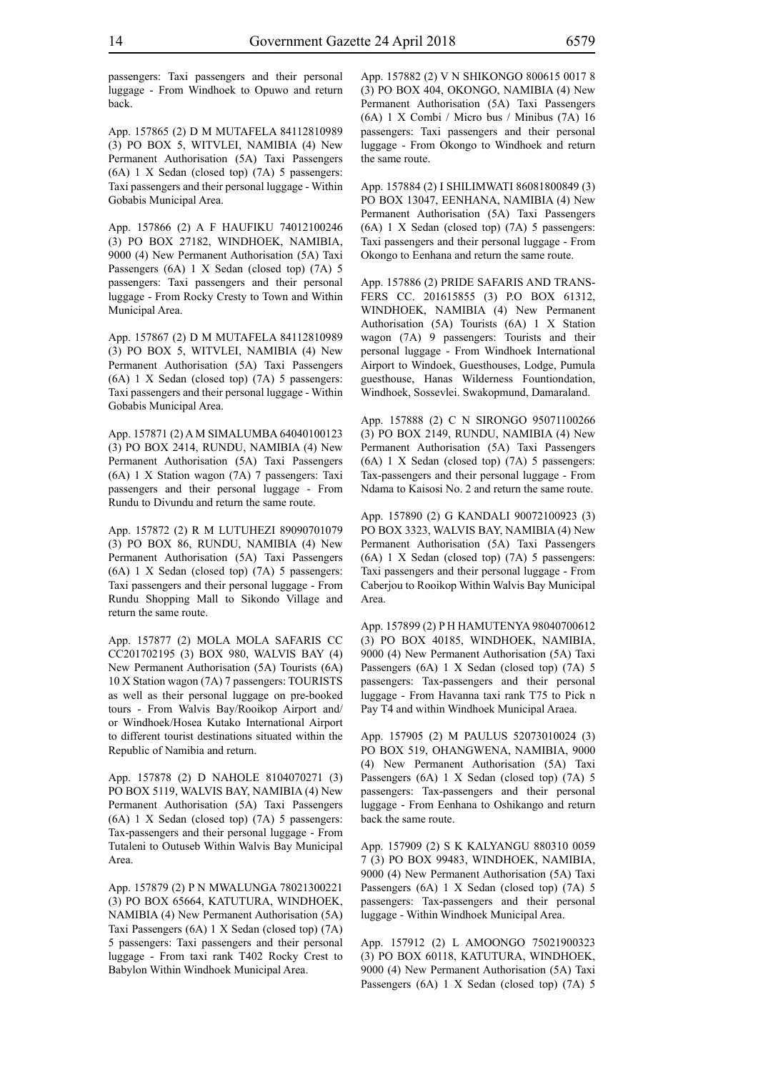passengers: Taxi passengers and their personal luggage - From Windhoek to Opuwo and return back.

App. 157865 (2) D M MUTAFELA 84112810989 (3) PO BOX 5, WITVLEI, NAMIBIA (4) New Permanent Authorisation (5A) Taxi Passengers (6A) 1 X Sedan (closed top) (7A) 5 passengers: Taxi passengers and their personal luggage - Within Gobabis Municipal Area.

App. 157866 (2) A F HAUFIKU 74012100246 (3) PO BOX 27182, WINDHOEK, NAMIBIA, 9000 (4) New Permanent Authorisation (5A) Taxi Passengers (6A) 1 X Sedan (closed top) (7A) 5 passengers: Taxi passengers and their personal luggage - From Rocky Cresty to Town and Within Municipal Area.

App. 157867 (2) D M MUTAFELA 84112810989 (3) PO BOX 5, WITVLEI, NAMIBIA (4) New Permanent Authorisation (5A) Taxi Passengers (6A) 1 X Sedan (closed top) (7A) 5 passengers: Taxi passengers and their personal luggage - Within Gobabis Municipal Area.

App. 157871 (2) A M SIMALUMBA 64040100123 (3) PO BOX 2414, RUNDU, NAMIBIA (4) New Permanent Authorisation (5A) Taxi Passengers (6A) 1 X Station wagon (7A) 7 passengers: Taxi passengers and their personal luggage - From Rundu to Divundu and return the same route.

App. 157872 (2) R M LUTUHEZI 89090701079 (3) PO BOX 86, RUNDU, NAMIBIA (4) New Permanent Authorisation (5A) Taxi Passengers (6A) 1 X Sedan (closed top) (7A) 5 passengers: Taxi passengers and their personal luggage - From Rundu Shopping Mall to Sikondo Village and return the same route.

App. 157877 (2) MOLA MOLA SAFARIS CC CC201702195 (3) BOX 980, WALVIS BAY (4) New Permanent Authorisation (5A) Tourists (6A) 10 X Station wagon (7A) 7 passengers: TOURISTS as well as their personal luggage on pre-booked tours - From Walvis Bay/Rooikop Airport and/ or Windhoek/Hosea Kutako International Airport to different tourist destinations situated within the Republic of Namibia and return.

App. 157878 (2) D NAHOLE 8104070271 (3) PO BOX 5119, WALVIS BAY, NAMIBIA (4) New Permanent Authorisation (5A) Taxi Passengers (6A) 1 X Sedan (closed top) (7A) 5 passengers: Tax-passengers and their personal luggage - From Tutaleni to Outuseb Within Walvis Bay Municipal Area.

App. 157879 (2) P N MWALUNGA 78021300221 (3) PO BOX 65664, KATUTURA, WINDHOEK, NAMIBIA (4) New Permanent Authorisation (5A) Taxi Passengers (6A) 1 X Sedan (closed top) (7A) 5 passengers: Taxi passengers and their personal luggage - From taxi rank T402 Rocky Crest to Babylon Within Windhoek Municipal Area.

App. 157882 (2) V N SHIKONGO 800615 0017 8 (3) PO BOX 404, OKONGO, NAMIBIA (4) New Permanent Authorisation (5A) Taxi Passengers (6A) 1 X Combi / Micro bus / Minibus (7A) 16 passengers: Taxi passengers and their personal luggage - From Okongo to Windhoek and return the same route.

App. 157884 (2) I SHILIMWATI 86081800849 (3) PO BOX 13047, EENHANA, NAMIBIA (4) New Permanent Authorisation (5A) Taxi Passengers (6A) 1 X Sedan (closed top) (7A) 5 passengers: Taxi passengers and their personal luggage - From Okongo to Eenhana and return the same route.

App. 157886 (2) PRIDE SAFARIS AND TRANS-FERS CC. 201615855 (3) P.O BOX 61312, WINDHOEK, NAMIBIA (4) New Permanent Authorisation (5A) Tourists (6A) 1 X Station wagon (7A) 9 passengers: Tourists and their personal luggage - From Windhoek International Airport to Windoek, Guesthouses, Lodge, Pumula guesthouse, Hanas Wilderness Fountiondation, Windhoek, Sossevlei. Swakopmund, Damaraland.

App. 157888 (2) C N SIRONGO 95071100266 (3) PO BOX 2149, RUNDU, NAMIBIA (4) New Permanent Authorisation (5A) Taxi Passengers (6A) 1 X Sedan (closed top) (7A) 5 passengers: Tax-passengers and their personal luggage - From Ndama to Kaisosi No. 2 and return the same route.

App. 157890 (2) G KANDALI 90072100923 (3) PO BOX 3323, WALVIS BAY, NAMIBIA (4) New Permanent Authorisation (5A) Taxi Passengers (6A) 1 X Sedan (closed top) (7A) 5 passengers: Taxi passengers and their personal luggage - From Caberjou to Rooikop Within Walvis Bay Municipal Area.

App. 157899 (2) P H HAMUTENYA 98040700612 (3) PO BOX 40185, WINDHOEK, NAMIBIA, 9000 (4) New Permanent Authorisation (5A) Taxi Passengers (6A) 1 X Sedan (closed top) (7A) 5 passengers: Tax-passengers and their personal luggage - From Havanna taxi rank T75 to Pick n Pay T4 and within Windhoek Municipal Araea.

App. 157905 (2) M PAULUS 52073010024 (3) PO BOX 519, OHANGWENA, NAMIBIA, 9000 (4) New Permanent Authorisation (5A) Taxi Passengers (6A) 1 X Sedan (closed top) (7A) 5 passengers: Tax-passengers and their personal luggage - From Eenhana to Oshikango and return back the same route.

App. 157909 (2) S K KALYANGU 880310 0059 7 (3) PO BOX 99483, WINDHOEK, NAMIBIA, 9000 (4) New Permanent Authorisation (5A) Taxi Passengers (6A) 1 X Sedan (closed top) (7A) 5 passengers: Tax-passengers and their personal luggage - Within Windhoek Municipal Area.

App. 157912 (2) L AMOONGO 75021900323 (3) PO BOX 60118, KATUTURA, WINDHOEK, 9000 (4) New Permanent Authorisation (5A) Taxi Passengers (6A) 1 X Sedan (closed top) (7A) 5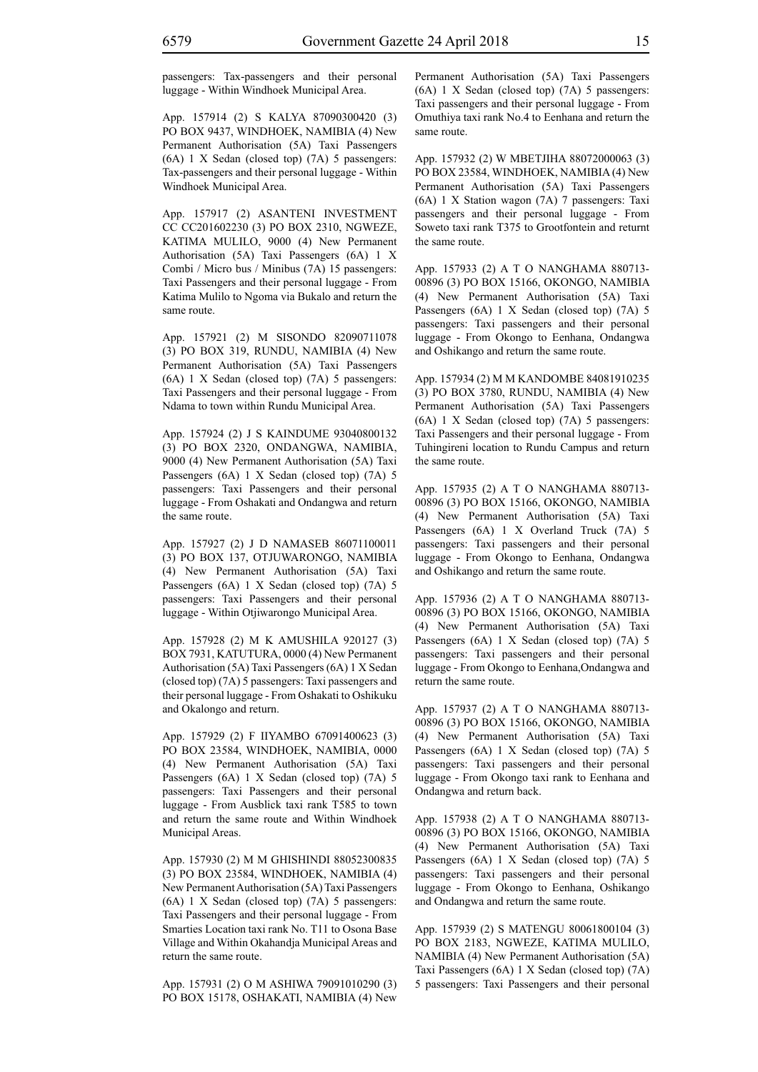passengers: Tax-passengers and their personal luggage - Within Windhoek Municipal Area.

App. 157914 (2) S KALYA 87090300420 (3) PO BOX 9437, WINDHOEK, NAMIBIA (4) New Permanent Authorisation (5A) Taxi Passengers (6A) 1 X Sedan (closed top) (7A) 5 passengers: Tax-passengers and their personal luggage - Within Windhoek Municipal Area.

App. 157917 (2) ASANTENI INVESTMENT CC CC201602230 (3) PO BOX 2310, NGWEZE, KATIMA MULILO, 9000 (4) New Permanent Authorisation (5A) Taxi Passengers (6A) 1 X Combi / Micro bus / Minibus (7A) 15 passengers: Taxi Passengers and their personal luggage - From Katima Mulilo to Ngoma via Bukalo and return the same route.

App. 157921 (2) M SISONDO 82090711078 (3) PO BOX 319, RUNDU, NAMIBIA (4) New Permanent Authorisation (5A) Taxi Passengers (6A) 1 X Sedan (closed top) (7A) 5 passengers: Taxi Passengers and their personal luggage - From Ndama to town within Rundu Municipal Area.

App. 157924 (2) J S KAINDUME 93040800132 (3) PO BOX 2320, ONDANGWA, NAMIBIA, 9000 (4) New Permanent Authorisation (5A) Taxi Passengers (6A) 1 X Sedan (closed top) (7A) 5 passengers: Taxi Passengers and their personal luggage - From Oshakati and Ondangwa and return the same route.

App. 157927 (2) J D NAMASEB 86071100011 (3) PO BOX 137, OTJUWARONGO, NAMIBIA (4) New Permanent Authorisation (5A) Taxi Passengers (6A) 1 X Sedan (closed top) (7A) 5 passengers: Taxi Passengers and their personal luggage - Within Otjiwarongo Municipal Area.

App. 157928 (2) M K AMUSHILA 920127 (3) BOX 7931, KATUTURA, 0000 (4) New Permanent Authorisation (5A) Taxi Passengers (6A) 1 X Sedan (closed top) (7A) 5 passengers: Taxi passengers and their personal luggage - From Oshakati to Oshikuku and Okalongo and return.

App. 157929 (2) F IIYAMBO 67091400623 (3) PO BOX 23584, WINDHOEK, NAMIBIA, 0000 (4) New Permanent Authorisation (5A) Taxi Passengers (6A) 1 X Sedan (closed top) (7A) 5 passengers: Taxi Passengers and their personal luggage - From Ausblick taxi rank T585 to town and return the same route and Within Windhoek Municipal Areas.

App. 157930 (2) M M GHISHINDI 88052300835 (3) PO BOX 23584, WINDHOEK, NAMIBIA (4) New Permanent Authorisation (5A) Taxi Passengers (6A) 1 X Sedan (closed top) (7A) 5 passengers: Taxi Passengers and their personal luggage - From Smarties Location taxi rank No. T11 to Osona Base Village and Within Okahandja Municipal Areas and return the same route.

App. 157931 (2) O M ASHIWA 79091010290 (3) PO BOX 15178, OSHAKATI, NAMIBIA (4) New Permanent Authorisation (5A) Taxi Passengers (6A) 1 X Sedan (closed top) (7A) 5 passengers: Taxi passengers and their personal luggage - From Omuthiya taxi rank No.4 to Eenhana and return the same route.

App. 157932 (2) W MBETJIHA 88072000063 (3) PO BOX 23584, WINDHOEK, NAMIBIA (4) New Permanent Authorisation (5A) Taxi Passengers (6A) 1 X Station wagon (7A) 7 passengers: Taxi passengers and their personal luggage - From Soweto taxi rank T375 to Grootfontein and returnt the same route.

App. 157933 (2) A T O NANGHAMA 880713- 00896 (3) PO BOX 15166, OKONGO, NAMIBIA (4) New Permanent Authorisation (5A) Taxi Passengers (6A) 1 X Sedan (closed top) (7A) 5 passengers: Taxi passengers and their personal luggage - From Okongo to Eenhana, Ondangwa and Oshikango and return the same route.

App. 157934 (2) M M KANDOMBE 84081910235 (3) PO BOX 3780, RUNDU, NAMIBIA (4) New Permanent Authorisation (5A) Taxi Passengers (6A) 1 X Sedan (closed top) (7A) 5 passengers: Taxi Passengers and their personal luggage - From Tuhingireni location to Rundu Campus and return the same route.

App. 157935 (2) A T O NANGHAMA 880713- 00896 (3) PO BOX 15166, OKONGO, NAMIBIA (4) New Permanent Authorisation (5A) Taxi Passengers (6A) 1 X Overland Truck (7A) 5 passengers: Taxi passengers and their personal luggage - From Okongo to Eenhana, Ondangwa and Oshikango and return the same route.

App. 157936 (2) A T O NANGHAMA 880713- 00896 (3) PO BOX 15166, OKONGO, NAMIBIA (4) New Permanent Authorisation (5A) Taxi Passengers (6A) 1 X Sedan (closed top) (7A) 5 passengers: Taxi passengers and their personal luggage - From Okongo to Eenhana,Ondangwa and return the same route.

App. 157937 (2) A T O NANGHAMA 880713- 00896 (3) PO BOX 15166, OKONGO, NAMIBIA (4) New Permanent Authorisation (5A) Taxi Passengers (6A) 1 X Sedan (closed top) (7A) 5 passengers: Taxi passengers and their personal luggage - From Okongo taxi rank to Eenhana and Ondangwa and return back.

App. 157938 (2) A T O NANGHAMA 880713- 00896 (3) PO BOX 15166, OKONGO, NAMIBIA (4) New Permanent Authorisation (5A) Taxi Passengers (6A) 1 X Sedan (closed top) (7A) 5 passengers: Taxi passengers and their personal luggage - From Okongo to Eenhana, Oshikango and Ondangwa and return the same route.

App. 157939 (2) S MATENGU 80061800104 (3) PO BOX 2183, NGWEZE, KATIMA MULILO, NAMIBIA (4) New Permanent Authorisation (5A) Taxi Passengers (6A) 1 X Sedan (closed top) (7A) 5 passengers: Taxi Passengers and their personal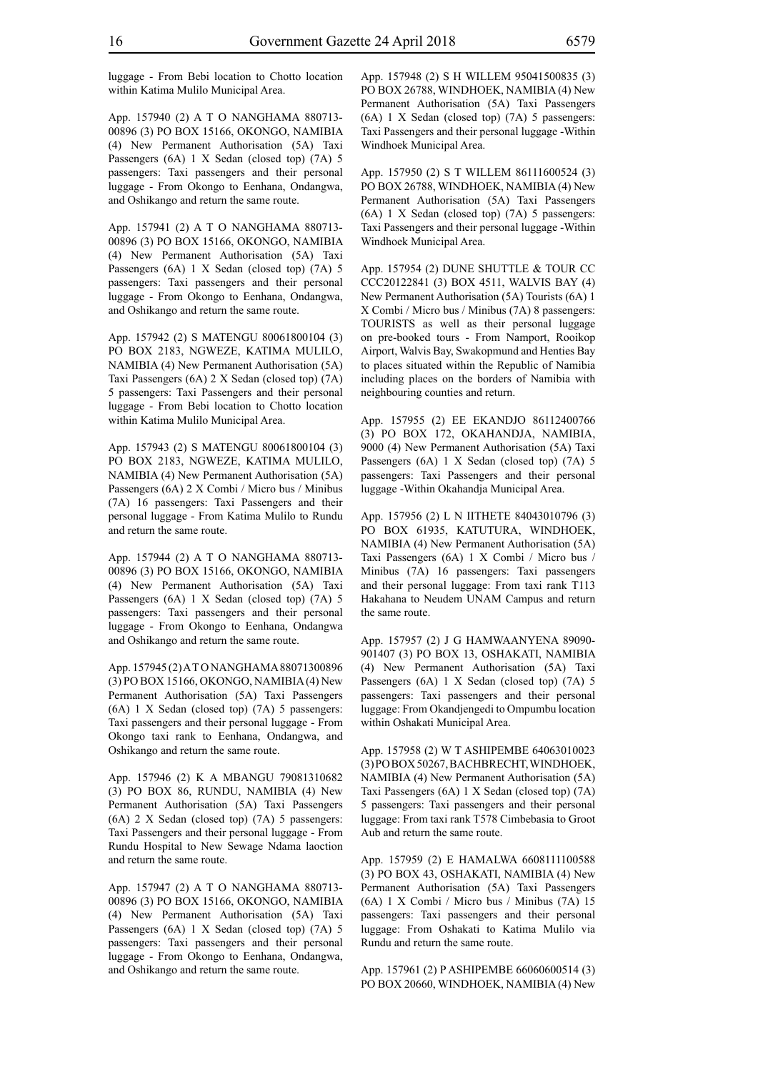luggage - From Bebi location to Chotto location within Katima Mulilo Municipal Area.

App. 157940 (2) A T O NANGHAMA 880713- 00896 (3) PO BOX 15166, OKONGO, NAMIBIA (4) New Permanent Authorisation (5A) Taxi Passengers (6A) 1 X Sedan (closed top) (7A) 5 passengers: Taxi passengers and their personal luggage - From Okongo to Eenhana, Ondangwa, and Oshikango and return the same route.

App. 157941 (2) A T O NANGHAMA 880713- 00896 (3) PO BOX 15166, OKONGO, NAMIBIA (4) New Permanent Authorisation (5A) Taxi Passengers (6A) 1 X Sedan (closed top) (7A) 5 passengers: Taxi passengers and their personal luggage - From Okongo to Eenhana, Ondangwa, and Oshikango and return the same route.

App. 157942 (2) S MATENGU 80061800104 (3) PO BOX 2183, NGWEZE, KATIMA MULILO, NAMIBIA (4) New Permanent Authorisation (5A) Taxi Passengers (6A) 2 X Sedan (closed top) (7A) 5 passengers: Taxi Passengers and their personal luggage - From Bebi location to Chotto location within Katima Mulilo Municipal Area.

App. 157943 (2) S MATENGU 80061800104 (3) PO BOX 2183, NGWEZE, KATIMA MULILO, NAMIBIA (4) New Permanent Authorisation (5A) Passengers (6A) 2 X Combi / Micro bus / Minibus (7A) 16 passengers: Taxi Passengers and their personal luggage - From Katima Mulilo to Rundu and return the same route.

App. 157944 (2) A T O NANGHAMA 880713- 00896 (3) PO BOX 15166, OKONGO, NAMIBIA (4) New Permanent Authorisation (5A) Taxi Passengers (6A) 1 X Sedan (closed top) (7A) 5 passengers: Taxi passengers and their personal luggage - From Okongo to Eenhana, Ondangwa and Oshikango and return the same route.

App. 157945 (2) A T O NANGHAMA 88071300896 (3) PO BOX 15166, OKONGO, NAMIBIA (4) New Permanent Authorisation (5A) Taxi Passengers (6A) 1 X Sedan (closed top) (7A) 5 passengers: Taxi passengers and their personal luggage - From Okongo taxi rank to Eenhana, Ondangwa, and Oshikango and return the same route.

App. 157946 (2) K A MBANGU 79081310682 (3) PO BOX 86, RUNDU, NAMIBIA (4) New Permanent Authorisation (5A) Taxi Passengers (6A) 2 X Sedan (closed top) (7A) 5 passengers: Taxi Passengers and their personal luggage - From Rundu Hospital to New Sewage Ndama laoction and return the same route.

App. 157947 (2) A T O NANGHAMA 880713- 00896 (3) PO BOX 15166, OKONGO, NAMIBIA (4) New Permanent Authorisation (5A) Taxi Passengers (6A) 1 X Sedan (closed top) (7A) 5 passengers: Taxi passengers and their personal luggage - From Okongo to Eenhana, Ondangwa, and Oshikango and return the same route.

App. 157948 (2) S H WILLEM 95041500835 (3) PO BOX 26788, WINDHOEK, NAMIBIA (4) New Permanent Authorisation (5A) Taxi Passengers (6A) 1 X Sedan (closed top) (7A) 5 passengers: Taxi Passengers and their personal luggage -Within Windhoek Municipal Area.

App. 157950 (2) S T WILLEM 86111600524 (3) PO BOX 26788, WINDHOEK, NAMIBIA (4) New Permanent Authorisation (5A) Taxi Passengers (6A) 1 X Sedan (closed top) (7A) 5 passengers: Taxi Passengers and their personal luggage -Within Windhoek Municipal Area.

App. 157954 (2) DUNE SHUTTLE & TOUR CC CCC20122841 (3) BOX 4511, WALVIS BAY (4) New Permanent Authorisation (5A) Tourists (6A) 1 X Combi / Micro bus / Minibus (7A) 8 passengers: TOURISTS as well as their personal luggage on pre-booked tours - From Namport, Rooikop Airport, Walvis Bay, Swakopmund and Henties Bay to places situated within the Republic of Namibia including places on the borders of Namibia with neighbouring counties and return.

App. 157955 (2) EE EKANDJO 86112400766 (3) PO BOX 172, OKAHANDJA, NAMIBIA, 9000 (4) New Permanent Authorisation (5A) Taxi Passengers (6A) 1 X Sedan (closed top) (7A) 5 passengers: Taxi Passengers and their personal luggage -Within Okahandja Municipal Area.

App. 157956 (2) L N IITHETE 84043010796 (3) PO BOX 61935, KATUTURA, WINDHOEK, NAMIBIA (4) New Permanent Authorisation (5A) Taxi Passengers (6A) 1 X Combi / Micro bus / Minibus (7A) 16 passengers: Taxi passengers and their personal luggage: From taxi rank T113 Hakahana to Neudem UNAM Campus and return the same route.

App. 157957 (2) J G HAMWAANYENA 89090- 901407 (3) PO BOX 13, OSHAKATI, NAMIBIA (4) New Permanent Authorisation (5A) Taxi Passengers (6A) 1 X Sedan (closed top) (7A) 5 passengers: Taxi passengers and their personal luggage: From Okandjengedi to Ompumbu location within Oshakati Municipal Area.

App. 157958 (2) W T ASHIPEMBE 64063010023 (3) PO BOX 50267, BACHBRECHT, WINDHOEK, NAMIBIA (4) New Permanent Authorisation (5A) Taxi Passengers (6A) 1 X Sedan (closed top) (7A) 5 passengers: Taxi passengers and their personal luggage: From taxi rank T578 Cimbebasia to Groot Aub and return the same route.

App. 157959 (2) E HAMALWA 6608111100588 (3) PO BOX 43, OSHAKATI, NAMIBIA (4) New Permanent Authorisation (5A) Taxi Passengers (6A) 1 X Combi / Micro bus / Minibus (7A) 15 passengers: Taxi passengers and their personal luggage: From Oshakati to Katima Mulilo via Rundu and return the same route.

App. 157961 (2) P ASHIPEMBE 66060600514 (3) PO BOX 20660, WINDHOEK, NAMIBIA (4) New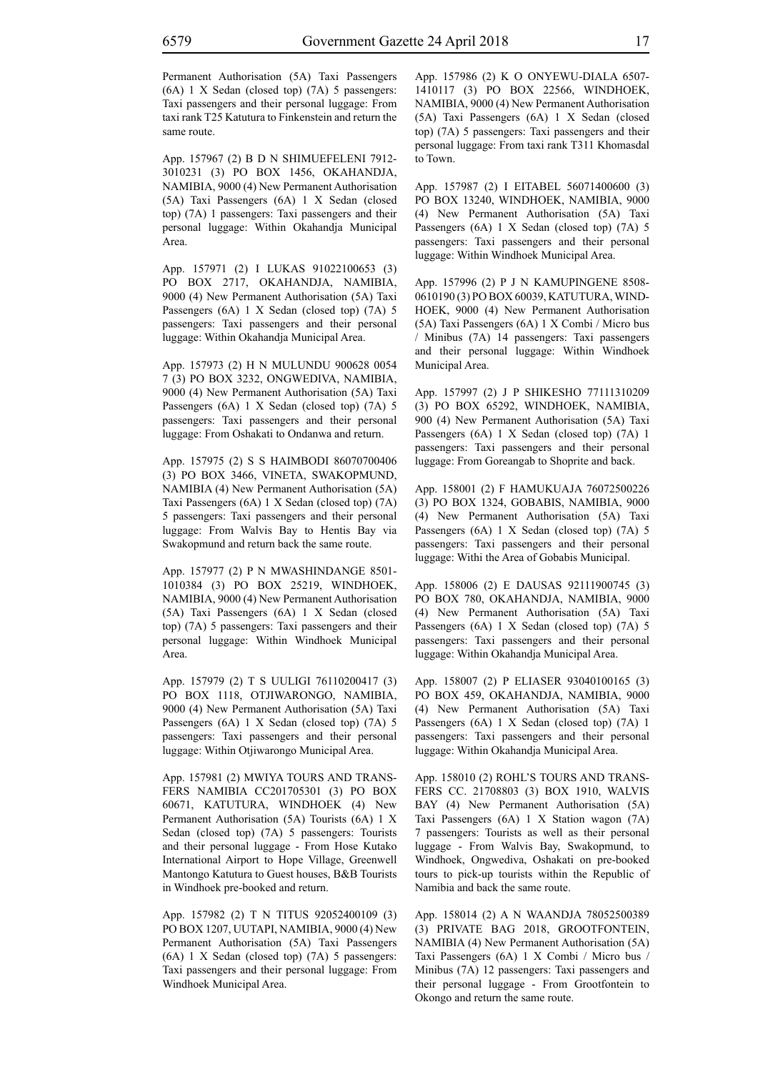Permanent Authorisation (5A) Taxi Passengers (6A) 1 X Sedan (closed top) (7A) 5 passengers: Taxi passengers and their personal luggage: From taxi rank T25 Katutura to Finkenstein and return the same route.

App. 157967 (2) B D N SHIMUEFELENI 7912- 3010231 (3) PO BOX 1456, OKAHANDJA, NAMIBIA, 9000 (4) New Permanent Authorisation (5A) Taxi Passengers (6A) 1 X Sedan (closed top) (7A) 1 passengers: Taxi passengers and their personal luggage: Within Okahandja Municipal Area.

App. 157971 (2) I LUKAS 91022100653 (3) PO BOX 2717, OKAHANDJA, NAMIBIA, 9000 (4) New Permanent Authorisation (5A) Taxi Passengers (6A) 1 X Sedan (closed top) (7A) 5 passengers: Taxi passengers and their personal luggage: Within Okahandja Municipal Area.

App. 157973 (2) H N MULUNDU 900628 0054 7 (3) PO BOX 3232, ONGWEDIVA, NAMIBIA, 9000 (4) New Permanent Authorisation (5A) Taxi Passengers (6A) 1 X Sedan (closed top) (7A) 5 passengers: Taxi passengers and their personal luggage: From Oshakati to Ondanwa and return.

App. 157975 (2) S S HAIMBODI 86070700406 (3) PO BOX 3466, VINETA, SWAKOPMUND, NAMIBIA (4) New Permanent Authorisation (5A) Taxi Passengers (6A) 1 X Sedan (closed top) (7A) 5 passengers: Taxi passengers and their personal luggage: From Walvis Bay to Hentis Bay via Swakopmund and return back the same route.

App. 157977 (2) P N MWASHINDANGE 8501- 1010384 (3) PO BOX 25219, WINDHOEK, NAMIBIA, 9000 (4) New Permanent Authorisation (5A) Taxi Passengers (6A) 1 X Sedan (closed top) (7A) 5 passengers: Taxi passengers and their personal luggage: Within Windhoek Municipal Area.

App. 157979 (2) T S UULIGI 76110200417 (3) PO BOX 1118, OTJIWARONGO, NAMIBIA, 9000 (4) New Permanent Authorisation (5A) Taxi Passengers (6A) 1 X Sedan (closed top) (7A) 5 passengers: Taxi passengers and their personal luggage: Within Otjiwarongo Municipal Area.

App. 157981 (2) MWIYA TOURS AND TRANS-FERS NAMIBIA CC201705301 (3) PO BOX 60671, KATUTURA, WINDHOEK (4) New Permanent Authorisation (5A) Tourists (6A) 1 X Sedan (closed top) (7A) 5 passengers: Tourists and their personal luggage - From Hose Kutako International Airport to Hope Village, Greenwell Mantongo Katutura to Guest houses, B&B Tourists in Windhoek pre-booked and return.

App. 157982 (2) T N TITUS 92052400109 (3) PO BOX 1207, UUTAPI, NAMIBIA, 9000 (4) New Permanent Authorisation (5A) Taxi Passengers (6A) 1 X Sedan (closed top) (7A) 5 passengers: Taxi passengers and their personal luggage: From Windhoek Municipal Area.

App. 157986 (2) K O ONYEWU-DIALA 6507- 1410117 (3) PO BOX 22566, WINDHOEK, NAMIBIA, 9000 (4) New Permanent Authorisation (5A) Taxi Passengers (6A) 1 X Sedan (closed top) (7A) 5 passengers: Taxi passengers and their personal luggage: From taxi rank T311 Khomasdal to Town.

App. 157987 (2) I EITABEL 56071400600 (3) PO BOX 13240, WINDHOEK, NAMIBIA, 9000 (4) New Permanent Authorisation (5A) Taxi Passengers (6A) 1 X Sedan (closed top) (7A) 5 passengers: Taxi passengers and their personal luggage: Within Windhoek Municipal Area.

App. 157996 (2) P J N KAMUPINGENE 8508- 0610190 (3) PO BOX 60039, KATUTURA, WIND-HOEK, 9000 (4) New Permanent Authorisation (5A) Taxi Passengers (6A) 1 X Combi / Micro bus / Minibus (7A) 14 passengers: Taxi passengers and their personal luggage: Within Windhoek Municipal Area.

App. 157997 (2) J P SHIKESHO 77111310209 (3) PO BOX 65292, WINDHOEK, NAMIBIA, 900 (4) New Permanent Authorisation (5A) Taxi Passengers (6A) 1 X Sedan (closed top) (7A) 1 passengers: Taxi passengers and their personal luggage: From Goreangab to Shoprite and back.

App. 158001 (2) F HAMUKUAJA 76072500226 (3) PO BOX 1324, GOBABIS, NAMIBIA, 9000 (4) New Permanent Authorisation (5A) Taxi Passengers (6A) 1 X Sedan (closed top) (7A) 5 passengers: Taxi passengers and their personal luggage: Withi the Area of Gobabis Municipal.

App. 158006 (2) E DAUSAS 92111900745 (3) PO BOX 780, OKAHANDJA, NAMIBIA, 9000 (4) New Permanent Authorisation (5A) Taxi Passengers (6A) 1 X Sedan (closed top) (7A) 5 passengers: Taxi passengers and their personal luggage: Within Okahandja Municipal Area.

App. 158007 (2) P ELIASER 93040100165 (3) PO BOX 459, OKAHANDJA, NAMIBIA, 9000 (4) New Permanent Authorisation (5A) Taxi Passengers (6A) 1 X Sedan (closed top) (7A) 1 passengers: Taxi passengers and their personal luggage: Within Okahandja Municipal Area.

App. 158010 (2) ROHL'S TOURS AND TRANS-FERS CC. 21708803 (3) BOX 1910, WALVIS BAY (4) New Permanent Authorisation (5A) Taxi Passengers (6A) 1 X Station wagon (7A) 7 passengers: Tourists as well as their personal luggage - From Walvis Bay, Swakopmund, to Windhoek, Ongwediva, Oshakati on pre-booked tours to pick-up tourists within the Republic of Namibia and back the same route.

App. 158014 (2) A N WAANDJA 78052500389 (3) PRIVATE BAG 2018, GROOTFONTEIN, NAMIBIA (4) New Permanent Authorisation (5A) Taxi Passengers (6A) 1 X Combi / Micro bus / Minibus (7A) 12 passengers: Taxi passengers and their personal luggage - From Grootfontein to Okongo and return the same route.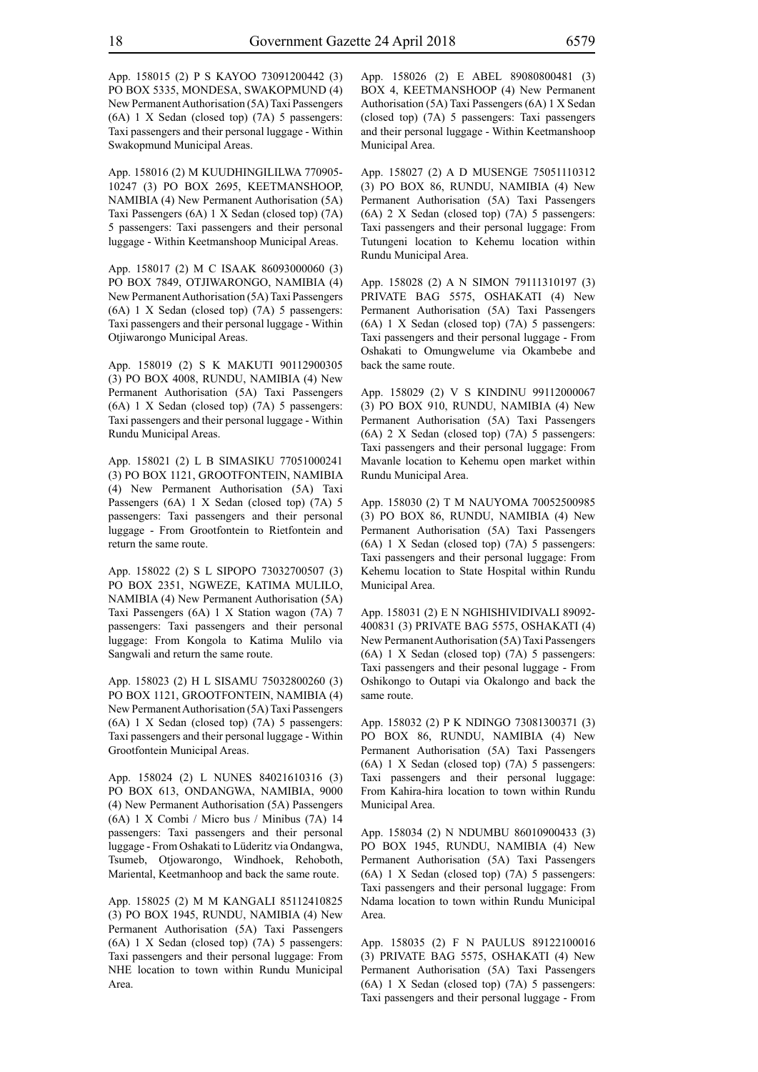App. 158015 (2) P S KAYOO 73091200442 (3) PO BOX 5335, MONDESA, SWAKOPMUND (4) New Permanent Authorisation (5A) Taxi Passengers (6A) 1 X Sedan (closed top) (7A) 5 passengers: Taxi passengers and their personal luggage - Within Swakopmund Municipal Areas.

App. 158016 (2) M KUUDHINGILILWA 770905- 10247 (3) PO BOX 2695, KEETMANSHOOP, NAMIBIA (4) New Permanent Authorisation (5A) Taxi Passengers (6A) 1 X Sedan (closed top) (7A) 5 passengers: Taxi passengers and their personal luggage - Within Keetmanshoop Municipal Areas.

App. 158017 (2) M C ISAAK 86093000060 (3) PO BOX 7849, OTJIWARONGO, NAMIBIA (4) New Permanent Authorisation (5A) Taxi Passengers (6A) 1 X Sedan (closed top) (7A) 5 passengers: Taxi passengers and their personal luggage - Within Otjiwarongo Municipal Areas.

App. 158019 (2) S K MAKUTI 90112900305 (3) PO BOX 4008, RUNDU, NAMIBIA (4) New Permanent Authorisation (5A) Taxi Passengers (6A) 1 X Sedan (closed top) (7A) 5 passengers: Taxi passengers and their personal luggage - Within Rundu Municipal Areas.

App. 158021 (2) L B SIMASIKU 77051000241 (3) PO BOX 1121, GROOTFONTEIN, NAMIBIA (4) New Permanent Authorisation (5A) Taxi Passengers (6A) 1 X Sedan (closed top) (7A) 5 passengers: Taxi passengers and their personal luggage - From Grootfontein to Rietfontein and return the same route.

App. 158022 (2) S L SIPOPO 73032700507 (3) PO BOX 2351, NGWEZE, KATIMA MULILO, NAMIBIA (4) New Permanent Authorisation (5A) Taxi Passengers (6A) 1 X Station wagon (7A) 7 passengers: Taxi passengers and their personal luggage: From Kongola to Katima Mulilo via Sangwali and return the same route.

App. 158023 (2) H L SISAMU 75032800260 (3) PO BOX 1121, GROOTFONTEIN, NAMIBIA (4) New Permanent Authorisation (5A) Taxi Passengers (6A) 1 X Sedan (closed top) (7A) 5 passengers: Taxi passengers and their personal luggage - Within Grootfontein Municipal Areas.

App. 158024 (2) L NUNES 84021610316 (3) PO BOX 613, ONDANGWA, NAMIBIA, 9000 (4) New Permanent Authorisation (5A) Passengers (6A) 1 X Combi / Micro bus / Minibus (7A) 14 passengers: Taxi passengers and their personal luggage - From Oshakati to Lüderitz via Ondangwa, Tsumeb, Otjowarongo, Windhoek, Rehoboth, Mariental, Keetmanhoop and back the same route.

App. 158025 (2) M M KANGALI 85112410825 (3) PO BOX 1945, RUNDU, NAMIBIA (4) New Permanent Authorisation (5A) Taxi Passengers (6A) 1 X Sedan (closed top) (7A) 5 passengers: Taxi passengers and their personal luggage: From NHE location to town within Rundu Municipal Area.

App. 158026 (2) E ABEL 89080800481 (3) BOX 4, KEETMANSHOOP (4) New Permanent Authorisation (5A) Taxi Passengers (6A) 1 X Sedan (closed top) (7A) 5 passengers: Taxi passengers and their personal luggage - Within Keetmanshoop Municipal Area.

App. 158027 (2) A D MUSENGE 75051110312 (3) PO BOX 86, RUNDU, NAMIBIA (4) New Permanent Authorisation (5A) Taxi Passengers (6A) 2 X Sedan (closed top) (7A) 5 passengers: Taxi passengers and their personal luggage: From Tutungeni location to Kehemu location within Rundu Municipal Area.

App. 158028 (2) A N SIMON 79111310197 (3) PRIVATE BAG 5575, OSHAKATI (4) New Permanent Authorisation (5A) Taxi Passengers (6A) 1 X Sedan (closed top) (7A) 5 passengers: Taxi passengers and their personal luggage - From Oshakati to Omungwelume via Okambebe and back the same route.

App. 158029 (2) V S KINDINU 99112000067 (3) PO BOX 910, RUNDU, NAMIBIA (4) New Permanent Authorisation (5A) Taxi Passengers (6A) 2 X Sedan (closed top) (7A) 5 passengers: Taxi passengers and their personal luggage: From Mavanle location to Kehemu open market within Rundu Municipal Area.

App. 158030 (2) T M NAUYOMA 70052500985 (3) PO BOX 86, RUNDU, NAMIBIA (4) New Permanent Authorisation (5A) Taxi Passengers (6A) 1 X Sedan (closed top) (7A) 5 passengers: Taxi passengers and their personal luggage: From Kehemu location to State Hospital within Rundu Municipal Area.

App. 158031 (2) E N NGHISHIVIDIVALI 89092- 400831 (3) PRIVATE BAG 5575, OSHAKATI (4) New Permanent Authorisation (5A) Taxi Passengers (6A) 1 X Sedan (closed top) (7A) 5 passengers: Taxi passengers and their pesonal luggage - From Oshikongo to Outapi via Okalongo and back the same route.

App. 158032 (2) P K NDINGO 73081300371 (3) PO BOX 86, RUNDU, NAMIBIA (4) New Permanent Authorisation (5A) Taxi Passengers (6A) 1 X Sedan (closed top) (7A) 5 passengers: Taxi passengers and their personal luggage: From Kahira-hira location to town within Rundu Municipal Area.

App. 158034 (2) N NDUMBU 86010900433 (3) PO BOX 1945, RUNDU, NAMIBIA (4) New Permanent Authorisation (5A) Taxi Passengers (6A) 1 X Sedan (closed top) (7A) 5 passengers: Taxi passengers and their personal luggage: From Ndama location to town within Rundu Municipal Area.

App. 158035 (2) F N PAULUS 89122100016 (3) PRIVATE BAG 5575, OSHAKATI (4) New Permanent Authorisation (5A) Taxi Passengers (6A) 1 X Sedan (closed top) (7A) 5 passengers: Taxi passengers and their personal luggage - From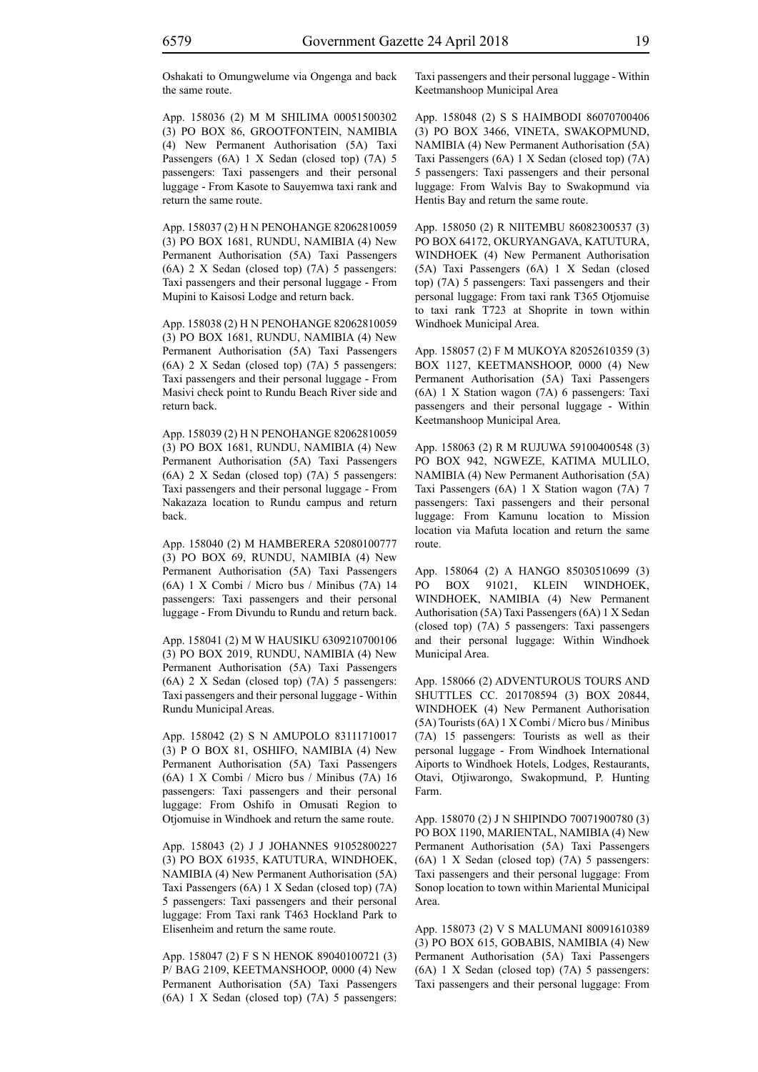Oshakati to Omungwelume via Ongenga and back the same route.

App. 158036 (2) M M SHILIMA 00051500302 (3) PO BOX 86, GROOTFONTEIN, NAMIBIA (4) New Permanent Authorisation (5A) Taxi Passengers (6A) 1 X Sedan (closed top) (7A) 5 passengers: Taxi passengers and their personal luggage - From Kasote to Sauyemwa taxi rank and return the same route.

App. 158037 (2) H N PENOHANGE 82062810059 (3) PO BOX 1681, RUNDU, NAMIBIA (4) New Permanent Authorisation (5A) Taxi Passengers (6A) 2 X Sedan (closed top) (7A) 5 passengers: Taxi passengers and their personal luggage - From Mupini to Kaisosi Lodge and return back.

App. 158038 (2) H N PENOHANGE 82062810059 (3) PO BOX 1681, RUNDU, NAMIBIA (4) New Permanent Authorisation (5A) Taxi Passengers (6A) 2 X Sedan (closed top) (7A) 5 passengers: Taxi passengers and their personal luggage - From Masivi check point to Rundu Beach River side and return back.

App. 158039 (2) H N PENOHANGE 82062810059 (3) PO BOX 1681, RUNDU, NAMIBIA (4) New Permanent Authorisation (5A) Taxi Passengers (6A) 2 X Sedan (closed top) (7A) 5 passengers: Taxi passengers and their personal luggage - From Nakazaza location to Rundu campus and return back.

App. 158040 (2) M HAMBERERA 52080100777 (3) PO BOX 69, RUNDU, NAMIBIA (4) New Permanent Authorisation (5A) Taxi Passengers (6A) 1 X Combi / Micro bus / Minibus (7A) 14 passengers: Taxi passengers and their personal luggage - From Divundu to Rundu and return back.

App. 158041 (2) M W HAUSIKU 6309210700106 (3) PO BOX 2019, RUNDU, NAMIBIA (4) New Permanent Authorisation (5A) Taxi Passengers (6A) 2 X Sedan (closed top) (7A) 5 passengers: Taxi passengers and their personal luggage - Within Rundu Municipal Areas.

App. 158042 (2) S N AMUPOLO 83111710017 (3) P O BOX 81, OSHIFO, NAMIBIA (4) New Permanent Authorisation (5A) Taxi Passengers (6A) 1 X Combi / Micro bus / Minibus (7A) 16 passengers: Taxi passengers and their personal luggage: From Oshifo in Omusati Region to Otjomuise in Windhoek and return the same route.

App. 158043 (2) J J JOHANNES 91052800227 (3) PO BOX 61935, KATUTURA, WINDHOEK, NAMIBIA (4) New Permanent Authorisation (5A) Taxi Passengers (6A) 1 X Sedan (closed top) (7A) 5 passengers: Taxi passengers and their personal luggage: From Taxi rank T463 Hockland Park to Elisenheim and return the same route.

App. 158047 (2) F S N HENOK 89040100721 (3) P/ BAG 2109, KEETMANSHOOP, 0000 (4) New Permanent Authorisation (5A) Taxi Passengers (6A) 1 X Sedan (closed top) (7A) 5 passengers: Taxi passengers and their personal luggage - Within Keetmanshoop Municipal Area

App. 158048 (2) S S HAIMBODI 86070700406 (3) PO BOX 3466, VINETA, SWAKOPMUND, NAMIBIA (4) New Permanent Authorisation (5A) Taxi Passengers (6A) 1 X Sedan (closed top) (7A) 5 passengers: Taxi passengers and their personal luggage: From Walvis Bay to Swakopmund via Hentis Bay and return the same route.

App. 158050 (2) R NIITEMBU 86082300537 (3) PO BOX 64172, OKURYANGAVA, KATUTURA, WINDHOEK (4) New Permanent Authorisation (5A) Taxi Passengers (6A) 1 X Sedan (closed top) (7A) 5 passengers: Taxi passengers and their personal luggage: From taxi rank T365 Otjomuise to taxi rank T723 at Shoprite in town within Windhoek Municipal Area.

App. 158057 (2) F M MUKOYA 82052610359 (3) BOX 1127, KEETMANSHOOP, 0000 (4) New Permanent Authorisation (5A) Taxi Passengers (6A) 1 X Station wagon (7A) 6 passengers: Taxi passengers and their personal luggage - Within Keetmanshoop Municipal Area.

App. 158063 (2) R M RUJUWA 59100400548 (3) PO BOX 942, NGWEZE, KATIMA MULILO, NAMIBIA (4) New Permanent Authorisation (5A) Taxi Passengers (6A) 1 X Station wagon (7A) 7 passengers: Taxi passengers and their personal luggage: From Kamunu location to Mission location via Mafuta location and return the same route.

App. 158064 (2) A HANGO 85030510699 (3) PO BOX 91021, KLEIN WINDHOEK, WINDHOEK, NAMIBIA (4) New Permanent Authorisation (5A) Taxi Passengers (6A) 1 X Sedan (closed top) (7A) 5 passengers: Taxi passengers and their personal luggage: Within Windhoek Municipal Area.

App. 158066 (2) ADVENTUROUS TOURS AND SHUTTLES CC. 201708594 (3) BOX 20844, WINDHOEK (4) New Permanent Authorisation (5A) Tourists (6A) 1 X Combi / Micro bus / Minibus (7A) 15 passengers: Tourists as well as their personal luggage - From Windhoek International Aiports to Windhoek Hotels, Lodges, Restaurants, Otavi, Otjiwarongo, Swakopmund, P. Hunting Farm.

App. 158070 (2) J N SHIPINDO 70071900780 (3) PO BOX 1190, MARIENTAL, NAMIBIA (4) New Permanent Authorisation (5A) Taxi Passengers (6A) 1 X Sedan (closed top) (7A) 5 passengers: Taxi passengers and their personal luggage: From Sonop location to town within Mariental Municipal Area.

App. 158073 (2) V S MALUMANI 80091610389 (3) PO BOX 615, GOBABIS, NAMIBIA (4) New Permanent Authorisation (5A) Taxi Passengers (6A) 1 X Sedan (closed top) (7A) 5 passengers: Taxi passengers and their personal luggage: From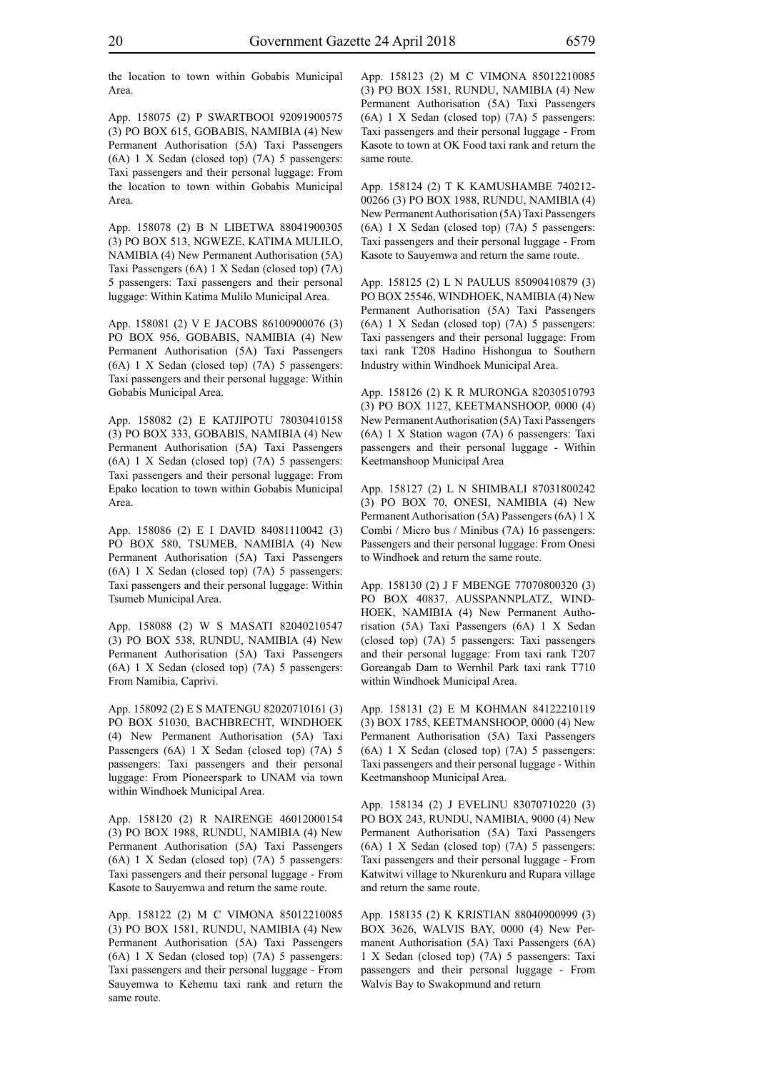the location to town within Gobabis Municipal Area.

App. 158075 (2) P SWARTBOOI 92091900575 (3) PO BOX 615, GOBABIS, NAMIBIA (4) New Permanent Authorisation (5A) Taxi Passengers (6A) 1 X Sedan (closed top) (7A) 5 passengers: Taxi passengers and their personal luggage: From the location to town within Gobabis Municipal Area.

App. 158078 (2) B N LIBETWA 88041900305 (3) PO BOX 513, NGWEZE, KATIMA MULILO, NAMIBIA (4) New Permanent Authorisation (5A) Taxi Passengers (6A) 1 X Sedan (closed top) (7A) 5 passengers: Taxi passengers and their personal luggage: Within Katima Mulilo Municipal Area.

App. 158081 (2) V E JACOBS 86100900076 (3) PO BOX 956, GOBABIS, NAMIBIA (4) New Permanent Authorisation (5A) Taxi Passengers (6A) 1 X Sedan (closed top) (7A) 5 passengers: Taxi passengers and their personal luggage: Within Gobabis Municipal Area.

App. 158082 (2) E KATJIPOTU 78030410158 (3) PO BOX 333, GOBABIS, NAMIBIA (4) New Permanent Authorisation (5A) Taxi Passengers (6A) 1 X Sedan (closed top) (7A) 5 passengers: Taxi passengers and their personal luggage: From Epako location to town within Gobabis Municipal Area.

App. 158086 (2) E I DAVID 84081110042 (3) PO BOX 580, TSUMEB, NAMIBIA (4) New Permanent Authorisation (5A) Taxi Passengers (6A) 1 X Sedan (closed top) (7A) 5 passengers: Taxi passengers and their personal luggage: Within Tsumeb Municipal Area.

App. 158088 (2) W S MASATI 82040210547 (3) PO BOX 538, RUNDU, NAMIBIA (4) New Permanent Authorisation (5A) Taxi Passengers (6A) 1 X Sedan (closed top) (7A) 5 passengers: From Namibia, Caprivi.

App. 158092 (2) E S MATENGU 82020710161 (3) PO BOX 51030, BACHBRECHT, WINDHOEK (4) New Permanent Authorisation (5A) Taxi Passengers (6A) 1 X Sedan (closed top) (7A) 5 passengers: Taxi passengers and their personal luggage: From Pioneerspark to UNAM via town within Windhoek Municipal Area.

App. 158120 (2) R NAIRENGE 46012000154 (3) PO BOX 1988, RUNDU, NAMIBIA (4) New Permanent Authorisation (5A) Taxi Passengers (6A) 1 X Sedan (closed top) (7A) 5 passengers: Taxi passengers and their personal luggage - From Kasote to Sauyemwa and return the same route.

App. 158122 (2) M C VIMONA 85012210085 (3) PO BOX 1581, RUNDU, NAMIBIA (4) New Permanent Authorisation (5A) Taxi Passengers (6A) 1 X Sedan (closed top) (7A) 5 passengers: Taxi passengers and their personal luggage - From Sauyemwa to Kehemu taxi rank and return the same route.

App. 158123 (2) M C VIMONA 85012210085 (3) PO BOX 1581, RUNDU, NAMIBIA (4) New Permanent Authorisation (5A) Taxi Passengers (6A) 1 X Sedan (closed top) (7A) 5 passengers: Taxi passengers and their personal luggage - From Kasote to town at OK Food taxi rank and return the same route.

App. 158124 (2) T K KAMUSHAMBE 740212- 00266 (3) PO BOX 1988, RUNDU, NAMIBIA (4) New Permanent Authorisation (5A) Taxi Passengers (6A) 1 X Sedan (closed top) (7A) 5 passengers: Taxi passengers and their personal luggage - From Kasote to Sauyemwa and return the same route.

App. 158125 (2) L N PAULUS 85090410879 (3) PO BOX 25546, WINDHOEK, NAMIBIA (4) New Permanent Authorisation (5A) Taxi Passengers (6A) 1 X Sedan (closed top) (7A) 5 passengers: Taxi passengers and their personal luggage: From taxi rank T208 Hadino Hishongua to Southern Industry within Windhoek Municipal Area.

App. 158126 (2) K R MURONGA 82030510793 (3) PO BOX 1127, KEETMANSHOOP, 0000 (4) New Permanent Authorisation (5A) Taxi Passengers (6A) 1 X Station wagon (7A) 6 passengers: Taxi passengers and their personal luggage - Within Keetmanshoop Municipal Area

App. 158127 (2) L N SHIMBALI 87031800242 (3) PO BOX 70, ONESI, NAMIBIA (4) New Permanent Authorisation (5A) Passengers (6A) 1 X Combi / Micro bus / Minibus (7A) 16 passengers: Passengers and their personal luggage: From Onesi to Windhoek and return the same route.

App. 158130 (2) J F MBENGE 77070800320 (3) PO BOX 40837, AUSSPANNPLATZ, WIND-HOEK, NAMIBIA (4) New Permanent Authorisation (5A) Taxi Passengers (6A) 1 X Sedan (closed top) (7A) 5 passengers: Taxi passengers and their personal luggage: From taxi rank T207 Goreangab Dam to Wernhil Park taxi rank T710 within Windhoek Municipal Area.

App. 158131 (2) E M KOHMAN 84122210119 (3) BOX 1785, KEETMANSHOOP, 0000 (4) New Permanent Authorisation (5A) Taxi Passengers (6A) 1 X Sedan (closed top) (7A) 5 passengers: Taxi passengers and their personal luggage - Within Keetmanshoop Municipal Area.

App. 158134 (2) J EVELINU 83070710220 (3) PO BOX 243, RUNDU, NAMIBIA, 9000 (4) New Permanent Authorisation (5A) Taxi Passengers (6A) 1 X Sedan (closed top) (7A) 5 passengers: Taxi passengers and their personal luggage - From Katwitwi village to Nkurenkuru and Rupara village and return the same route.

App. 158135 (2) K KRISTIAN 88040900999 (3) BOX 3626, WALVIS BAY, 0000 (4) New Permanent Authorisation (5A) Taxi Passengers (6A) 1 X Sedan (closed top) (7A) 5 passengers: Taxi passengers and their personal luggage - From Walvis Bay to Swakopmund and return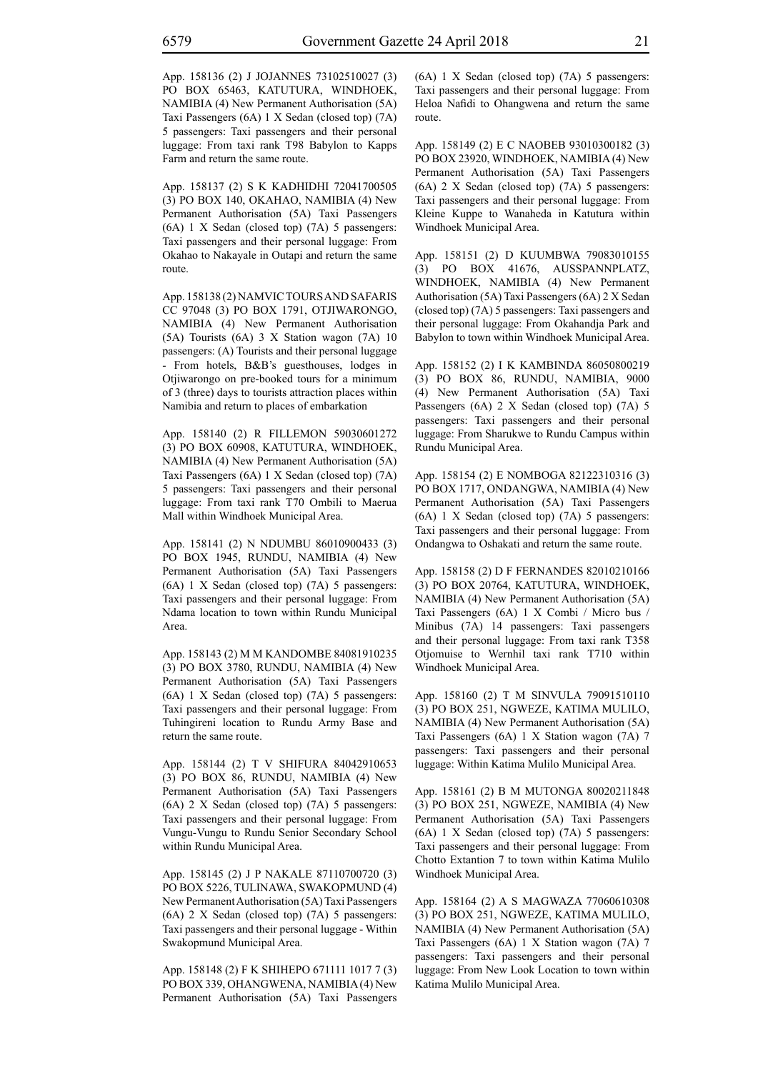App. 158136 (2) J JOJANNES 73102510027 (3) PO BOX 65463, KATUTURA, WINDHOEK, NAMIBIA (4) New Permanent Authorisation (5A) Taxi Passengers (6A) 1 X Sedan (closed top) (7A) 5 passengers: Taxi passengers and their personal luggage: From taxi rank T98 Babylon to Kapps Farm and return the same route.

App. 158137 (2) S K KADHIDHI 72041700505 (3) PO BOX 140, OKAHAO, NAMIBIA (4) New Permanent Authorisation (5A) Taxi Passengers (6A) 1 X Sedan (closed top) (7A) 5 passengers: Taxi passengers and their personal luggage: From Okahao to Nakayale in Outapi and return the same route.

App. 158138 (2) NAMVIC TOURS AND SAFARIS CC 97048 (3) PO BOX 1791, OTJIWARONGO, NAMIBIA (4) New Permanent Authorisation (5A) Tourists (6A) 3 X Station wagon (7A) 10 passengers: (A) Tourists and their personal luggage - From hotels, B&B's guesthouses, lodges in Otjiwarongo on pre-booked tours for a minimum of 3 (three) days to tourists attraction places within Namibia and return to places of embarkation

App. 158140 (2) R FILLEMON 59030601272 (3) PO BOX 60908, KATUTURA, WINDHOEK, NAMIBIA (4) New Permanent Authorisation (5A) Taxi Passengers (6A) 1 X Sedan (closed top) (7A) 5 passengers: Taxi passengers and their personal luggage: From taxi rank T70 Ombili to Maerua Mall within Windhoek Municipal Area.

App. 158141 (2) N NDUMBU 86010900433 (3) PO BOX 1945, RUNDU, NAMIBIA (4) New Permanent Authorisation (5A) Taxi Passengers (6A) 1 X Sedan (closed top) (7A) 5 passengers: Taxi passengers and their personal luggage: From Ndama location to town within Rundu Municipal Area.

App. 158143 (2) M M KANDOMBE 84081910235 (3) PO BOX 3780, RUNDU, NAMIBIA (4) New Permanent Authorisation (5A) Taxi Passengers (6A) 1 X Sedan (closed top) (7A) 5 passengers: Taxi passengers and their personal luggage: From Tuhingireni location to Rundu Army Base and return the same route.

App. 158144 (2) T V SHIFURA 84042910653 (3) PO BOX 86, RUNDU, NAMIBIA (4) New Permanent Authorisation (5A) Taxi Passengers (6A) 2 X Sedan (closed top) (7A) 5 passengers: Taxi passengers and their personal luggage: From Vungu-Vungu to Rundu Senior Secondary School within Rundu Municipal Area.

App. 158145 (2) J P NAKALE 87110700720 (3) PO BOX 5226, TULINAWA, SWAKOPMUND (4) New Permanent Authorisation (5A) Taxi Passengers (6A) 2 X Sedan (closed top) (7A) 5 passengers: Taxi passengers and their personal luggage - Within Swakopmund Municipal Area.

App. 158148 (2) F K SHIHEPO 671111 1017 7 (3) PO BOX 339, OHANGWENA, NAMIBIA (4) New Permanent Authorisation (5A) Taxi Passengers (6A) 1 X Sedan (closed top) (7A) 5 passengers: Taxi passengers and their personal luggage: From Heloa Nafidi to Ohangwena and return the same route.

App. 158149 (2) E C NAOBEB 93010300182 (3) PO BOX 23920, WINDHOEK, NAMIBIA (4) New Permanent Authorisation (5A) Taxi Passengers (6A) 2 X Sedan (closed top) (7A) 5 passengers: Taxi passengers and their personal luggage: From Kleine Kuppe to Wanaheda in Katutura within Windhoek Municipal Area.

App. 158151 (2) D KUUMBWA 79083010155 (3) PO BOX 41676, AUSSPANNPLATZ, WINDHOEK, NAMIBIA (4) New Permanent Authorisation (5A) Taxi Passengers (6A) 2 X Sedan (closed top) (7A) 5 passengers: Taxi passengers and their personal luggage: From Okahandja Park and Babylon to town within Windhoek Municipal Area.

App. 158152 (2) I K KAMBINDA 86050800219 (3) PO BOX 86, RUNDU, NAMIBIA, 9000 (4) New Permanent Authorisation (5A) Taxi Passengers (6A) 2 X Sedan (closed top) (7A) 5 passengers: Taxi passengers and their personal luggage: From Sharukwe to Rundu Campus within Rundu Municipal Area.

App. 158154 (2) E NOMBOGA 82122310316 (3) PO BOX 1717, ONDANGWA, NAMIBIA (4) New Permanent Authorisation (5A) Taxi Passengers (6A) 1 X Sedan (closed top) (7A) 5 passengers: Taxi passengers and their personal luggage: From Ondangwa to Oshakati and return the same route.

App. 158158 (2) D F FERNANDES 82010210166 (3) PO BOX 20764, KATUTURA, WINDHOEK, NAMIBIA (4) New Permanent Authorisation (5A) Taxi Passengers (6A) 1 X Combi / Micro bus / Minibus (7A) 14 passengers: Taxi passengers and their personal luggage: From taxi rank T358 Otjomuise to Wernhil taxi rank T710 within Windhoek Municipal Area.

App. 158160 (2) T M SINVULA 79091510110 (3) PO BOX 251, NGWEZE, KATIMA MULILO, NAMIBIA (4) New Permanent Authorisation (5A) Taxi Passengers (6A) 1 X Station wagon (7A) 7 passengers: Taxi passengers and their personal luggage: Within Katima Mulilo Municipal Area.

App. 158161 (2) B M MUTONGA 80020211848 (3) PO BOX 251, NGWEZE, NAMIBIA (4) New Permanent Authorisation (5A) Taxi Passengers (6A) 1 X Sedan (closed top) (7A) 5 passengers: Taxi passengers and their personal luggage: From Chotto Extantion 7 to town within Katima Mulilo Windhoek Municipal Area.

App. 158164 (2) A S MAGWAZA 77060610308 (3) PO BOX 251, NGWEZE, KATIMA MULILO, NAMIBIA (4) New Permanent Authorisation (5A) Taxi Passengers (6A) 1 X Station wagon (7A) 7 passengers: Taxi passengers and their personal luggage: From New Look Location to town within Katima Mulilo Municipal Area.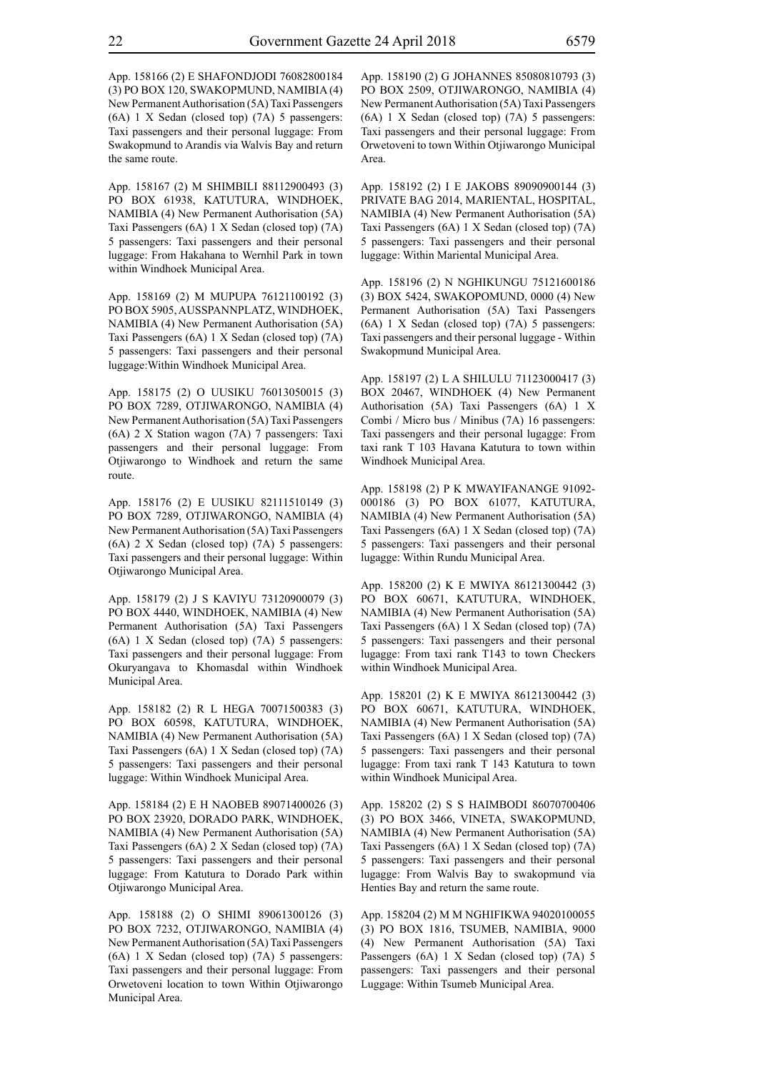App. 158166 (2) E SHAFONDJODI 76082800184 (3) PO BOX 120, SWAKOPMUND, NAMIBIA (4) New Permanent Authorisation (5A) Taxi Passengers (6A) 1 X Sedan (closed top) (7A) 5 passengers: Taxi passengers and their personal luggage: From Swakopmund to Arandis via Walvis Bay and return the same route.

App. 158167 (2) M SHIMBILI 88112900493 (3) PO BOX 61938, KATUTURA, WINDHOEK, NAMIBIA (4) New Permanent Authorisation (5A) Taxi Passengers (6A) 1 X Sedan (closed top) (7A) 5 passengers: Taxi passengers and their personal luggage: From Hakahana to Wernhil Park in town within Windhoek Municipal Area.

App. 158169 (2) M MUPUPA 76121100192 (3) PO BOX 5905, AUSSPANNPLATZ, WINDHOEK, NAMIBIA (4) New Permanent Authorisation (5A) Taxi Passengers (6A) 1 X Sedan (closed top) (7A) 5 passengers: Taxi passengers and their personal luggage:Within Windhoek Municipal Area.

App. 158175 (2) O UUSIKU 76013050015 (3) PO BOX 7289, OTJIWARONGO, NAMIBIA (4) New Permanent Authorisation (5A) Taxi Passengers (6A) 2 X Station wagon (7A) 7 passengers: Taxi passengers and their personal luggage: From Otjiwarongo to Windhoek and return the same route.

App. 158176 (2) E UUSIKU 82111510149 (3) PO BOX 7289, OTJIWARONGO, NAMIBIA (4) New Permanent Authorisation (5A) Taxi Passengers (6A) 2 X Sedan (closed top) (7A) 5 passengers: Taxi passengers and their personal luggage: Within Otjiwarongo Municipal Area.

App. 158179 (2) J S KAVIYU 73120900079 (3) PO BOX 4440, WINDHOEK, NAMIBIA (4) New Permanent Authorisation (5A) Taxi Passengers (6A) 1 X Sedan (closed top) (7A) 5 passengers: Taxi passengers and their personal luggage: From Okuryangava to Khomasdal within Windhoek Municipal Area.

App. 158182 (2) R L HEGA 70071500383 (3) PO BOX 60598, KATUTURA, WINDHOEK, NAMIBIA (4) New Permanent Authorisation (5A) Taxi Passengers (6A) 1 X Sedan (closed top) (7A) 5 passengers: Taxi passengers and their personal luggage: Within Windhoek Municipal Area.

App. 158184 (2) E H NAOBEB 89071400026 (3) PO BOX 23920, DORADO PARK, WINDHOEK, NAMIBIA (4) New Permanent Authorisation (5A) Taxi Passengers (6A) 2 X Sedan (closed top) (7A) 5 passengers: Taxi passengers and their personal luggage: From Katutura to Dorado Park within Otjiwarongo Municipal Area.

App. 158188 (2) O SHIMI 89061300126 (3) PO BOX 7232, OTJIWARONGO, NAMIBIA (4) New Permanent Authorisation (5A) Taxi Passengers (6A) 1 X Sedan (closed top) (7A) 5 passengers: Taxi passengers and their personal luggage: From Orwetoveni location to town Within Otjiwarongo Municipal Area.

App. 158190 (2) G JOHANNES 85080810793 (3) PO BOX 2509, OTJIWARONGO, NAMIBIA (4) New Permanent Authorisation (5A) Taxi Passengers (6A) 1 X Sedan (closed top) (7A) 5 passengers: Taxi passengers and their personal luggage: From Orwetoveni to town Within Otjiwarongo Municipal Area.

App. 158192 (2) I E JAKOBS 89090900144 (3) PRIVATE BAG 2014, MARIENTAL, HOSPITAL, NAMIBIA (4) New Permanent Authorisation (5A) Taxi Passengers (6A) 1 X Sedan (closed top) (7A) 5 passengers: Taxi passengers and their personal luggage: Within Mariental Municipal Area.

App. 158196 (2) N NGHIKUNGU 75121600186 (3) BOX 5424, SWAKOPOMUND, 0000 (4) New Permanent Authorisation (5A) Taxi Passengers (6A) 1 X Sedan (closed top) (7A) 5 passengers: Taxi passengers and their personal luggage - Within Swakopmund Municipal Area.

App. 158197 (2) L A SHILULU 71123000417 (3) BOX 20467, WINDHOEK (4) New Permanent Authorisation (5A) Taxi Passengers (6A) 1 X Combi / Micro bus / Minibus (7A) 16 passengers: Taxi passengers and their personal lugagge: From taxi rank T 103 Havana Katutura to town within Windhoek Municipal Area.

App. 158198 (2) P K MWAYIFANANGE 91092- 000186 (3) PO BOX 61077, KATUTURA, NAMIBIA (4) New Permanent Authorisation (5A) Taxi Passengers (6A) 1 X Sedan (closed top) (7A) 5 passengers: Taxi passengers and their personal lugagge: Within Rundu Municipal Area.

App. 158200 (2) K E MWIYA 86121300442 (3) PO BOX 60671, KATUTURA, WINDHOEK, NAMIBIA (4) New Permanent Authorisation (5A) Taxi Passengers (6A) 1 X Sedan (closed top) (7A) 5 passengers: Taxi passengers and their personal lugagge: From taxi rank T143 to town Checkers within Windhoek Municipal Area.

App. 158201 (2) K E MWIYA 86121300442 (3) PO BOX 60671, KATUTURA, WINDHOEK, NAMIBIA (4) New Permanent Authorisation (5A) Taxi Passengers (6A) 1 X Sedan (closed top) (7A) 5 passengers: Taxi passengers and their personal lugagge: From taxi rank T 143 Katutura to town within Windhoek Municipal Area.

App. 158202 (2) S S HAIMBODI 86070700406 (3) PO BOX 3466, VINETA, SWAKOPMUND, NAMIBIA (4) New Permanent Authorisation (5A) Taxi Passengers (6A) 1 X Sedan (closed top) (7A) 5 passengers: Taxi passengers and their personal lugagge: From Walvis Bay to swakopmund via Henties Bay and return the same route.

App. 158204 (2) M M NGHIFIKWA 94020100055 (3) PO BOX 1816, TSUMEB, NAMIBIA, 9000 (4) New Permanent Authorisation (5A) Taxi Passengers (6A) 1 X Sedan (closed top) (7A) 5 passengers: Taxi passengers and their personal Luggage: Within Tsumeb Municipal Area.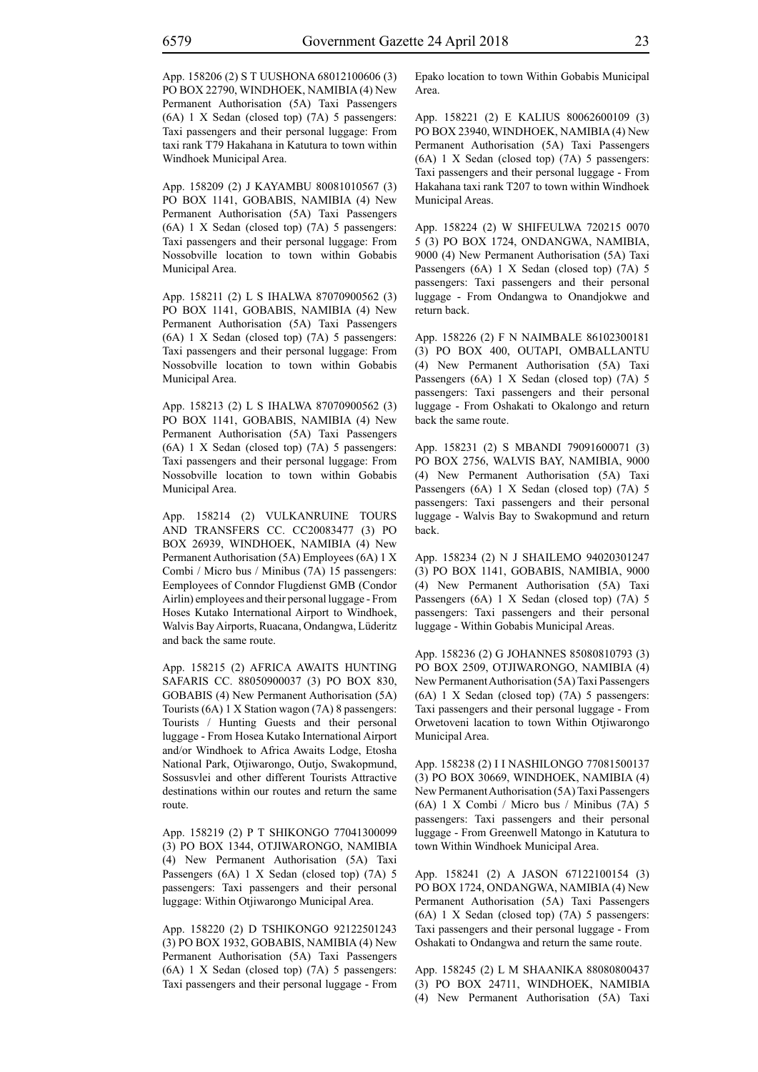App. 158206 (2) S T UUSHONA 68012100606 (3) PO BOX 22790, WINDHOEK, NAMIBIA (4) New Permanent Authorisation (5A) Taxi Passengers (6A) 1 X Sedan (closed top) (7A) 5 passengers: Taxi passengers and their personal luggage: From taxi rank T79 Hakahana in Katutura to town within Windhoek Municipal Area.

App. 158209 (2) J KAYAMBU 80081010567 (3) PO BOX 1141, GOBABIS, NAMIBIA (4) New Permanent Authorisation (5A) Taxi Passengers (6A) 1 X Sedan (closed top) (7A) 5 passengers: Taxi passengers and their personal luggage: From Nossobville location to town within Gobabis Municipal Area.

App. 158211 (2) L S IHALWA 87070900562 (3) PO BOX 1141, GOBABIS, NAMIBIA (4) New Permanent Authorisation (5A) Taxi Passengers (6A) 1 X Sedan (closed top) (7A) 5 passengers: Taxi passengers and their personal luggage: From Nossobville location to town within Gobabis Municipal Area.

App. 158213 (2) L S IHALWA 87070900562 (3) PO BOX 1141, GOBABIS, NAMIBIA (4) New Permanent Authorisation (5A) Taxi Passengers (6A) 1 X Sedan (closed top) (7A) 5 passengers: Taxi passengers and their personal luggage: From Nossobville location to town within Gobabis Municipal Area.

App. 158214 (2) VULKANRUINE TOURS AND TRANSFERS CC. CC20083477 (3) PO BOX 26939, WINDHOEK, NAMIBIA (4) New Permanent Authorisation (5A) Employees (6A) 1 X Combi / Micro bus / Minibus (7A) 15 passengers: Eemployees of Conndor Flugdienst GMB (Condor Airlin) employees and their personal luggage - From Hoses Kutako International Airport to Windhoek, Walvis Bay Airports, Ruacana, Ondangwa, Lüderitz and back the same route.

App. 158215 (2) AFRICA AWAITS HUNTING SAFARIS CC. 88050900037 (3) PO BOX 830, GOBABIS (4) New Permanent Authorisation (5A) Tourists (6A) 1 X Station wagon (7A) 8 passengers: Tourists / Hunting Guests and their personal luggage - From Hosea Kutako International Airport and/or Windhoek to Africa Awaits Lodge, Etosha National Park, Otjiwarongo, Outjo, Swakopmund, Sossusvlei and other different Tourists Attractive destinations within our routes and return the same route.

App. 158219 (2) P T SHIKONGO 77041300099 (3) PO BOX 1344, OTJIWARONGO, NAMIBIA (4) New Permanent Authorisation (5A) Taxi Passengers (6A) 1 X Sedan (closed top) (7A) 5 passengers: Taxi passengers and their personal luggage: Within Otjiwarongo Municipal Area.

App. 158220 (2) D TSHIKONGO 92122501243 (3) PO BOX 1932, GOBABIS, NAMIBIA (4) New Permanent Authorisation (5A) Taxi Passengers (6A) 1 X Sedan (closed top) (7A) 5 passengers: Taxi passengers and their personal luggage - From Epako location to town Within Gobabis Municipal Area.

App. 158221 (2) E KALIUS 80062600109 (3) PO BOX 23940, WINDHOEK, NAMIBIA (4) New Permanent Authorisation (5A) Taxi Passengers (6A) 1 X Sedan (closed top) (7A) 5 passengers: Taxi passengers and their personal luggage - From Hakahana taxi rank T207 to town within Windhoek Municipal Areas.

App. 158224 (2) W SHIFEULWA 720215 0070 5 (3) PO BOX 1724, ONDANGWA, NAMIBIA, 9000 (4) New Permanent Authorisation (5A) Taxi Passengers (6A) 1 X Sedan (closed top) (7A) 5 passengers: Taxi passengers and their personal luggage - From Ondangwa to Onandjokwe and return back.

App. 158226 (2) F N NAIMBALE 86102300181 (3) PO BOX 400, OUTAPI, OMBALLANTU (4) New Permanent Authorisation (5A) Taxi Passengers (6A) 1 X Sedan (closed top) (7A) 5 passengers: Taxi passengers and their personal luggage - From Oshakati to Okalongo and return back the same route.

App. 158231 (2) S MBANDI 79091600071 (3) PO BOX 2756, WALVIS BAY, NAMIBIA, 9000 (4) New Permanent Authorisation (5A) Taxi Passengers (6A) 1 X Sedan (closed top) (7A) 5 passengers: Taxi passengers and their personal luggage - Walvis Bay to Swakopmund and return back.

App. 158234 (2) N J SHAILEMO 94020301247 (3) PO BOX 1141, GOBABIS, NAMIBIA, 9000 (4) New Permanent Authorisation (5A) Taxi Passengers (6A) 1 X Sedan (closed top) (7A) 5 passengers: Taxi passengers and their personal luggage - Within Gobabis Municipal Areas.

App. 158236 (2) G JOHANNES 85080810793 (3) PO BOX 2509, OTJIWARONGO, NAMIBIA (4) New Permanent Authorisation (5A) Taxi Passengers (6A) 1 X Sedan (closed top) (7A) 5 passengers: Taxi passengers and their personal luggage - From Orwetoveni lacation to town Within Otjiwarongo Municipal Area.

App. 158238 (2) I I NASHILONGO 77081500137 (3) PO BOX 30669, WINDHOEK, NAMIBIA (4) New Permanent Authorisation (5A) Taxi Passengers (6A) 1 X Combi / Micro bus / Minibus (7A) 5 passengers: Taxi passengers and their personal luggage - From Greenwell Matongo in Katutura to town Within Windhoek Municipal Area.

App. 158241 (2) A JASON 67122100154 (3) PO BOX 1724, ONDANGWA, NAMIBIA (4) New Permanent Authorisation (5A) Taxi Passengers (6A) 1 X Sedan (closed top) (7A) 5 passengers: Taxi passengers and their personal luggage - From Oshakati to Ondangwa and return the same route.

App. 158245 (2) L M SHAANIKA 88080800437 (3) PO BOX 24711, WINDHOEK, NAMIBIA (4) New Permanent Authorisation (5A) Taxi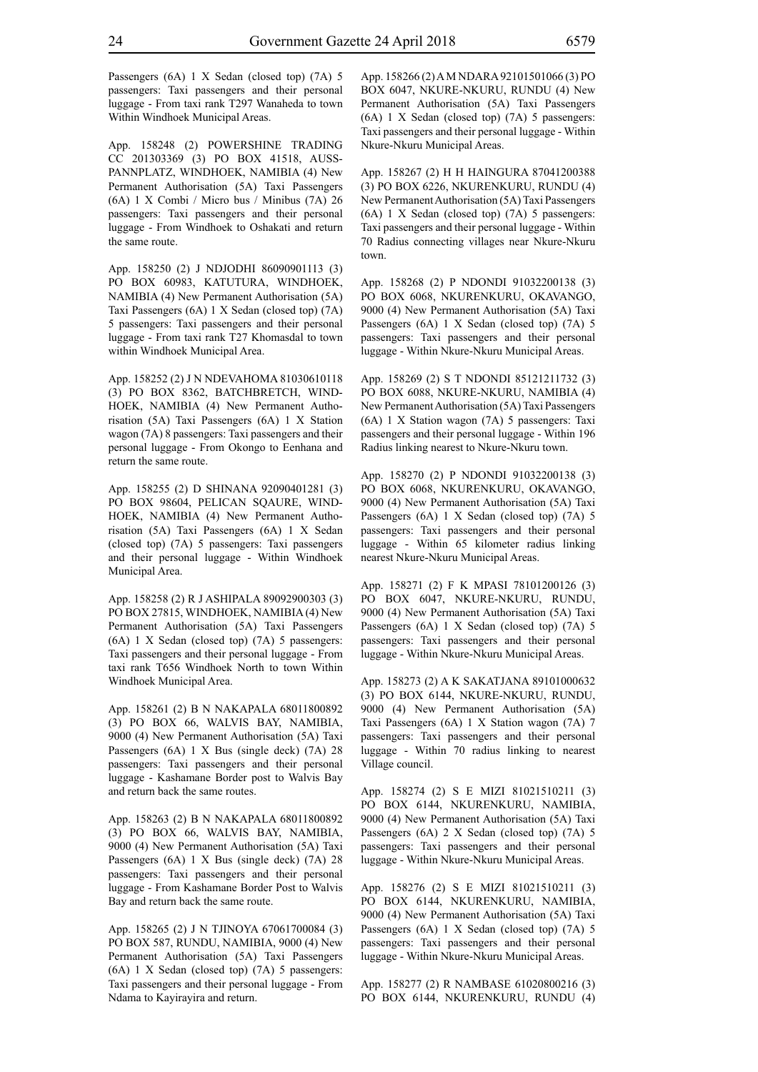Passengers (6A) 1 X Sedan (closed top) (7A) 5 passengers: Taxi passengers and their personal luggage - From taxi rank T297 Wanaheda to town Within Windhoek Municipal Areas.

App. 158248 (2) POWERSHINE TRADING CC 201303369 (3) PO BOX 41518, AUSS-PANNPLATZ, WINDHOEK, NAMIBIA (4) New Permanent Authorisation (5A) Taxi Passengers (6A) 1 X Combi / Micro bus / Minibus (7A) 26 passengers: Taxi passengers and their personal luggage - From Windhoek to Oshakati and return the same route.

App. 158250 (2) J NDJODHI 86090901113 (3) PO BOX 60983, KATUTURA, WINDHOEK, NAMIBIA (4) New Permanent Authorisation (5A) Taxi Passengers (6A) 1 X Sedan (closed top) (7A) 5 passengers: Taxi passengers and their personal luggage - From taxi rank T27 Khomasdal to town within Windhoek Municipal Area.

App. 158252 (2) J N NDEVAHOMA 81030610118 (3) PO BOX 8362, BATCHBRETCH, WIND-HOEK, NAMIBIA (4) New Permanent Authorisation (5A) Taxi Passengers (6A) 1 X Station wagon (7A) 8 passengers: Taxi passengers and their personal luggage - From Okongo to Eenhana and return the same route.

App. 158255 (2) D SHINANA 92090401281 (3) PO BOX 98604, PELICAN SQAURE, WIND-HOEK, NAMIBIA (4) New Permanent Authorisation (5A) Taxi Passengers (6A) 1 X Sedan (closed top) (7A) 5 passengers: Taxi passengers and their personal luggage - Within Windhoek Municipal Area.

App. 158258 (2) R J ASHIPALA 89092900303 (3) PO BOX 27815, WINDHOEK, NAMIBIA (4) New Permanent Authorisation (5A) Taxi Passengers (6A) 1 X Sedan (closed top) (7A) 5 passengers: Taxi passengers and their personal luggage - From taxi rank T656 Windhoek North to town Within Windhoek Municipal Area.

App. 158261 (2) B N NAKAPALA 68011800892 (3) PO BOX 66, WALVIS BAY, NAMIBIA, 9000 (4) New Permanent Authorisation (5A) Taxi Passengers (6A) 1 X Bus (single deck) (7A) 28 passengers: Taxi passengers and their personal luggage - Kashamane Border post to Walvis Bay and return back the same routes.

App. 158263 (2) B N NAKAPALA 68011800892 (3) PO BOX 66, WALVIS BAY, NAMIBIA, 9000 (4) New Permanent Authorisation (5A) Taxi Passengers (6A) 1 X Bus (single deck) (7A) 28 passengers: Taxi passengers and their personal luggage - From Kashamane Border Post to Walvis Bay and return back the same route.

App. 158265 (2) J N TJINOYA 67061700084 (3) PO BOX 587, RUNDU, NAMIBIA, 9000 (4) New Permanent Authorisation (5A) Taxi Passengers (6A) 1 X Sedan (closed top) (7A) 5 passengers: Taxi passengers and their personal luggage - From Ndama to Kayirayira and return.

App. 158266 (2) A M NDARA 92101501066 (3) PO BOX 6047, NKURE-NKURU, RUNDU (4) New Permanent Authorisation (5A) Taxi Passengers (6A) 1 X Sedan (closed top) (7A) 5 passengers: Taxi passengers and their personal luggage - Within Nkure-Nkuru Municipal Areas.

App. 158267 (2) H H HAINGURA 87041200388 (3) PO BOX 6226, NKURENKURU, RUNDU (4) New Permanent Authorisation (5A) Taxi Passengers (6A) 1 X Sedan (closed top) (7A) 5 passengers: Taxi passengers and their personal luggage - Within 70 Radius connecting villages near Nkure-Nkuru town.

App. 158268 (2) P NDONDI 91032200138 (3) PO BOX 6068, NKURENKURU, OKAVANGO, 9000 (4) New Permanent Authorisation (5A) Taxi Passengers (6A) 1 X Sedan (closed top) (7A) 5 passengers: Taxi passengers and their personal luggage - Within Nkure-Nkuru Municipal Areas.

App. 158269 (2) S T NDONDI 85121211732 (3) PO BOX 6088, NKURE-NKURU, NAMIBIA (4) New Permanent Authorisation (5A) Taxi Passengers (6A) 1 X Station wagon (7A) 5 passengers: Taxi passengers and their personal luggage - Within 196 Radius linking nearest to Nkure-Nkuru town.

App. 158270 (2) P NDONDI 91032200138 (3) PO BOX 6068, NKURENKURU, OKAVANGO, 9000 (4) New Permanent Authorisation (5A) Taxi Passengers (6A) 1 X Sedan (closed top) (7A) 5 passengers: Taxi passengers and their personal luggage - Within 65 kilometer radius linking nearest Nkure-Nkuru Municipal Areas.

App. 158271 (2) F K MPASI 78101200126 (3) PO BOX 6047, NKURE-NKURU, RUNDU, 9000 (4) New Permanent Authorisation (5A) Taxi Passengers (6A) 1 X Sedan (closed top) (7A) 5 passengers: Taxi passengers and their personal luggage - Within Nkure-Nkuru Municipal Areas.

App. 158273 (2) A K SAKATJANA 89101000632 (3) PO BOX 6144, NKURE-NKURU, RUNDU, 9000 (4) New Permanent Authorisation (5A) Taxi Passengers (6A) 1 X Station wagon (7A) 7 passengers: Taxi passengers and their personal luggage - Within 70 radius linking to nearest Village council.

App. 158274 (2) S E MIZI 81021510211 (3) PO BOX 6144, NKURENKURU, NAMIBIA, 9000 (4) New Permanent Authorisation (5A) Taxi Passengers (6A) 2 X Sedan (closed top) (7A) 5 passengers: Taxi passengers and their personal luggage - Within Nkure-Nkuru Municipal Areas.

App. 158276 (2) S E MIZI 81021510211 (3) PO BOX 6144, NKURENKURU, NAMIBIA, 9000 (4) New Permanent Authorisation (5A) Taxi Passengers (6A) 1 X Sedan (closed top) (7A) 5 passengers: Taxi passengers and their personal luggage - Within Nkure-Nkuru Municipal Areas.

App. 158277 (2) R NAMBASE 61020800216 (3) PO BOX 6144, NKURENKURU, RUNDU (4)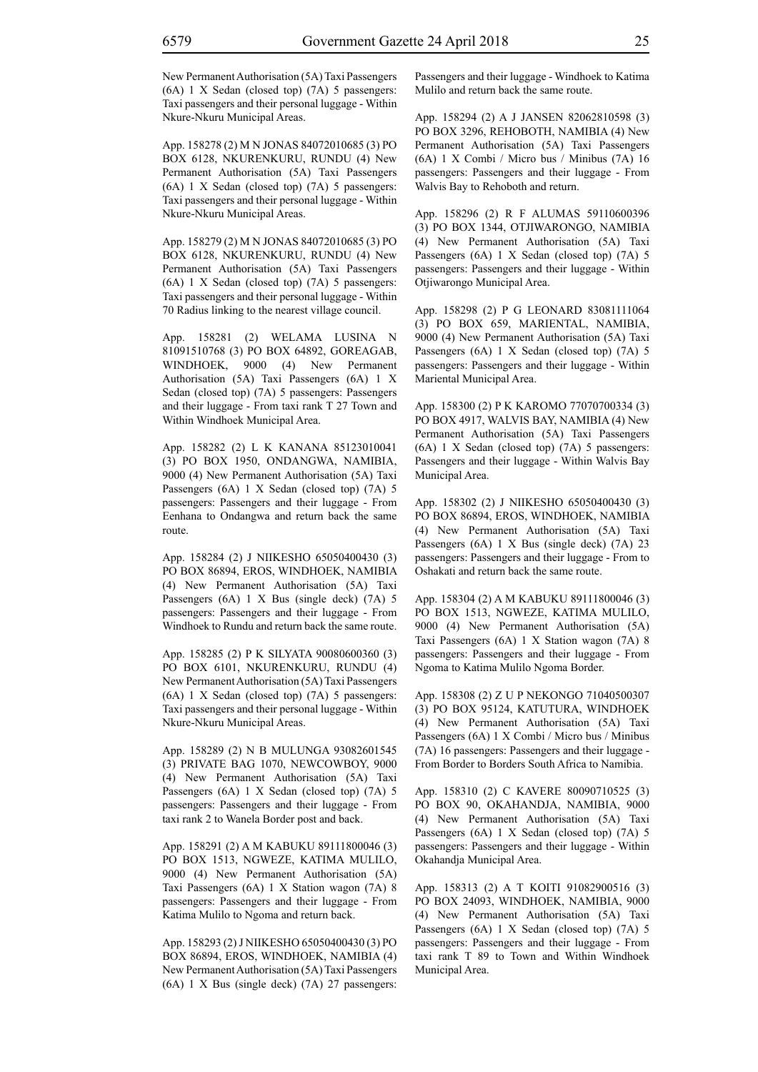New Permanent Authorisation (5A) Taxi Passengers (6A) 1 X Sedan (closed top) (7A) 5 passengers: Taxi passengers and their personal luggage - Within Nkure-Nkuru Municipal Areas.

App. 158278 (2) M N JONAS 84072010685 (3) PO BOX 6128, NKURENKURU, RUNDU (4) New Permanent Authorisation (5A) Taxi Passengers (6A) 1 X Sedan (closed top) (7A) 5 passengers: Taxi passengers and their personal luggage - Within Nkure-Nkuru Municipal Areas.

App. 158279 (2) M N JONAS 84072010685 (3) PO BOX 6128, NKURENKURU, RUNDU (4) New Permanent Authorisation (5A) Taxi Passengers (6A) 1 X Sedan (closed top) (7A) 5 passengers: Taxi passengers and their personal luggage - Within 70 Radius linking to the nearest village council.

App. 158281 (2) WELAMA LUSINA N 81091510768 (3) PO BOX 64892, GOREAGAB, WINDHOEK, 9000 (4) New Permanent Authorisation (5A) Taxi Passengers (6A) 1 X Sedan (closed top) (7A) 5 passengers: Passengers and their luggage - From taxi rank T 27 Town and Within Windhoek Municipal Area.

App. 158282 (2) L K KANANA 85123010041 (3) PO BOX 1950, ONDANGWA, NAMIBIA, 9000 (4) New Permanent Authorisation (5A) Taxi Passengers (6A) 1 X Sedan (closed top) (7A) 5 passengers: Passengers and their luggage - From Eenhana to Ondangwa and return back the same route.

App. 158284 (2) J NIIKESHO 65050400430 (3) PO BOX 86894, EROS, WINDHOEK, NAMIBIA (4) New Permanent Authorisation (5A) Taxi Passengers (6A) 1 X Bus (single deck) (7A) 5 passengers: Passengers and their luggage - From Windhoek to Rundu and return back the same route.

App. 158285 (2) P K SILYATA 90080600360 (3) PO BOX 6101, NKURENKURU, RUNDU (4) New Permanent Authorisation (5A) Taxi Passengers (6A) 1 X Sedan (closed top) (7A) 5 passengers: Taxi passengers and their personal luggage - Within Nkure-Nkuru Municipal Areas.

App. 158289 (2) N B MULUNGA 93082601545 (3) PRIVATE BAG 1070, NEWCOWBOY, 9000 (4) New Permanent Authorisation (5A) Taxi Passengers (6A) 1 X Sedan (closed top) (7A) 5 passengers: Passengers and their luggage - From taxi rank 2 to Wanela Border post and back.

App. 158291 (2) A M KABUKU 89111800046 (3) PO BOX 1513, NGWEZE, KATIMA MULILO, 9000 (4) New Permanent Authorisation (5A) Taxi Passengers (6A) 1 X Station wagon (7A) 8 passengers: Passengers and their luggage - From Katima Mulilo to Ngoma and return back.

App. 158293 (2) J NIIKESHO 65050400430 (3) PO BOX 86894, EROS, WINDHOEK, NAMIBIA (4) New Permanent Authorisation (5A) Taxi Passengers (6A) 1 X Bus (single deck) (7A) 27 passengers: Passengers and their luggage - Windhoek to Katima Mulilo and return back the same route.

App. 158294 (2) A J JANSEN 82062810598 (3) PO BOX 3296, REHOBOTH, NAMIBIA (4) New Permanent Authorisation (5A) Taxi Passengers (6A) 1 X Combi / Micro bus / Minibus (7A) 16 passengers: Passengers and their luggage - From Walvis Bay to Rehoboth and return.

App. 158296 (2) R F ALUMAS 59110600396 (3) PO BOX 1344, OTJIWARONGO, NAMIBIA (4) New Permanent Authorisation (5A) Taxi Passengers (6A) 1 X Sedan (closed top) (7A) 5 passengers: Passengers and their luggage - Within Otjiwarongo Municipal Area.

App. 158298 (2) P G LEONARD 83081111064 (3) PO BOX 659, MARIENTAL, NAMIBIA, 9000 (4) New Permanent Authorisation (5A) Taxi Passengers (6A) 1 X Sedan (closed top) (7A) 5 passengers: Passengers and their luggage - Within Mariental Municipal Area.

App. 158300 (2) P K KAROMO 77070700334 (3) PO BOX 4917, WALVIS BAY, NAMIBIA (4) New Permanent Authorisation (5A) Taxi Passengers (6A) 1 X Sedan (closed top) (7A) 5 passengers: Passengers and their luggage - Within Walvis Bay Municipal Area.

App. 158302 (2) J NIIKESHO 65050400430 (3) PO BOX 86894, EROS, WINDHOEK, NAMIBIA (4) New Permanent Authorisation (5A) Taxi Passengers (6A) 1 X Bus (single deck) (7A) 23 passengers: Passengers and their luggage - From to Oshakati and return back the same route.

App. 158304 (2) A M KABUKU 89111800046 (3) PO BOX 1513, NGWEZE, KATIMA MULILO, 9000 (4) New Permanent Authorisation (5A) Taxi Passengers (6A) 1 X Station wagon (7A) 8 passengers: Passengers and their luggage - From Ngoma to Katima Mulilo Ngoma Border.

App. 158308 (2) Z U P NEKONGO 71040500307 (3) PO BOX 95124, KATUTURA, WINDHOEK (4) New Permanent Authorisation (5A) Taxi Passengers (6A) 1 X Combi / Micro bus / Minibus (7A) 16 passengers: Passengers and their luggage - From Border to Borders South Africa to Namibia.

App. 158310 (2) C KAVERE 80090710525 (3) PO BOX 90, OKAHANDJA, NAMIBIA, 9000 (4) New Permanent Authorisation (5A) Taxi Passengers (6A) 1 X Sedan (closed top) (7A) 5 passengers: Passengers and their luggage - Within Okahandja Municipal Area.

App. 158313 (2) A T KOITI 91082900516 (3) PO BOX 24093, WINDHOEK, NAMIBIA, 9000 (4) New Permanent Authorisation (5A) Taxi Passengers (6A) 1 X Sedan (closed top) (7A) 5 passengers: Passengers and their luggage - From taxi rank T 89 to Town and Within Windhoek Municipal Area.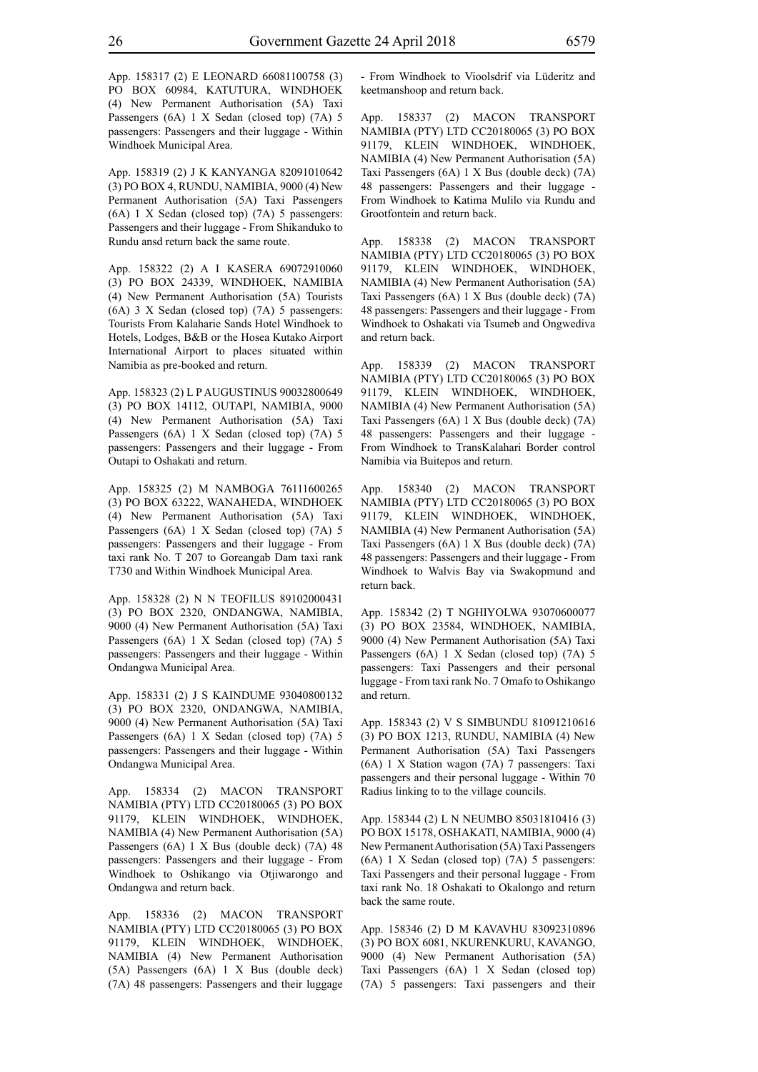App. 158317 (2) E LEONARD 66081100758 (3) PO BOX 60984, KATUTURA, WINDHOEK (4) New Permanent Authorisation (5A) Taxi Passengers (6A) 1 X Sedan (closed top) (7A) 5 passengers: Passengers and their luggage - Within Windhoek Municipal Area.

App. 158319 (2) J K KANYANGA 82091010642 (3) PO BOX 4, RUNDU, NAMIBIA, 9000 (4) New Permanent Authorisation (5A) Taxi Passengers (6A) 1 X Sedan (closed top) (7A) 5 passengers: Passengers and their luggage - From Shikanduko to Rundu ansd return back the same route.

App. 158322 (2) A I KASERA 69072910060 (3) PO BOX 24339, WINDHOEK, NAMIBIA (4) New Permanent Authorisation (5A) Tourists (6A) 3 X Sedan (closed top) (7A) 5 passengers: Tourists From Kalaharie Sands Hotel Windhoek to Hotels, Lodges, B&B or the Hosea Kutako Airport International Airport to places situated within Namibia as pre-booked and return.

App. 158323 (2) L P AUGUSTINUS 90032800649 (3) PO BOX 14112, OUTAPI, NAMIBIA, 9000 (4) New Permanent Authorisation (5A) Taxi Passengers (6A) 1 X Sedan (closed top) (7A) 5 passengers: Passengers and their luggage - From Outapi to Oshakati and return.

App. 158325 (2) M NAMBOGA 76111600265 (3) PO BOX 63222, WANAHEDA, WINDHOEK (4) New Permanent Authorisation (5A) Taxi Passengers (6A) 1 X Sedan (closed top) (7A) 5 passengers: Passengers and their luggage - From taxi rank No. T 207 to Goreangab Dam taxi rank T730 and Within Windhoek Municipal Area.

App. 158328 (2) N N TEOFILUS 89102000431 (3) PO BOX 2320, ONDANGWA, NAMIBIA, 9000 (4) New Permanent Authorisation (5A) Taxi Passengers (6A) 1 X Sedan (closed top) (7A) 5 passengers: Passengers and their luggage - Within Ondangwa Municipal Area.

App. 158331 (2) J S KAINDUME 93040800132 (3) PO BOX 2320, ONDANGWA, NAMIBIA, 9000 (4) New Permanent Authorisation (5A) Taxi Passengers (6A) 1 X Sedan (closed top) (7A) 5 passengers: Passengers and their luggage - Within Ondangwa Municipal Area.

App. 158334 (2) MACON TRANSPORT NAMIBIA (PTY) LTD CC20180065 (3) PO BOX 91179, KLEIN WINDHOEK, WINDHOEK, NAMIBIA (4) New Permanent Authorisation (5A) Passengers (6A) 1 X Bus (double deck) (7A) 48 passengers: Passengers and their luggage - From Windhoek to Oshikango via Otjiwarongo and Ondangwa and return back.

App. 158336 (2) MACON TRANSPORT NAMIBIA (PTY) LTD CC20180065 (3) PO BOX 91179, KLEIN WINDHOEK, WINDHOEK, NAMIBIA (4) New Permanent Authorisation (5A) Passengers (6A) 1 X Bus (double deck) (7A) 48 passengers: Passengers and their luggage - From Windhoek to Vioolsdrif via Lüderitz and keetmanshoop and return back.

App. 158337 (2) MACON TRANSPORT NAMIBIA (PTY) LTD CC20180065 (3) PO BOX 91179, KLEIN WINDHOEK, WINDHOEK, NAMIBIA (4) New Permanent Authorisation (5A) Taxi Passengers (6A) 1 X Bus (double deck) (7A) 48 passengers: Passengers and their luggage - From Windhoek to Katima Mulilo via Rundu and Grootfontein and return back.

App. 158338 (2) MACON TRANSPORT NAMIBIA (PTY) LTD CC20180065 (3) PO BOX 91179, KLEIN WINDHOEK, WINDHOEK, NAMIBIA (4) New Permanent Authorisation (5A) Taxi Passengers (6A) 1 X Bus (double deck) (7A) 48 passengers: Passengers and their luggage - From Windhoek to Oshakati via Tsumeb and Ongwediva and return back.

App. 158339 (2) MACON TRANSPORT NAMIBIA (PTY) LTD CC20180065 (3) PO BOX 91179, KLEIN WINDHOEK, WINDHOEK, NAMIBIA (4) New Permanent Authorisation (5A) Taxi Passengers (6A) 1 X Bus (double deck) (7A) 48 passengers: Passengers and their luggage - From Windhoek to TransKalahari Border control Namibia via Buitepos and return.

App. 158340 (2) MACON TRANSPORT NAMIBIA (PTY) LTD CC20180065 (3) PO BOX 91179, KLEIN WINDHOEK, WINDHOEK, NAMIBIA (4) New Permanent Authorisation (5A) Taxi Passengers (6A) 1 X Bus (double deck) (7A) 48 passengers: Passengers and their luggage - From Windhoek to Walvis Bay via Swakopmund and return back.

App. 158342 (2) T NGHIYOLWA 93070600077 (3) PO BOX 23584, WINDHOEK, NAMIBIA, 9000 (4) New Permanent Authorisation (5A) Taxi Passengers (6A) 1 X Sedan (closed top) (7A) 5 passengers: Taxi Passengers and their personal luggage - From taxi rank No. 7 Omafo to Oshikango and return.

App. 158343 (2) V S SIMBUNDU 81091210616 (3) PO BOX 1213, RUNDU, NAMIBIA (4) New Permanent Authorisation (5A) Taxi Passengers (6A) 1 X Station wagon (7A) 7 passengers: Taxi passengers and their personal luggage - Within 70 Radius linking to to the village councils.

App. 158344 (2) L N NEUMBO 85031810416 (3) PO BOX 15178, OSHAKATI, NAMIBIA, 9000 (4) New Permanent Authorisation (5A) Taxi Passengers (6A) 1 X Sedan (closed top) (7A) 5 passengers: Taxi Passengers and their personal luggage - From taxi rank No. 18 Oshakati to Okalongo and return back the same route.

App. 158346 (2) D M KAVAVHU 83092310896 (3) PO BOX 6081, NKURENKURU, KAVANGO, 9000 (4) New Permanent Authorisation (5A) Taxi Passengers (6A) 1 X Sedan (closed top) (7A) 5 passengers: Taxi passengers and their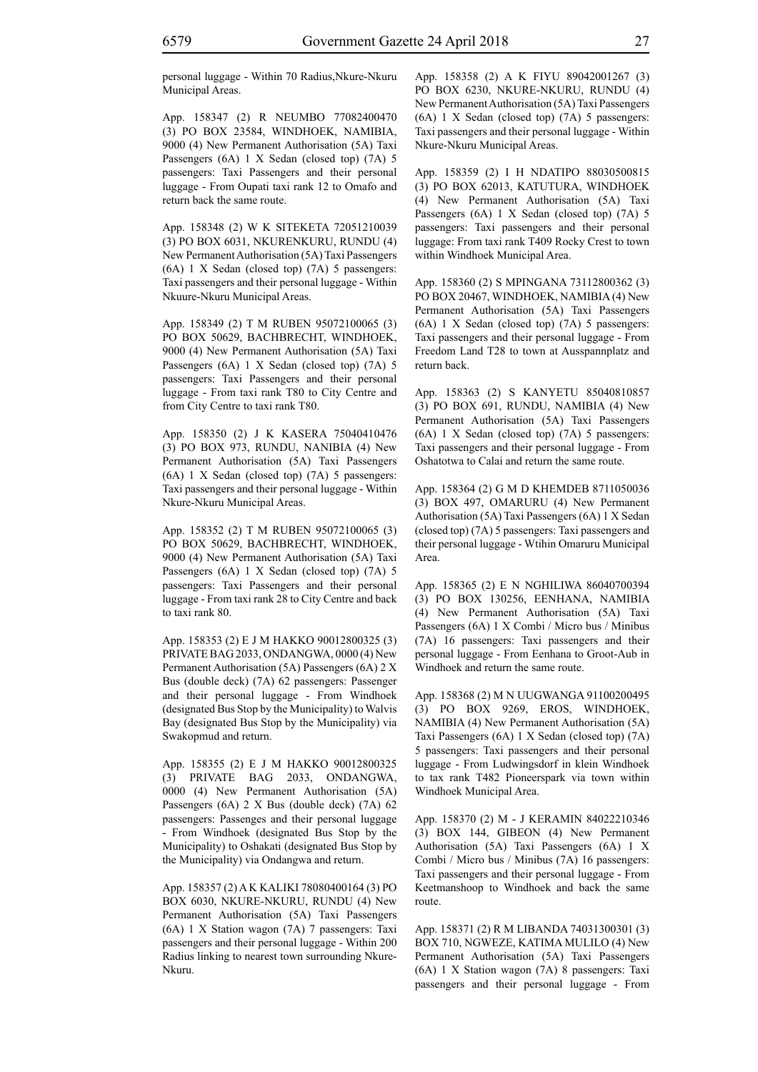personal luggage - Within 70 Radius,Nkure-Nkuru Municipal Areas.

App. 158347 (2) R NEUMBO 77082400470 (3) PO BOX 23584, WINDHOEK, NAMIBIA, 9000 (4) New Permanent Authorisation (5A) Taxi Passengers (6A) 1 X Sedan (closed top) (7A) 5 passengers: Taxi Passengers and their personal luggage - From Oupati taxi rank 12 to Omafo and return back the same route.

App. 158348 (2) W K SITEKETA 72051210039 (3) PO BOX 6031, NKURENKURU, RUNDU (4) New Permanent Authorisation (5A) Taxi Passengers (6A) 1 X Sedan (closed top) (7A) 5 passengers: Taxi passengers and their personal luggage - Within Nkuure-Nkuru Municipal Areas.

App. 158349 (2) T M RUBEN 95072100065 (3) PO BOX 50629, BACHBRECHT, WINDHOEK, 9000 (4) New Permanent Authorisation (5A) Taxi Passengers (6A) 1 X Sedan (closed top) (7A) 5 passengers: Taxi Passengers and their personal luggage - From taxi rank T80 to City Centre and from City Centre to taxi rank T80.

App. 158350 (2) J K KASERA 75040410476 (3) PO BOX 973, RUNDU, NANIBIA (4) New Permanent Authorisation (5A) Taxi Passengers (6A) 1 X Sedan (closed top) (7A) 5 passengers: Taxi passengers and their personal luggage - Within Nkure-Nkuru Municipal Areas.

App. 158352 (2) T M RUBEN 95072100065 (3) PO BOX 50629, BACHBRECHT, WINDHOEK, 9000 (4) New Permanent Authorisation (5A) Taxi Passengers (6A) 1 X Sedan (closed top) (7A) 5 passengers: Taxi Passengers and their personal luggage - From taxi rank 28 to City Centre and back to taxi rank 80.

App. 158353 (2) E J M HAKKO 90012800325 (3) PRIVATE BAG 2033, ONDANGWA, 0000 (4) New Permanent Authorisation (5A) Passengers (6A) 2 X Bus (double deck) (7A) 62 passengers: Passenger and their personal luggage - From Windhoek (designated Bus Stop by the Municipality) to Walvis Bay (designated Bus Stop by the Municipality) via Swakopmud and return.

App. 158355 (2) E J M HAKKO 90012800325 (3) PRIVATE BAG 2033, ONDANGWA, 0000 (4) New Permanent Authorisation (5A) Passengers (6A) 2 X Bus (double deck) (7A) 62 passengers: Passenges and their personal luggage - From Windhoek (designated Bus Stop by the Municipality) to Oshakati (designated Bus Stop by the Municipality) via Ondangwa and return.

App. 158357 (2) A K KALIKI 78080400164 (3) PO BOX 6030, NKURE-NKURU, RUNDU (4) New Permanent Authorisation (5A) Taxi Passengers (6A) 1 X Station wagon (7A) 7 passengers: Taxi passengers and their personal luggage - Within 200 Radius linking to nearest town surrounding Nkure-Nkuru.

App. 158358 (2) A K FIYU 89042001267 (3) PO BOX 6230, NKURE-NKURU, RUNDU (4) New Permanent Authorisation (5A) Taxi Passengers (6A) 1 X Sedan (closed top) (7A) 5 passengers: Taxi passengers and their personal luggage - Within Nkure-Nkuru Municipal Areas.

App. 158359 (2) I H NDATIPO 88030500815 (3) PO BOX 62013, KATUTURA, WINDHOEK (4) New Permanent Authorisation (5A) Taxi Passengers (6A) 1 X Sedan (closed top) (7A) 5 passengers: Taxi passengers and their personal luggage: From taxi rank T409 Rocky Crest to town within Windhoek Municipal Area.

App. 158360 (2) S MPINGANA 73112800362 (3) PO BOX 20467, WINDHOEK, NAMIBIA (4) New Permanent Authorisation (5A) Taxi Passengers (6A) 1 X Sedan (closed top) (7A) 5 passengers: Taxi passengers and their personal luggage - From Freedom Land T28 to town at Ausspannplatz and return back.

App. 158363 (2) S KANYETU 85040810857 (3) PO BOX 691, RUNDU, NAMIBIA (4) New Permanent Authorisation (5A) Taxi Passengers (6A) 1 X Sedan (closed top) (7A) 5 passengers: Taxi passengers and their personal luggage - From Oshatotwa to Calai and return the same route.

App. 158364 (2) G M D KHEMDEB 8711050036 (3) BOX 497, OMARURU (4) New Permanent Authorisation (5A) Taxi Passengers (6A) 1 X Sedan (closed top) (7A) 5 passengers: Taxi passengers and their personal luggage - Wtihin Omaruru Municipal Area.

App. 158365 (2) E N NGHILIWA 86040700394 (3) PO BOX 130256, EENHANA, NAMIBIA (4) New Permanent Authorisation (5A) Taxi Passengers (6A) 1 X Combi / Micro bus / Minibus (7A) 16 passengers: Taxi passengers and their personal luggage - From Eenhana to Groot-Aub in Windhoek and return the same route.

App. 158368 (2) M N UUGWANGA 91100200495 (3) PO BOX 9269, EROS, WINDHOEK, NAMIBIA (4) New Permanent Authorisation (5A) Taxi Passengers (6A) 1 X Sedan (closed top) (7A) 5 passengers: Taxi passengers and their personal luggage - From Ludwingsdorf in klein Windhoek to tax rank T482 Pioneerspark via town within Windhoek Municipal Area.

App. 158370 (2) M - J KERAMIN 84022210346 (3) BOX 144, GIBEON (4) New Permanent Authorisation (5A) Taxi Passengers (6A) 1 X Combi / Micro bus / Minibus (7A) 16 passengers: Taxi passengers and their personal luggage - From Keetmanshoop to Windhoek and back the same route.

App. 158371 (2) R M LIBANDA 74031300301 (3) BOX 710, NGWEZE, KATIMA MULILO (4) New Permanent Authorisation (5A) Taxi Passengers (6A) 1 X Station wagon (7A) 8 passengers: Taxi passengers and their personal luggage - From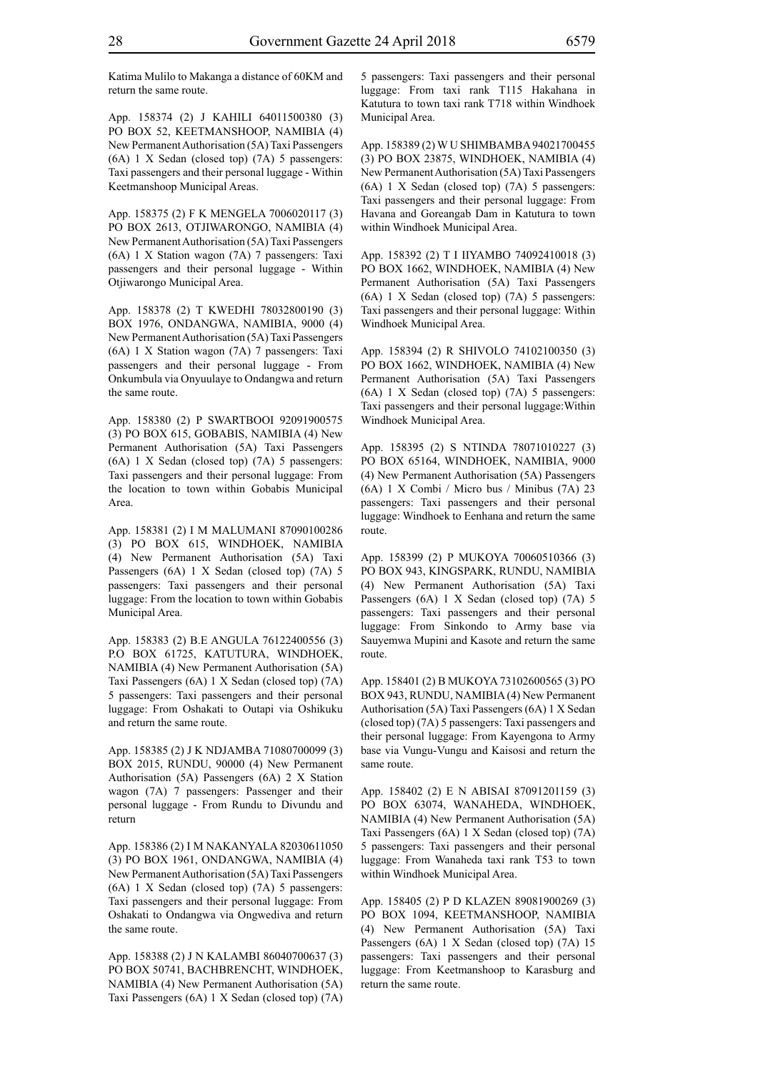Katima Mulilo to Makanga a distance of 60KM and return the same route.

App. 158374 (2) J KAHILI 64011500380 (3) PO BOX 52, KEETMANSHOOP, NAMIBIA (4) New Permanent Authorisation (5A) Taxi Passengers (6A) 1 X Sedan (closed top) (7A) 5 passengers: Taxi passengers and their personal luggage - Within Keetmanshoop Municipal Areas.

App. 158375 (2) F K MENGELA 7006020117 (3) PO BOX 2613, OTJIWARONGO, NAMIBIA (4) New Permanent Authorisation (5A) Taxi Passengers (6A) 1 X Station wagon (7A) 7 passengers: Taxi passengers and their personal luggage - Within Otjiwarongo Municipal Area.

App. 158378 (2) T KWEDHI 78032800190 (3) BOX 1976, ONDANGWA, NAMIBIA, 9000 (4) New Permanent Authorisation (5A) Taxi Passengers (6A) 1 X Station wagon (7A) 7 passengers: Taxi passengers and their personal luggage - From Onkumbula via Onyuulaye to Ondangwa and return the same route.

App. 158380 (2) P SWARTBOOI 92091900575 (3) PO BOX 615, GOBABIS, NAMIBIA (4) New Permanent Authorisation (5A) Taxi Passengers (6A) 1 X Sedan (closed top) (7A) 5 passengers: Taxi passengers and their personal luggage: From the location to town within Gobabis Municipal Area.

App. 158381 (2) I M MALUMANI 87090100286 (3) PO BOX 615, WINDHOEK, NAMIBIA (4) New Permanent Authorisation (5A) Taxi Passengers (6A) 1 X Sedan (closed top) (7A) 5 passengers: Taxi passengers and their personal luggage: From the location to town within Gobabis Municipal Area.

App. 158383 (2) B.E ANGULA 76122400556 (3) P.O BOX 61725, KATUTURA, WINDHOEK, NAMIBIA (4) New Permanent Authorisation (5A) Taxi Passengers (6A) 1 X Sedan (closed top) (7A) 5 passengers: Taxi passengers and their personal luggage: From Oshakati to Outapi via Oshikuku and return the same route.

App. 158385 (2) J K NDJAMBA 71080700099 (3) BOX 2015, RUNDU, 90000 (4) New Permanent Authorisation (5A) Passengers (6A) 2 X Station wagon (7A) 7 passengers: Passenger and their personal luggage - From Rundu to Divundu and return

App. 158386 (2) I M NAKANYALA 82030611050 (3) PO BOX 1961, ONDANGWA, NAMIBIA (4) New Permanent Authorisation (5A) Taxi Passengers (6A) 1 X Sedan (closed top) (7A) 5 passengers: Taxi passengers and their personal luggage: From Oshakati to Ondangwa via Ongwediva and return the same route.

App. 158388 (2) J N KALAMBI 86040700637 (3) PO BOX 50741, BACHBRENCHT, WINDHOEK, NAMIBIA (4) New Permanent Authorisation (5A) Taxi Passengers (6A) 1 X Sedan (closed top) (7A) 5 passengers: Taxi passengers and their personal luggage: From taxi rank T115 Hakahana in Katutura to town taxi rank T718 within Windhoek Municipal Area.

App. 158389 (2) W U SHIMBAMBA 94021700455 (3) PO BOX 23875, WINDHOEK, NAMIBIA (4) New Permanent Authorisation (5A) Taxi Passengers (6A) 1 X Sedan (closed top) (7A) 5 passengers: Taxi passengers and their personal luggage: From Havana and Goreangab Dam in Katutura to town within Windhoek Municipal Area.

App. 158392 (2) T I IIYAMBO 74092410018 (3) PO BOX 1662, WINDHOEK, NAMIBIA (4) New Permanent Authorisation (5A) Taxi Passengers (6A) 1 X Sedan (closed top) (7A) 5 passengers: Taxi passengers and their personal luggage: Within Windhoek Municipal Area.

App. 158394 (2) R SHIVOLO 74102100350 (3) PO BOX 1662, WINDHOEK, NAMIBIA (4) New Permanent Authorisation (5A) Taxi Passengers (6A) 1 X Sedan (closed top) (7A) 5 passengers: Taxi passengers and their personal luggage:Within Windhoek Municipal Area.

App. 158395 (2) S NTINDA 78071010227 (3) PO BOX 65164, WINDHOEK, NAMIBIA, 9000 (4) New Permanent Authorisation (5A) Passengers (6A) 1 X Combi / Micro bus / Minibus (7A) 23 passengers: Taxi passengers and their personal luggage: Windhoek to Eenhana and return the same route.

App. 158399 (2) P MUKOYA 70060510366 (3) PO BOX 943, KINGSPARK, RUNDU, NAMIBIA (4) New Permanent Authorisation (5A) Taxi Passengers (6A) 1 X Sedan (closed top) (7A) 5 passengers: Taxi passengers and their personal luggage: From Sinkondo to Army base via Sauyemwa Mupini and Kasote and return the same route.

App. 158401 (2) B MUKOYA 73102600565 (3) PO BOX 943, RUNDU, NAMIBIA (4) New Permanent Authorisation (5A) Taxi Passengers (6A) 1 X Sedan (closed top) (7A) 5 passengers: Taxi passengers and their personal luggage: From Kayengona to Army base via Vungu-Vungu and Kaisosi and return the same route.

App. 158402 (2) E N ABISAI 87091201159 (3) PO BOX 63074, WANAHEDA, WINDHOEK, NAMIBIA (4) New Permanent Authorisation (5A) Taxi Passengers (6A) 1 X Sedan (closed top) (7A) 5 passengers: Taxi passengers and their personal luggage: From Wanaheda taxi rank T53 to town within Windhoek Municipal Area.

App. 158405 (2) P D KLAZEN 89081900269 (3) PO BOX 1094, KEETMANSHOOP, NAMIBIA (4) New Permanent Authorisation (5A) Taxi Passengers (6A) 1 X Sedan (closed top) (7A) 15 passengers: Taxi passengers and their personal luggage: From Keetmanshoop to Karasburg and return the same route.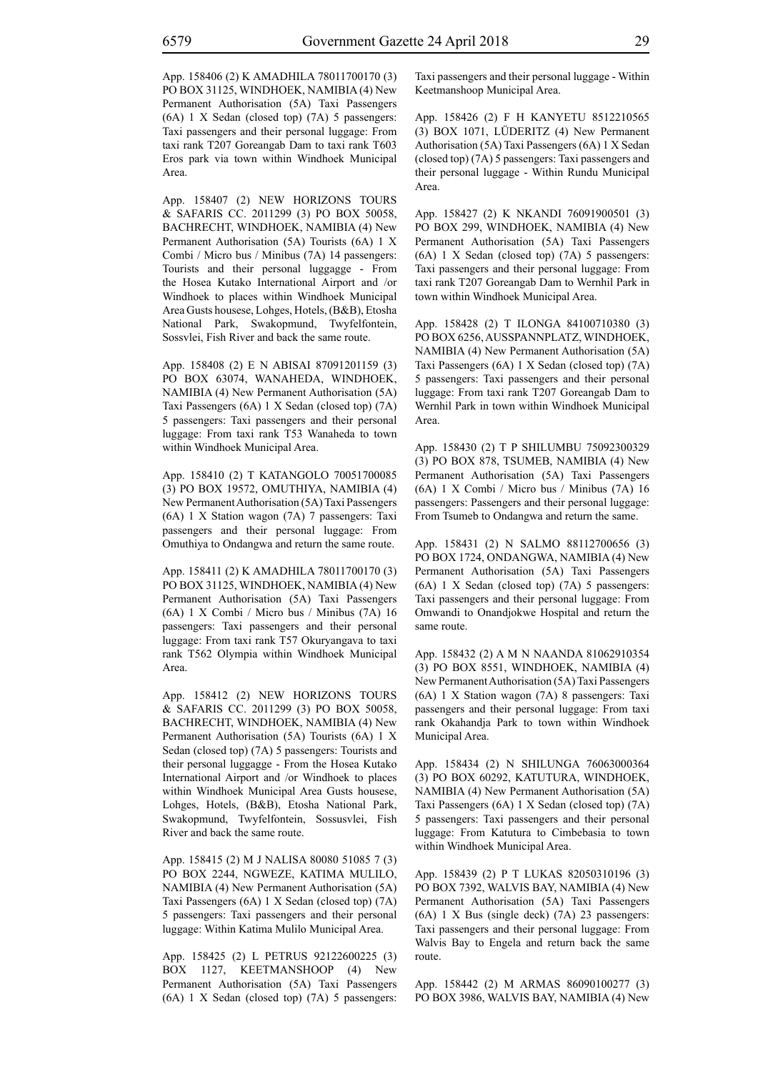App. 158406 (2) K AMADHILA 78011700170 (3) PO BOX 31125, WINDHOEK, NAMIBIA (4) New Permanent Authorisation (5A) Taxi Passengers (6A) 1 X Sedan (closed top) (7A) 5 passengers: Taxi passengers and their personal luggage: From taxi rank T207 Goreangab Dam to taxi rank T603 Eros park via town within Windhoek Municipal Area.

App. 158407 (2) NEW HORIZONS TOURS & SAFARIS CC. 2011299 (3) PO BOX 50058, BACHRECHT, WINDHOEK, NAMIBIA (4) New Permanent Authorisation (5A) Tourists (6A) 1 X Combi / Micro bus / Minibus (7A) 14 passengers: Tourists and their personal luggagge - From the Hosea Kutako International Airport and /or Windhoek to places within Windhoek Municipal Area Gusts housese, Lohges, Hotels, (B&B), Etosha National Park, Swakopmund, Twyfelfontein, Sossvlei, Fish River and back the same route.

App. 158408 (2) E N ABISAI 87091201159 (3) PO BOX 63074, WANAHEDA, WINDHOEK, NAMIBIA (4) New Permanent Authorisation (5A) Taxi Passengers (6A) 1 X Sedan (closed top) (7A) 5 passengers: Taxi passengers and their personal luggage: From taxi rank T53 Wanaheda to town within Windhoek Municipal Area.

App. 158410 (2) T KATANGOLO 70051700085 (3) PO BOX 19572, OMUTHIYA, NAMIBIA (4) New Permanent Authorisation (5A) Taxi Passengers (6A) 1 X Station wagon (7A) 7 passengers: Taxi passengers and their personal luggage: From Omuthiya to Ondangwa and return the same route.

App. 158411 (2) K AMADHILA 78011700170 (3) PO BOX 31125, WINDHOEK, NAMIBIA (4) New Permanent Authorisation (5A) Taxi Passengers (6A) 1 X Combi / Micro bus / Minibus (7A) 16 passengers: Taxi passengers and their personal luggage: From taxi rank T57 Okuryangava to taxi rank T562 Olympia within Windhoek Municipal Area.

App. 158412 (2) NEW HORIZONS TOURS & SAFARIS CC. 2011299 (3) PO BOX 50058, BACHRECHT, WINDHOEK, NAMIBIA (4) New Permanent Authorisation (5A) Tourists (6A) 1 X Sedan (closed top) (7A) 5 passengers: Tourists and their personal luggagge - From the Hosea Kutako International Airport and /or Windhoek to places within Windhoek Municipal Area Gusts housese, Lohges, Hotels, (B&B), Etosha National Park, Swakopmund, Twyfelfontein, Sossusvlei, Fish River and back the same route.

App. 158415 (2) M J NALISA 80080 51085 7 (3) PO BOX 2244, NGWEZE, KATIMA MULILO, NAMIBIA (4) New Permanent Authorisation (5A) Taxi Passengers (6A) 1 X Sedan (closed top) (7A) 5 passengers: Taxi passengers and their personal luggage: Within Katima Mulilo Municipal Area.

App. 158425 (2) L PETRUS 92122600225 (3) BOX 1127, KEETMANSHOOP (4) New Permanent Authorisation (5A) Taxi Passengers (6A) 1 X Sedan (closed top) (7A) 5 passengers: Taxi passengers and their personal luggage - Within Keetmanshoop Municipal Area.

App. 158426 (2) F H KANYETU 8512210565 (3) BOX 1071, LÜDERITZ (4) New Permanent Authorisation (5A) Taxi Passengers (6A) 1 X Sedan (closed top) (7A) 5 passengers: Taxi passengers and their personal luggage - Within Rundu Municipal Area.

App. 158427 (2) K NKANDI 76091900501 (3) PO BOX 299, WINDHOEK, NAMIBIA (4) New Permanent Authorisation (5A) Taxi Passengers (6A) 1 X Sedan (closed top) (7A) 5 passengers: Taxi passengers and their personal luggage: From taxi rank T207 Goreangab Dam to Wernhil Park in town within Windhoek Municipal Area.

App. 158428 (2) T ILONGA 84100710380 (3) PO BOX 6256, AUSSPANNPLATZ, WINDHOEK, NAMIBIA (4) New Permanent Authorisation (5A) Taxi Passengers (6A) 1 X Sedan (closed top) (7A) 5 passengers: Taxi passengers and their personal luggage: From taxi rank T207 Goreangab Dam to Wernhil Park in town within Windhoek Municipal Area.

App. 158430 (2) T P SHILUMBU 75092300329 (3) PO BOX 878, TSUMEB, NAMIBIA (4) New Permanent Authorisation (5A) Taxi Passengers (6A) 1 X Combi / Micro bus / Minibus (7A) 16 passengers: Passengers and their personal luggage: From Tsumeb to Ondangwa and return the same.

App. 158431 (2) N SALMO 88112700656 (3) PO BOX 1724, ONDANGWA, NAMIBIA (4) New Permanent Authorisation (5A) Taxi Passengers (6A) 1 X Sedan (closed top) (7A) 5 passengers: Taxi passengers and their personal luggage: From Omwandi to Onandjokwe Hospital and return the same route.

App. 158432 (2) A M N NAANDA 81062910354 (3) PO BOX 8551, WINDHOEK, NAMIBIA (4) New Permanent Authorisation (5A) Taxi Passengers (6A) 1 X Station wagon (7A) 8 passengers: Taxi passengers and their personal luggage: From taxi rank Okahandja Park to town within Windhoek Municipal Area.

App. 158434 (2) N SHILUNGA 76063000364 (3) PO BOX 60292, KATUTURA, WINDHOEK, NAMIBIA (4) New Permanent Authorisation (5A) Taxi Passengers (6A) 1 X Sedan (closed top) (7A) 5 passengers: Taxi passengers and their personal luggage: From Katutura to Cimbebasia to town within Windhoek Municipal Area.

App. 158439 (2) P T LUKAS 82050310196 (3) PO BOX 7392, WALVIS BAY, NAMIBIA (4) New Permanent Authorisation (5A) Taxi Passengers (6A) 1 X Bus (single deck) (7A) 23 passengers: Taxi passengers and their personal luggage: From Walvis Bay to Engela and return back the same route.

App. 158442 (2) M ARMAS 86090100277 (3) PO BOX 3986, WALVIS BAY, NAMIBIA (4) New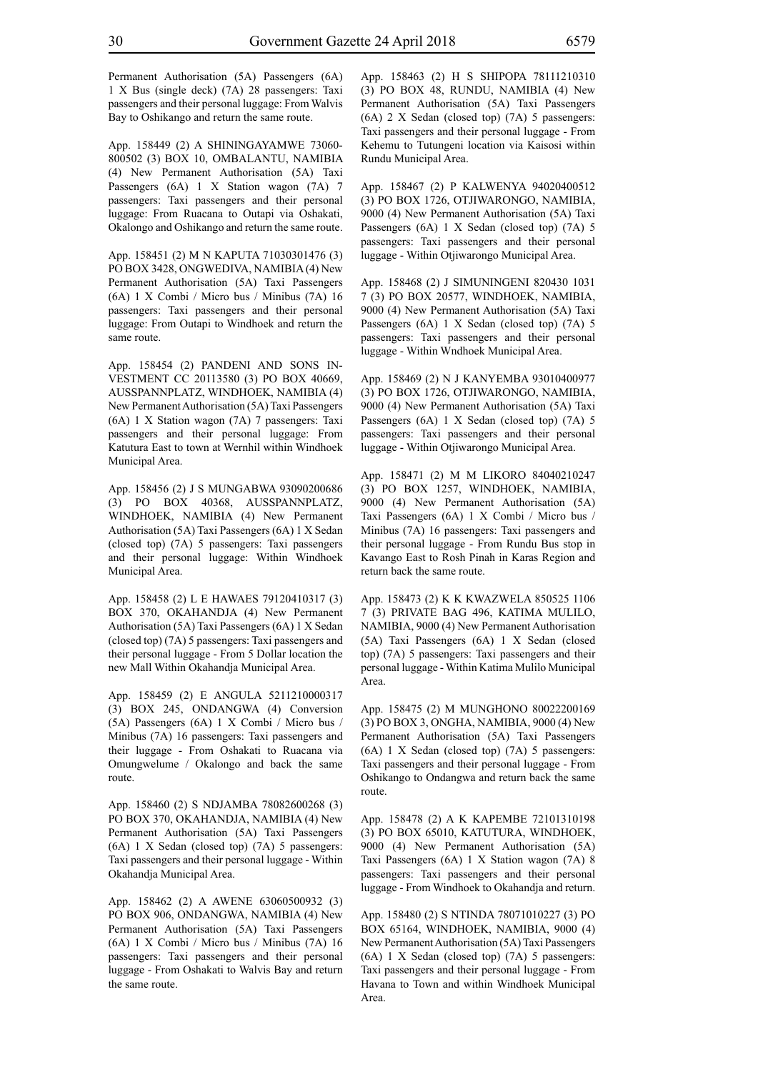Permanent Authorisation (5A) Passengers (6A) 1 X Bus (single deck) (7A) 28 passengers: Taxi passengers and their personal luggage: From Walvis Bay to Oshikango and return the same route.

App. 158449 (2) A SHININGAYAMWE 73060- 800502 (3) BOX 10, OMBALANTU, NAMIBIA (4) New Permanent Authorisation (5A) Taxi Passengers (6A) 1 X Station wagon (7A) 7 passengers: Taxi passengers and their personal luggage: From Ruacana to Outapi via Oshakati, Okalongo and Oshikango and return the same route.

App. 158451 (2) M N KAPUTA 71030301476 (3) PO BOX 3428, ONGWEDIVA, NAMIBIA (4) New Permanent Authorisation (5A) Taxi Passengers (6A) 1 X Combi / Micro bus / Minibus (7A) 16 passengers: Taxi passengers and their personal luggage: From Outapi to Windhoek and return the same route.

App. 158454 (2) PANDENI AND SONS IN-VESTMENT CC 20113580 (3) PO BOX 40669, AUSSPANNPLATZ, WINDHOEK, NAMIBIA (4) New Permanent Authorisation (5A) Taxi Passengers (6A) 1 X Station wagon (7A) 7 passengers: Taxi passengers and their personal luggage: From Katutura East to town at Wernhil within Windhoek Municipal Area.

App. 158456 (2) J S MUNGABWA 93090200686 (3) PO BOX 40368, AUSSPANNPLATZ, WINDHOEK, NAMIBIA (4) New Permanent Authorisation (5A) Taxi Passengers (6A) 1 X Sedan (closed top) (7A) 5 passengers: Taxi passengers and their personal luggage: Within Windhoek Municipal Area.

App. 158458 (2) L E HAWAES 79120410317 (3) BOX 370, OKAHANDJA (4) New Permanent Authorisation (5A) Taxi Passengers (6A) 1 X Sedan (closed top) (7A) 5 passengers: Taxi passengers and their personal luggage - From 5 Dollar location the new Mall Within Okahandja Municipal Area.

App. 158459 (2) E ANGULA 5211210000317 (3) BOX 245, ONDANGWA (4) Conversion (5A) Passengers (6A) 1 X Combi / Micro bus / Minibus (7A) 16 passengers: Taxi passengers and their luggage - From Oshakati to Ruacana via Omungwelume / Okalongo and back the same route.

App. 158460 (2) S NDJAMBA 78082600268 (3) PO BOX 370, OKAHANDJA, NAMIBIA (4) New Permanent Authorisation (5A) Taxi Passengers (6A) 1 X Sedan (closed top) (7A) 5 passengers: Taxi passengers and their personal luggage - Within Okahandja Municipal Area.

App. 158462 (2) A AWENE 63060500932 (3) PO BOX 906, ONDANGWA, NAMIBIA (4) New Permanent Authorisation (5A) Taxi Passengers (6A) 1 X Combi / Micro bus / Minibus (7A) 16 passengers: Taxi passengers and their personal luggage - From Oshakati to Walvis Bay and return the same route.

App. 158463 (2) H S SHIPOPA 78111210310 (3) PO BOX 48, RUNDU, NAMIBIA (4) New Permanent Authorisation (5A) Taxi Passengers (6A) 2 X Sedan (closed top) (7A) 5 passengers: Taxi passengers and their personal luggage - From Kehemu to Tutungeni location via Kaisosi within Rundu Municipal Area.

App. 158467 (2) P KALWENYA 94020400512 (3) PO BOX 1726, OTJIWARONGO, NAMIBIA, 9000 (4) New Permanent Authorisation (5A) Taxi Passengers (6A) 1 X Sedan (closed top) (7A) 5 passengers: Taxi passengers and their personal luggage - Within Otjiwarongo Municipal Area.

App. 158468 (2) J SIMUNINGENI 820430 1031 7 (3) PO BOX 20577, WINDHOEK, NAMIBIA, 9000 (4) New Permanent Authorisation (5A) Taxi Passengers (6A) 1 X Sedan (closed top) (7A) 5 passengers: Taxi passengers and their personal luggage - Within Wndhoek Municipal Area.

App. 158469 (2) N J KANYEMBA 93010400977 (3) PO BOX 1726, OTJIWARONGO, NAMIBIA, 9000 (4) New Permanent Authorisation (5A) Taxi Passengers (6A) 1 X Sedan (closed top) (7A) 5 passengers: Taxi passengers and their personal luggage - Within Otjiwarongo Municipal Area.

App. 158471 (2) M M LIKORO 84040210247 (3) PO BOX 1257, WINDHOEK, NAMIBIA, 9000 (4) New Permanent Authorisation (5A) Taxi Passengers (6A) 1 X Combi / Micro bus / Minibus (7A) 16 passengers: Taxi passengers and their personal luggage - From Rundu Bus stop in Kavango East to Rosh Pinah in Karas Region and return back the same route.

App. 158473 (2) K K KWAZWELA 850525 1106 7 (3) PRIVATE BAG 496, KATIMA MULILO, NAMIBIA, 9000 (4) New Permanent Authorisation (5A) Taxi Passengers (6A) 1 X Sedan (closed top) (7A) 5 passengers: Taxi passengers and their personal luggage - Within Katima Mulilo Municipal Area.

App. 158475 (2) M MUNGHONO 80022200169 (3) PO BOX 3, ONGHA, NAMIBIA, 9000 (4) New Permanent Authorisation (5A) Taxi Passengers (6A) 1 X Sedan (closed top) (7A) 5 passengers: Taxi passengers and their personal luggage - From Oshikango to Ondangwa and return back the same route.

App. 158478 (2) A K KAPEMBE 72101310198 (3) PO BOX 65010, KATUTURA, WINDHOEK, 9000 (4) New Permanent Authorisation (5A) Taxi Passengers (6A) 1 X Station wagon (7A) 8 passengers: Taxi passengers and their personal luggage - From Windhoek to Okahandja and return.

App. 158480 (2) S NTINDA 78071010227 (3) PO BOX 65164, WINDHOEK, NAMIBIA, 9000 (4) New Permanent Authorisation (5A) Taxi Passengers (6A) 1 X Sedan (closed top) (7A) 5 passengers: Taxi passengers and their personal luggage - From Havana to Town and within Windhoek Municipal Area.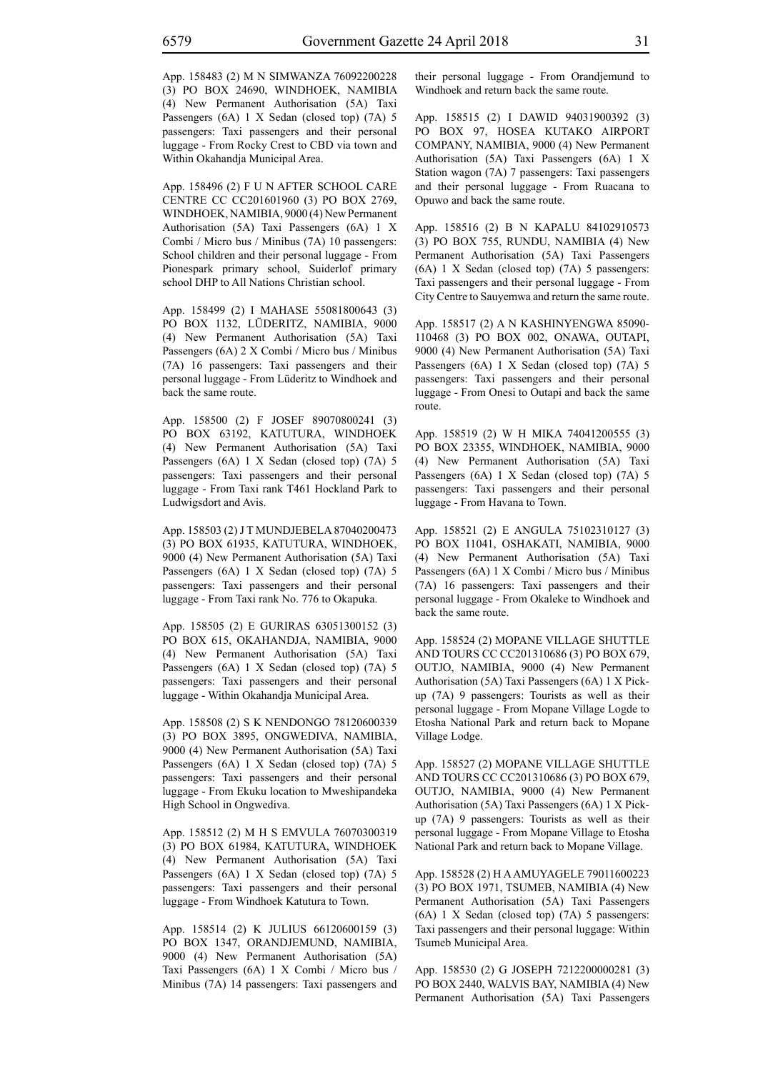App. 158483 (2) M N SIMWANZA 76092200228 (3) PO BOX 24690, WINDHOEK, NAMIBIA (4) New Permanent Authorisation (5A) Taxi Passengers (6A) 1 X Sedan (closed top) (7A) 5 passengers: Taxi passengers and their personal luggage - From Rocky Crest to CBD via town and Within Okahandja Municipal Area.

App. 158496 (2) F U N AFTER SCHOOL CARE CENTRE CC CC201601960 (3) PO BOX 2769, WINDHOEK, NAMIBIA, 9000 (4) New Permanent Authorisation (5A) Taxi Passengers (6A) 1 X Combi / Micro bus / Minibus (7A) 10 passengers: School children and their personal luggage - From Pionespark primary school, Suiderlof primary school DHP to All Nations Christian school.

App. 158499 (2) I MAHASE 55081800643 (3) PO BOX 1132, LÜDERITZ, NAMIBIA, 9000 (4) New Permanent Authorisation (5A) Taxi Passengers (6A) 2 X Combi / Micro bus / Minibus (7A) 16 passengers: Taxi passengers and their personal luggage - From Lüderitz to Windhoek and back the same route.

App. 158500 (2) F JOSEF 89070800241 (3) PO BOX 63192, KATUTURA, WINDHOEK (4) New Permanent Authorisation (5A) Taxi Passengers (6A) 1 X Sedan (closed top) (7A) 5 passengers: Taxi passengers and their personal luggage - From Taxi rank T461 Hockland Park to Ludwigsdort and Avis.

App. 158503 (2) J T MUNDJEBELA 87040200473 (3) PO BOX 61935, KATUTURA, WINDHOEK, 9000 (4) New Permanent Authorisation (5A) Taxi Passengers (6A) 1 X Sedan (closed top) (7A) 5 passengers: Taxi passengers and their personal luggage - From Taxi rank No. 776 to Okapuka.

App. 158505 (2) E GURIRAS 63051300152 (3) PO BOX 615, OKAHANDJA, NAMIBIA, 9000 (4) New Permanent Authorisation (5A) Taxi Passengers (6A) 1 X Sedan (closed top) (7A) 5 passengers: Taxi passengers and their personal luggage - Within Okahandja Municipal Area.

App. 158508 (2) S K NENDONGO 78120600339 (3) PO BOX 3895, ONGWEDIVA, NAMIBIA, 9000 (4) New Permanent Authorisation (5A) Taxi Passengers (6A) 1 X Sedan (closed top) (7A) 5 passengers: Taxi passengers and their personal luggage - From Ekuku location to Mweshipandeka High School in Ongwediva.

App. 158512 (2) M H S EMVULA 76070300319 (3) PO BOX 61984, KATUTURA, WINDHOEK (4) New Permanent Authorisation (5A) Taxi Passengers (6A) 1 X Sedan (closed top) (7A) 5 passengers: Taxi passengers and their personal luggage - From Windhoek Katutura to Town.

App. 158514 (2) K JULIUS 66120600159 (3) PO BOX 1347, ORANDJEMUND, NAMIBIA, 9000 (4) New Permanent Authorisation (5A) Taxi Passengers (6A) 1 X Combi / Micro bus / Minibus (7A) 14 passengers: Taxi passengers and their personal luggage - From Orandjemund to Windhoek and return back the same route.

App. 158515 (2) I DAWID 94031900392 (3) PO BOX 97, HOSEA KUTAKO AIRPORT COMPANY, NAMIBIA, 9000 (4) New Permanent Authorisation (5A) Taxi Passengers (6A) 1 X Station wagon (7A) 7 passengers: Taxi passengers and their personal luggage - From Ruacana to Opuwo and back the same route.

App. 158516 (2) B N KAPALU 84102910573 (3) PO BOX 755, RUNDU, NAMIBIA (4) New Permanent Authorisation (5A) Taxi Passengers (6A) 1 X Sedan (closed top) (7A) 5 passengers: Taxi passengers and their personal luggage - From City Centre to Sauyemwa and return the same route.

App. 158517 (2) A N KASHINYENGWA 85090- 110468 (3) PO BOX 002, ONAWA, OUTAPI, 9000 (4) New Permanent Authorisation (5A) Taxi Passengers (6A) 1 X Sedan (closed top) (7A) 5 passengers: Taxi passengers and their personal luggage - From Onesi to Outapi and back the same route.

App. 158519 (2) W H MIKA 74041200555 (3) PO BOX 23355, WINDHOEK, NAMIBIA, 9000 (4) New Permanent Authorisation (5A) Taxi Passengers (6A) 1 X Sedan (closed top) (7A) 5 passengers: Taxi passengers and their personal luggage - From Havana to Town.

App. 158521 (2) E ANGULA 75102310127 (3) PO BOX 11041, OSHAKATI, NAMIBIA, 9000 (4) New Permanent Authorisation (5A) Taxi Passengers (6A) 1 X Combi / Micro bus / Minibus (7A) 16 passengers: Taxi passengers and their personal luggage - From Okaleke to Windhoek and back the same route.

App. 158524 (2) MOPANE VILLAGE SHUTTLE AND TOURS CC CC201310686 (3) PO BOX 679, OUTJO, NAMIBIA, 9000 (4) New Permanent Authorisation (5A) Taxi Passengers (6A) 1 X Pickup (7A) 9 passengers: Tourists as well as their personal luggage - From Mopane Village Logde to Etosha National Park and return back to Mopane Village Lodge.

App. 158527 (2) MOPANE VILLAGE SHUTTLE AND TOURS CC CC201310686 (3) PO BOX 679, OUTJO, NAMIBIA, 9000 (4) New Permanent Authorisation (5A) Taxi Passengers (6A) 1 X Pickup (7A) 9 passengers: Tourists as well as their personal luggage - From Mopane Village to Etosha National Park and return back to Mopane Village.

App. 158528 (2) H A AMUYAGELE 79011600223 (3) PO BOX 1971, TSUMEB, NAMIBIA (4) New Permanent Authorisation (5A) Taxi Passengers (6A) 1 X Sedan (closed top) (7A) 5 passengers: Taxi passengers and their personal luggage: Within Tsumeb Municipal Area.

App. 158530 (2) G JOSEPH 7212200000281 (3) PO BOX 2440, WALVIS BAY, NAMIBIA (4) New Permanent Authorisation (5A) Taxi Passengers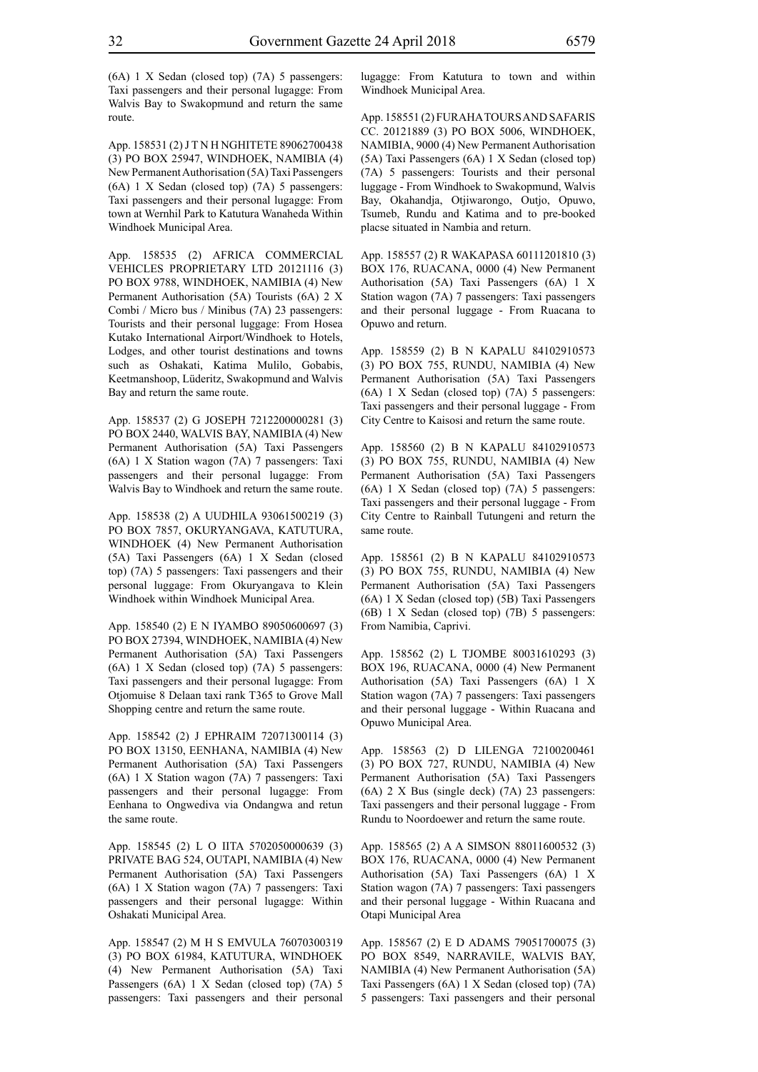(6A) 1 X Sedan (closed top) (7A) 5 passengers: Taxi passengers and their personal lugagge: From Walvis Bay to Swakopmund and return the same route.

App. 158531 (2) J T N H NGHITETE 89062700438 (3) PO BOX 25947, WINDHOEK, NAMIBIA (4) New Permanent Authorisation (5A) Taxi Passengers (6A) 1 X Sedan (closed top) (7A) 5 passengers: Taxi passengers and their personal lugagge: From town at Wernhil Park to Katutura Wanaheda Within Windhoek Municipal Area.

App. 158535 (2) AFRICA COMMERCIAL VEHICLES PROPRIETARY LTD 20121116 (3) PO BOX 9788, WINDHOEK, NAMIBIA (4) New Permanent Authorisation (5A) Tourists (6A) 2 X Combi / Micro bus / Minibus (7A) 23 passengers: Tourists and their personal luggage: From Hosea Kutako International Airport/Windhoek to Hotels, Lodges, and other tourist destinations and towns such as Oshakati, Katima Mulilo, Gobabis, Keetmanshoop, Lüderitz, Swakopmund and Walvis Bay and return the same route.

App. 158537 (2) G JOSEPH 7212200000281 (3) PO BOX 2440, WALVIS BAY, NAMIBIA (4) New Permanent Authorisation (5A) Taxi Passengers (6A) 1 X Station wagon (7A) 7 passengers: Taxi passengers and their personal lugagge: From Walvis Bay to Windhoek and return the same route.

App. 158538 (2) A UUDHILA 93061500219 (3) PO BOX 7857, OKURYANGAVA, KATUTURA, WINDHOEK (4) New Permanent Authorisation (5A) Taxi Passengers (6A) 1 X Sedan (closed top) (7A) 5 passengers: Taxi passengers and their personal luggage: From Okuryangava to Klein Windhoek within Windhoek Municipal Area.

App. 158540 (2) E N IYAMBO 89050600697 (3) PO BOX 27394, WINDHOEK, NAMIBIA (4) New Permanent Authorisation (5A) Taxi Passengers (6A) 1 X Sedan (closed top) (7A) 5 passengers: Taxi passengers and their personal lugagge: From Otjomuise 8 Delaan taxi rank T365 to Grove Mall Shopping centre and return the same route.

App. 158542 (2) J EPHRAIM 72071300114 (3) PO BOX 13150, EENHANA, NAMIBIA (4) New Permanent Authorisation (5A) Taxi Passengers (6A) 1 X Station wagon (7A) 7 passengers: Taxi passengers and their personal lugagge: From Eenhana to Ongwediva via Ondangwa and retun the same route.

App. 158545 (2) L O IITA 5702050000639 (3) PRIVATE BAG 524, OUTAPI, NAMIBIA (4) New Permanent Authorisation (5A) Taxi Passengers (6A) 1 X Station wagon (7A) 7 passengers: Taxi passengers and their personal lugagge: Within Oshakati Municipal Area.

App. 158547 (2) M H S EMVULA 76070300319 (3) PO BOX 61984, KATUTURA, WINDHOEK (4) New Permanent Authorisation (5A) Taxi Passengers (6A) 1 X Sedan (closed top) (7A) 5 passengers: Taxi passengers and their personal lugagge: From Katutura to town and within Windhoek Municipal Area.

App. 158551 (2) FURAHA TOURS AND SAFARIS CC. 20121889 (3) PO BOX 5006, WINDHOEK, NAMIBIA, 9000 (4) New Permanent Authorisation (5A) Taxi Passengers (6A) 1 X Sedan (closed top) (7A) 5 passengers: Tourists and their personal luggage - From Windhoek to Swakopmund, Walvis Bay, Okahandja, Otjiwarongo, Outjo, Opuwo, Tsumeb, Rundu and Katima and to pre-booked placse situated in Nambia and return.

App. 158557 (2) R WAKAPASA 60111201810 (3) BOX 176, RUACANA, 0000 (4) New Permanent Authorisation (5A) Taxi Passengers (6A) 1 X Station wagon (7A) 7 passengers: Taxi passengers and their personal luggage - From Ruacana to Opuwo and return.

App. 158559 (2) B N KAPALU 84102910573 (3) PO BOX 755, RUNDU, NAMIBIA (4) New Permanent Authorisation (5A) Taxi Passengers (6A) 1 X Sedan (closed top) (7A) 5 passengers: Taxi passengers and their personal luggage - From City Centre to Kaisosi and return the same route.

App. 158560 (2) B N KAPALU 84102910573 (3) PO BOX 755, RUNDU, NAMIBIA (4) New Permanent Authorisation (5A) Taxi Passengers (6A) 1 X Sedan (closed top) (7A) 5 passengers: Taxi passengers and their personal luggage - From City Centre to Rainball Tutungeni and return the same route.

App. 158561 (2) B N KAPALU 84102910573 (3) PO BOX 755, RUNDU, NAMIBIA (4) New Permanent Authorisation (5A) Taxi Passengers (6A) 1 X Sedan (closed top) (5B) Taxi Passengers (6B) 1 X Sedan (closed top) (7B) 5 passengers: From Namibia, Caprivi.

App. 158562 (2) L TJOMBE 80031610293 (3) BOX 196, RUACANA, 0000 (4) New Permanent Authorisation (5A) Taxi Passengers (6A) 1 X Station wagon (7A) 7 passengers: Taxi passengers and their personal luggage - Within Ruacana and Opuwo Municipal Area.

App. 158563 (2) D LILENGA 72100200461 (3) PO BOX 727, RUNDU, NAMIBIA (4) New Permanent Authorisation (5A) Taxi Passengers (6A) 2 X Bus (single deck) (7A) 23 passengers: Taxi passengers and their personal luggage - From Rundu to Noordoewer and return the same route.

App. 158565 (2) A A SIMSON 88011600532 (3) BOX 176, RUACANA, 0000 (4) New Permanent Authorisation (5A) Taxi Passengers (6A) 1 X Station wagon (7A) 7 passengers: Taxi passengers and their personal luggage - Within Ruacana and Otapi Municipal Area

App. 158567 (2) E D ADAMS 79051700075 (3) PO BOX 8549, NARRAVILE, WALVIS BAY, NAMIBIA (4) New Permanent Authorisation (5A) Taxi Passengers (6A) 1 X Sedan (closed top) (7A) 5 passengers: Taxi passengers and their personal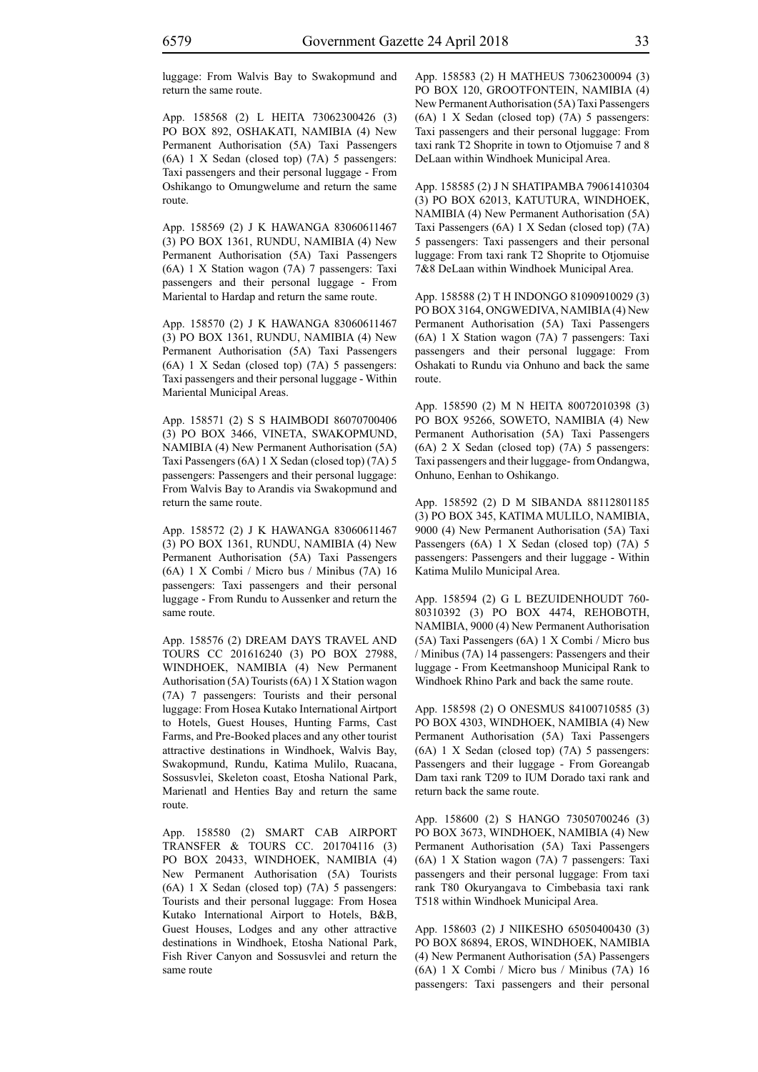luggage: From Walvis Bay to Swakopmund and return the same route.

App. 158568 (2) L HEITA 73062300426 (3) PO BOX 892, OSHAKATI, NAMIBIA (4) New Permanent Authorisation (5A) Taxi Passengers (6A) 1 X Sedan (closed top) (7A) 5 passengers: Taxi passengers and their personal luggage - From Oshikango to Omungwelume and return the same route.

App. 158569 (2) J K HAWANGA 83060611467 (3) PO BOX 1361, RUNDU, NAMIBIA (4) New Permanent Authorisation (5A) Taxi Passengers (6A) 1 X Station wagon (7A) 7 passengers: Taxi passengers and their personal luggage - From Mariental to Hardap and return the same route.

App. 158570 (2) J K HAWANGA 83060611467 (3) PO BOX 1361, RUNDU, NAMIBIA (4) New Permanent Authorisation (5A) Taxi Passengers (6A) 1 X Sedan (closed top) (7A) 5 passengers: Taxi passengers and their personal luggage - Within Mariental Municipal Areas.

App. 158571 (2) S S HAIMBODI 86070700406 (3) PO BOX 3466, VINETA, SWAKOPMUND, NAMIBIA (4) New Permanent Authorisation (5A) Taxi Passengers (6A) 1 X Sedan (closed top) (7A) 5 passengers: Passengers and their personal luggage: From Walvis Bay to Arandis via Swakopmund and return the same route.

App. 158572 (2) J K HAWANGA 83060611467 (3) PO BOX 1361, RUNDU, NAMIBIA (4) New Permanent Authorisation (5A) Taxi Passengers (6A) 1 X Combi / Micro bus / Minibus (7A) 16 passengers: Taxi passengers and their personal luggage - From Rundu to Aussenker and return the same route.

App. 158576 (2) DREAM DAYS TRAVEL AND TOURS CC 201616240 (3) PO BOX 27988, WINDHOEK, NAMIBIA (4) New Permanent Authorisation (5A) Tourists (6A) 1 X Station wagon (7A) 7 passengers: Tourists and their personal luggage: From Hosea Kutako International Airtport to Hotels, Guest Houses, Hunting Farms, Cast Farms, and Pre-Booked places and any other tourist attractive destinations in Windhoek, Walvis Bay, Swakopmund, Rundu, Katima Mulilo, Ruacana, Sossusvlei, Skeleton coast, Etosha National Park, Marienatl and Henties Bay and return the same route.

App. 158580 (2) SMART CAB AIRPORT TRANSFER & TOURS CC. 201704116 (3) PO BOX 20433, WINDHOEK, NAMIBIA (4) New Permanent Authorisation (5A) Tourists (6A) 1 X Sedan (closed top) (7A) 5 passengers: Tourists and their personal luggage: From Hosea Kutako International Airport to Hotels, B&B, Guest Houses, Lodges and any other attractive destinations in Windhoek, Etosha National Park, Fish River Canyon and Sossusvlei and return the same route

App. 158583 (2) H MATHEUS 73062300094 (3) PO BOX 120, GROOTFONTEIN, NAMIBIA (4) New Permanent Authorisation (5A) Taxi Passengers (6A) 1 X Sedan (closed top) (7A) 5 passengers: Taxi passengers and their personal luggage: From taxi rank T2 Shoprite in town to Otjomuise 7 and 8 DeLaan within Windhoek Municipal Area.

App. 158585 (2) J N SHATIPAMBA 79061410304 (3) PO BOX 62013, KATUTURA, WINDHOEK, NAMIBIA (4) New Permanent Authorisation (5A) Taxi Passengers (6A) 1 X Sedan (closed top) (7A) 5 passengers: Taxi passengers and their personal luggage: From taxi rank T2 Shoprite to Otjomuise 7&8 DeLaan within Windhoek Municipal Area.

App. 158588 (2) T H INDONGO 81090910029 (3) PO BOX 3164, ONGWEDIVA, NAMIBIA (4) New Permanent Authorisation (5A) Taxi Passengers (6A) 1 X Station wagon (7A) 7 passengers: Taxi passengers and their personal luggage: From Oshakati to Rundu via Onhuno and back the same route.

App. 158590 (2) M N HEITA 80072010398 (3) PO BOX 95266, SOWETO, NAMIBIA (4) New Permanent Authorisation (5A) Taxi Passengers (6A) 2 X Sedan (closed top) (7A) 5 passengers: Taxi passengers and their luggage- from Ondangwa, Onhuno, Eenhan to Oshikango.

App. 158592 (2) D M SIBANDA 88112801185 (3) PO BOX 345, KATIMA MULILO, NAMIBIA, 9000 (4) New Permanent Authorisation (5A) Taxi Passengers (6A) 1 X Sedan (closed top) (7A) 5 passengers: Passengers and their luggage - Within Katima Mulilo Municipal Area.

App. 158594 (2) G L BEZUIDENHOUDT 760- 80310392 (3) PO BOX 4474, REHOBOTH, NAMIBIA, 9000 (4) New Permanent Authorisation (5A) Taxi Passengers (6A) 1 X Combi / Micro bus / Minibus (7A) 14 passengers: Passengers and their luggage - From Keetmanshoop Municipal Rank to Windhoek Rhino Park and back the same route.

App. 158598 (2) O ONESMUS 84100710585 (3) PO BOX 4303, WINDHOEK, NAMIBIA (4) New Permanent Authorisation (5A) Taxi Passengers (6A) 1 X Sedan (closed top) (7A) 5 passengers: Passengers and their luggage - From Goreangab Dam taxi rank T209 to IUM Dorado taxi rank and return back the same route.

App. 158600 (2) S HANGO 73050700246 (3) PO BOX 3673, WINDHOEK, NAMIBIA (4) New Permanent Authorisation (5A) Taxi Passengers (6A) 1 X Station wagon (7A) 7 passengers: Taxi passengers and their personal luggage: From taxi rank T80 Okuryangava to Cimbebasia taxi rank T518 within Windhoek Municipal Area.

App. 158603 (2) J NIIKESHO 65050400430 (3) PO BOX 86894, EROS, WINDHOEK, NAMIBIA (4) New Permanent Authorisation (5A) Passengers (6A) 1 X Combi / Micro bus / Minibus (7A) 16 passengers: Taxi passengers and their personal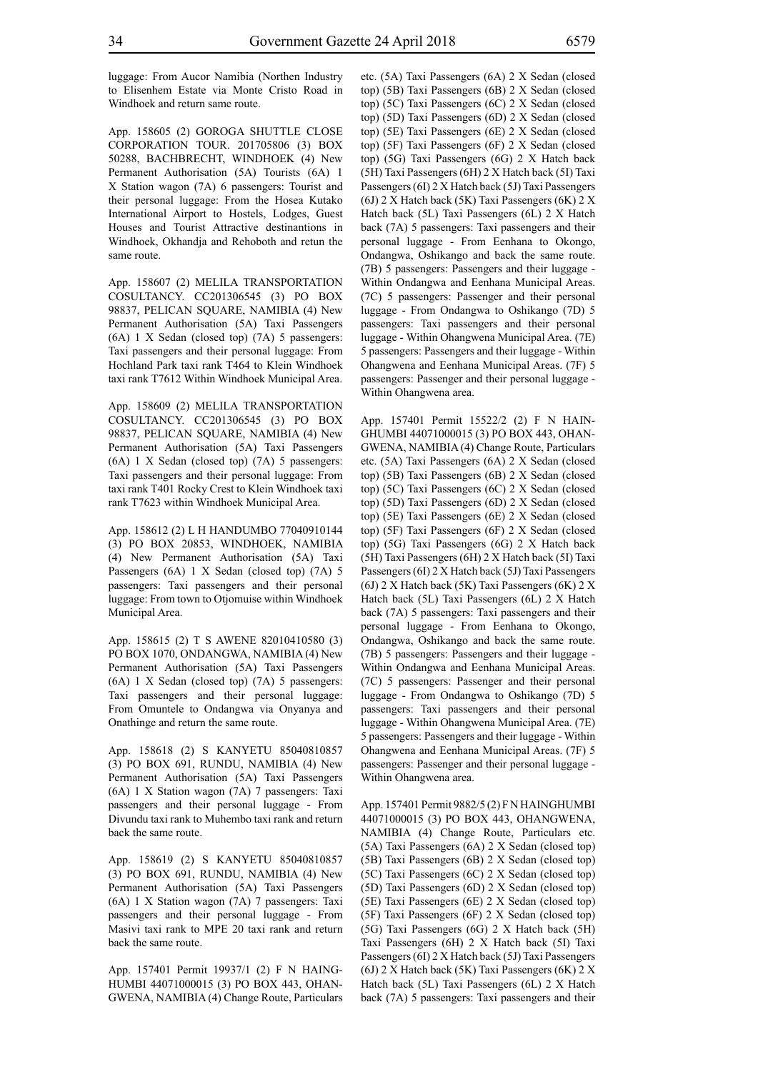luggage: From Aucor Namibia (Northen Industry to Elisenhem Estate via Monte Cristo Road in Windhoek and return same route.

App. 158605 (2) GOROGA SHUTTLE CLOSE CORPORATION TOUR. 201705806 (3) BOX 50288, BACHBRECHT, WINDHOEK (4) New Permanent Authorisation (5A) Tourists (6A) 1 X Station wagon (7A) 6 passengers: Tourist and their personal luggage: From the Hosea Kutako International Airport to Hostels, Lodges, Guest Houses and Tourist Attractive destinantions in Windhoek, Okhandja and Rehoboth and retun the same route.

App. 158607 (2) MELILA TRANSPORTATION COSULTANCY. CC201306545 (3) PO BOX 98837, PELICAN SQUARE, NAMIBIA (4) New Permanent Authorisation (5A) Taxi Passengers (6A) 1 X Sedan (closed top) (7A) 5 passengers: Taxi passengers and their personal luggage: From Hochland Park taxi rank T464 to Klein Windhoek taxi rank T7612 Within Windhoek Municipal Area.

App. 158609 (2) MELILA TRANSPORTATION COSULTANCY. CC201306545 (3) PO BOX 98837, PELICAN SQUARE, NAMIBIA (4) New Permanent Authorisation (5A) Taxi Passengers (6A) 1 X Sedan (closed top) (7A) 5 passengers: Taxi passengers and their personal luggage: From taxi rank T401 Rocky Crest to Klein Windhoek taxi rank T7623 within Windhoek Municipal Area.

App. 158612 (2) L H HANDUMBO 77040910144 (3) PO BOX 20853, WINDHOEK, NAMIBIA (4) New Permanent Authorisation (5A) Taxi Passengers (6A) 1 X Sedan (closed top) (7A) 5 passengers: Taxi passengers and their personal luggage: From town to Otjomuise within Windhoek Municipal Area.

App. 158615 (2) T S AWENE 82010410580 (3) PO BOX 1070, ONDANGWA, NAMIBIA (4) New Permanent Authorisation (5A) Taxi Passengers (6A) 1 X Sedan (closed top) (7A) 5 passengers: Taxi passengers and their personal luggage: From Omuntele to Ondangwa via Onyanya and Onathinge and return the same route.

App. 158618 (2) S KANYETU 85040810857 (3) PO BOX 691, RUNDU, NAMIBIA (4) New Permanent Authorisation (5A) Taxi Passengers (6A) 1 X Station wagon (7A) 7 passengers: Taxi passengers and their personal luggage - From Divundu taxi rank to Muhembo taxi rank and return back the same route.

App. 158619 (2) S KANYETU 85040810857 (3) PO BOX 691, RUNDU, NAMIBIA (4) New Permanent Authorisation (5A) Taxi Passengers (6A) 1 X Station wagon (7A) 7 passengers: Taxi passengers and their personal luggage - From Masivi taxi rank to MPE 20 taxi rank and return back the same route.

App. 157401 Permit 19937/1 (2) F N HAING-HUMBI 44071000015 (3) PO BOX 443, OHAN-GWENA, NAMIBIA (4) Change Route, Particulars etc. (5A) Taxi Passengers (6A) 2 X Sedan (closed top) (5B) Taxi Passengers (6B) 2 X Sedan (closed top) (5C) Taxi Passengers (6C) 2 X Sedan (closed top) (5D) Taxi Passengers (6D) 2 X Sedan (closed top) (5E) Taxi Passengers (6E) 2 X Sedan (closed top) (5F) Taxi Passengers (6F) 2 X Sedan (closed top) (5G) Taxi Passengers (6G) 2 X Hatch back (5H) Taxi Passengers (6H) 2 X Hatch back (5I) Taxi Passengers (6I) 2 X Hatch back (5J) Taxi Passengers (6J) 2 X Hatch back (5K) Taxi Passengers (6K) 2 X Hatch back (5L) Taxi Passengers (6L) 2 X Hatch back (7A) 5 passengers: Taxi passengers and their personal luggage - From Eenhana to Okongo, Ondangwa, Oshikango and back the same route. (7B) 5 passengers: Passengers and their luggage - Within Ondangwa and Eenhana Municipal Areas. (7C) 5 passengers: Passenger and their personal luggage - From Ondangwa to Oshikango (7D) 5 passengers: Taxi passengers and their personal luggage - Within Ohangwena Municipal Area. (7E) 5 passengers: Passengers and their luggage - Within Ohangwena and Eenhana Municipal Areas. (7F) 5 passengers: Passenger and their personal luggage - Within Ohangwena area.

App. 157401 Permit 15522/2 (2) F N HAIN-GHUMBI 44071000015 (3) PO BOX 443, OHAN-GWENA, NAMIBIA (4) Change Route, Particulars etc. (5A) Taxi Passengers (6A) 2 X Sedan (closed top) (5B) Taxi Passengers (6B) 2 X Sedan (closed top) (5C) Taxi Passengers (6C) 2 X Sedan (closed top) (5D) Taxi Passengers (6D) 2 X Sedan (closed top) (5E) Taxi Passengers (6E) 2 X Sedan (closed top) (5F) Taxi Passengers (6F) 2 X Sedan (closed top) (5G) Taxi Passengers (6G) 2 X Hatch back (5H) Taxi Passengers (6H) 2 X Hatch back (5I) Taxi Passengers (6I) 2 X Hatch back (5J) Taxi Passengers (6J) 2 X Hatch back (5K) Taxi Passengers (6K) 2 X Hatch back (5L) Taxi Passengers (6L) 2 X Hatch back (7A) 5 passengers: Taxi passengers and their personal luggage - From Eenhana to Okongo, Ondangwa, Oshikango and back the same route. (7B) 5 passengers: Passengers and their luggage - Within Ondangwa and Eenhana Municipal Areas. (7C) 5 passengers: Passenger and their personal luggage - From Ondangwa to Oshikango (7D) 5 passengers: Taxi passengers and their personal luggage - Within Ohangwena Municipal Area. (7E) 5 passengers: Passengers and their luggage - Within Ohangwena and Eenhana Municipal Areas. (7F) 5 passengers: Passenger and their personal luggage - Within Ohangwena area.

App. 157401 Permit 9882/5 (2) F N HAINGHUMBI 44071000015 (3) PO BOX 443, OHANGWENA, NAMIBIA (4) Change Route, Particulars etc. (5A) Taxi Passengers (6A) 2 X Sedan (closed top) (5B) Taxi Passengers (6B) 2 X Sedan (closed top) (5C) Taxi Passengers (6C) 2 X Sedan (closed top) (5D) Taxi Passengers (6D) 2 X Sedan (closed top) (5E) Taxi Passengers (6E) 2 X Sedan (closed top) (5F) Taxi Passengers (6F) 2 X Sedan (closed top) (5G) Taxi Passengers (6G) 2 X Hatch back (5H) Taxi Passengers (6H) 2 X Hatch back (5I) Taxi Passengers (6I) 2 X Hatch back (5J) Taxi Passengers (6J) 2 X Hatch back (5K) Taxi Passengers (6K) 2 X Hatch back (5L) Taxi Passengers (6L) 2 X Hatch back (7A) 5 passengers: Taxi passengers and their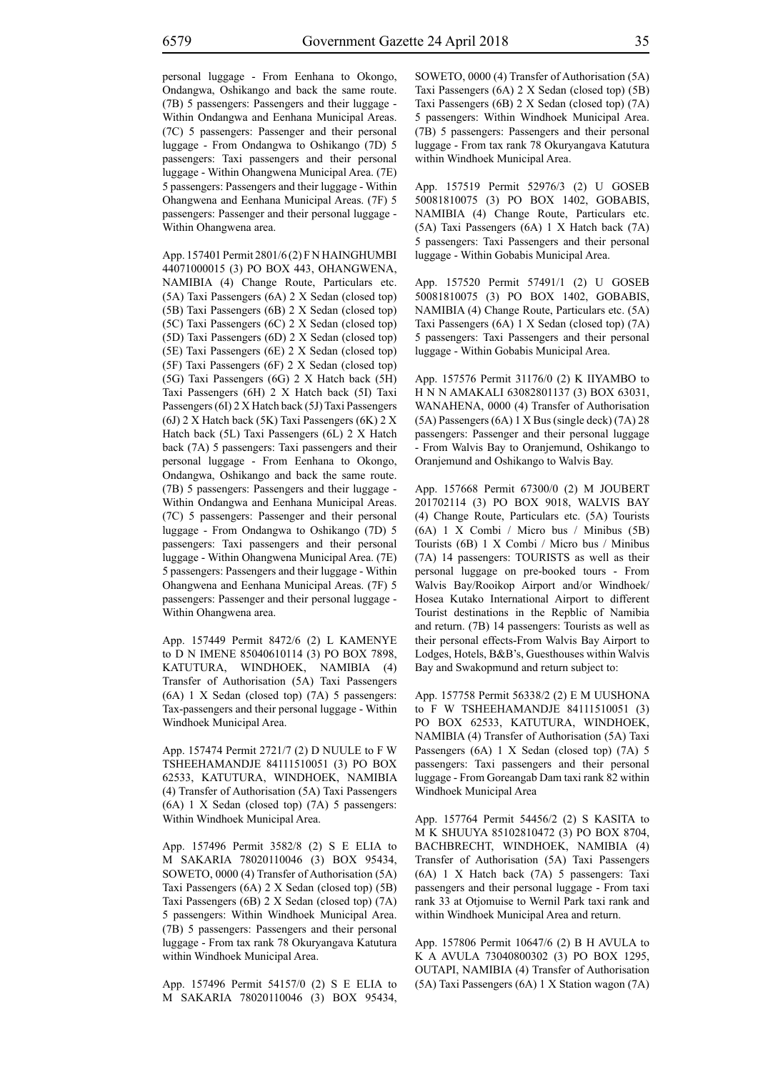personal luggage - From Eenhana to Okongo, Ondangwa, Oshikango and back the same route. (7B) 5 passengers: Passengers and their luggage - Within Ondangwa and Eenhana Municipal Areas. (7C) 5 passengers: Passenger and their personal luggage - From Ondangwa to Oshikango (7D) 5 passengers: Taxi passengers and their personal luggage - Within Ohangwena Municipal Area. (7E) 5 passengers: Passengers and their luggage - Within Ohangwena and Eenhana Municipal Areas. (7F) 5 passengers: Passenger and their personal luggage - Within Ohangwena area.

App. 157401 Permit 2801/6 (2) F N HAINGHUMBI 44071000015 (3) PO BOX 443, OHANGWENA, NAMIBIA (4) Change Route, Particulars etc. (5A) Taxi Passengers (6A) 2 X Sedan (closed top) (5B) Taxi Passengers (6B) 2 X Sedan (closed top) (5C) Taxi Passengers (6C) 2 X Sedan (closed top) (5D) Taxi Passengers (6D) 2 X Sedan (closed top) (5E) Taxi Passengers (6E) 2 X Sedan (closed top) (5F) Taxi Passengers (6F) 2 X Sedan (closed top) (5G) Taxi Passengers (6G) 2 X Hatch back (5H) Taxi Passengers (6H) 2 X Hatch back (5I) Taxi Passengers (6I) 2 X Hatch back (5J) Taxi Passengers (6J) 2 X Hatch back (5K) Taxi Passengers (6K) 2 X Hatch back (5L) Taxi Passengers (6L) 2 X Hatch back (7A) 5 passengers: Taxi passengers and their personal luggage - From Eenhana to Okongo, Ondangwa, Oshikango and back the same route. (7B) 5 passengers: Passengers and their luggage - Within Ondangwa and Eenhana Municipal Areas. (7C) 5 passengers: Passenger and their personal luggage - From Ondangwa to Oshikango (7D) 5 passengers: Taxi passengers and their personal luggage - Within Ohangwena Municipal Area. (7E) 5 passengers: Passengers and their luggage - Within Ohangwena and Eenhana Municipal Areas. (7F) 5 passengers: Passenger and their personal luggage - Within Ohangwena area.

App. 157449 Permit 8472/6 (2) L KAMENYE to D N IMENE 85040610114 (3) PO BOX 7898, KATUTURA, WINDHOEK, NAMIBIA (4) Transfer of Authorisation (5A) Taxi Passengers (6A) 1 X Sedan (closed top) (7A) 5 passengers: Tax-passengers and their personal luggage - Within Windhoek Municipal Area.

App. 157474 Permit 2721/7 (2) D NUULE to F W TSHEEHAMANDJE 84111510051 (3) PO BOX 62533, KATUTURA, WINDHOEK, NAMIBIA (4) Transfer of Authorisation (5A) Taxi Passengers (6A) 1 X Sedan (closed top) (7A) 5 passengers: Within Windhoek Municipal Area.

App. 157496 Permit 3582/8 (2) S E ELIA to M SAKARIA 78020110046 (3) BOX 95434, SOWETO, 0000 (4) Transfer of Authorisation (5A) Taxi Passengers (6A) 2 X Sedan (closed top) (5B) Taxi Passengers (6B) 2 X Sedan (closed top) (7A) 5 passengers: Within Windhoek Municipal Area. (7B) 5 passengers: Passengers and their personal luggage - From tax rank 78 Okuryangava Katutura within Windhoek Municipal Area.

App. 157496 Permit 54157/0 (2) S E ELIA to M SAKARIA 78020110046 (3) BOX 95434, SOWETO, 0000 (4) Transfer of Authorisation (5A) Taxi Passengers (6A) 2 X Sedan (closed top) (5B) Taxi Passengers (6B) 2 X Sedan (closed top) (7A) 5 passengers: Within Windhoek Municipal Area. (7B) 5 passengers: Passengers and their personal luggage - From tax rank 78 Okuryangava Katutura within Windhoek Municipal Area.

App. 157519 Permit 52976/3 (2) U GOSEB 50081810075 (3) PO BOX 1402, GOBABIS, NAMIBIA (4) Change Route, Particulars etc. (5A) Taxi Passengers (6A) 1 X Hatch back (7A) 5 passengers: Taxi Passengers and their personal luggage - Within Gobabis Municipal Area.

App. 157520 Permit 57491/1 (2) U GOSEB 50081810075 (3) PO BOX 1402, GOBABIS, NAMIBIA (4) Change Route, Particulars etc. (5A) Taxi Passengers (6A) 1 X Sedan (closed top) (7A) 5 passengers: Taxi Passengers and their personal luggage - Within Gobabis Municipal Area.

App. 157576 Permit 31176/0 (2) K IIYAMBO to H N N AMAKALI 63082801137 (3) BOX 63031, WANAHENA, 0000 (4) Transfer of Authorisation (5A) Passengers (6A) 1 X Bus (single deck) (7A) 28 passengers: Passenger and their personal luggage - From Walvis Bay to Oranjemund, Oshikango to Oranjemund and Oshikango to Walvis Bay.

App. 157668 Permit 67300/0 (2) M JOUBERT 201702114 (3) PO BOX 9018, WALVIS BAY (4) Change Route, Particulars etc. (5A) Tourists (6A) 1 X Combi / Micro bus / Minibus (5B) Tourists (6B) 1 X Combi / Micro bus / Minibus (7A) 14 passengers: TOURISTS as well as their personal luggage on pre-booked tours - From Walvis Bay/Rooikop Airport and/or Windhoek/ Hosea Kutako International Airport to different Tourist destinations in the Repblic of Namibia and return. (7B) 14 passengers: Tourists as well as their personal effects-From Walvis Bay Airport to Lodges, Hotels, B&B's, Guesthouses within Walvis Bay and Swakopmund and return subject to:

App. 157758 Permit 56338/2 (2) E M UUSHONA to F W TSHEEHAMANDJE 84111510051 (3) PO BOX 62533, KATUTURA, WINDHOEK, NAMIBIA (4) Transfer of Authorisation (5A) Taxi Passengers (6A) 1 X Sedan (closed top) (7A) 5 passengers: Taxi passengers and their personal luggage - From Goreangab Dam taxi rank 82 within Windhoek Municipal Area

App. 157764 Permit 54456/2 (2) S KASITA to M K SHUUYA 85102810472 (3) PO BOX 8704, BACHBRECHT, WINDHOEK, NAMIBIA (4) Transfer of Authorisation (5A) Taxi Passengers (6A) 1 X Hatch back (7A) 5 passengers: Taxi passengers and their personal luggage - From taxi rank 33 at Otjomuise to Wernil Park taxi rank and within Windhoek Municipal Area and return.

App. 157806 Permit 10647/6 (2) B H AVULA to K A AVULA 73040800302 (3) PO BOX 1295, OUTAPI, NAMIBIA (4) Transfer of Authorisation (5A) Taxi Passengers (6A) 1 X Station wagon (7A)